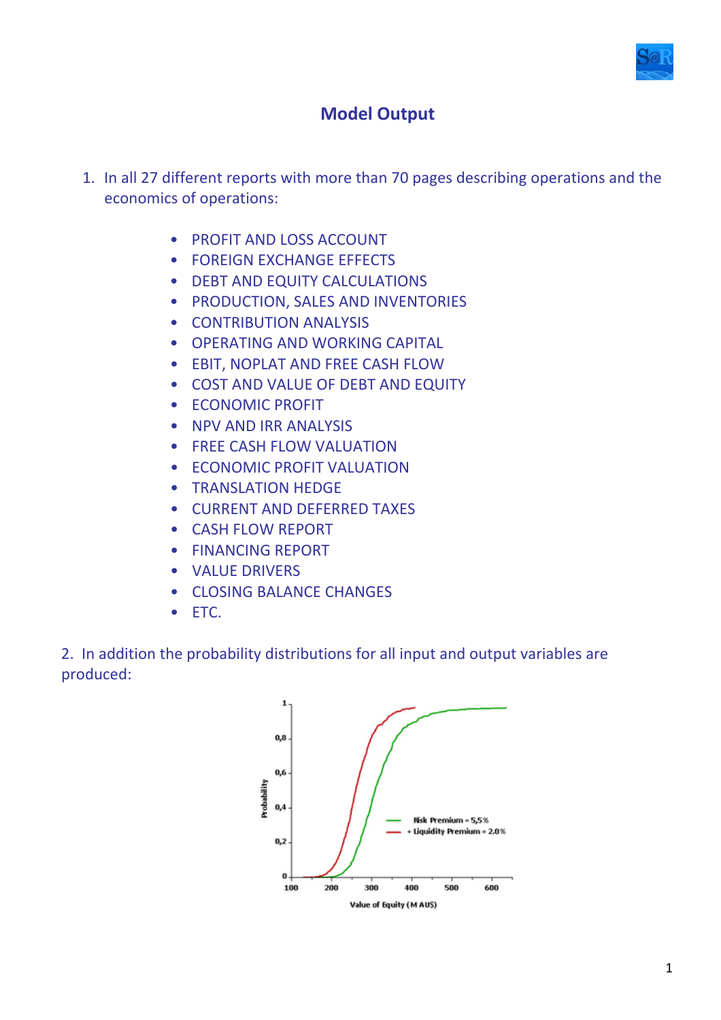

## **Model Output**

- 1. In all 27 different reports with more than 70 pages describing operations and the economics of operations:
	- PROFIT AND LOSS ACCOUNT
	- FOREIGN EXCHANGE EFFECTS
	- DEBT AND EQUITY CALCULATIONS
	- PRODUCTION, SALES AND INVENTORIES
	- CONTRIBUTION ANALYSIS
	- OPERATING AND WORKING CAPITAL
	- EBIT, NOPLAT AND FREE CASH FLOW
	- COST AND VALUE OF DEBT AND EQUITY
	- ECONOMIC PROFIT
	- NPV AND IRR ANALYSIS
	- FREE CASH FLOW VALUATION
	- ECONOMIC PROFIT VALUATION
	- TRANSLATION HEDGE
	- CURRENT AND DEFERRED TAXES
	- CASH FLOW REPORT
	- FINANCING REPORT
	- VALUE DRIVERS
	- CLOSING BALANCE CHANGES
	- ETC.

2. In addition the probability distributions for all input and output variables are produced:

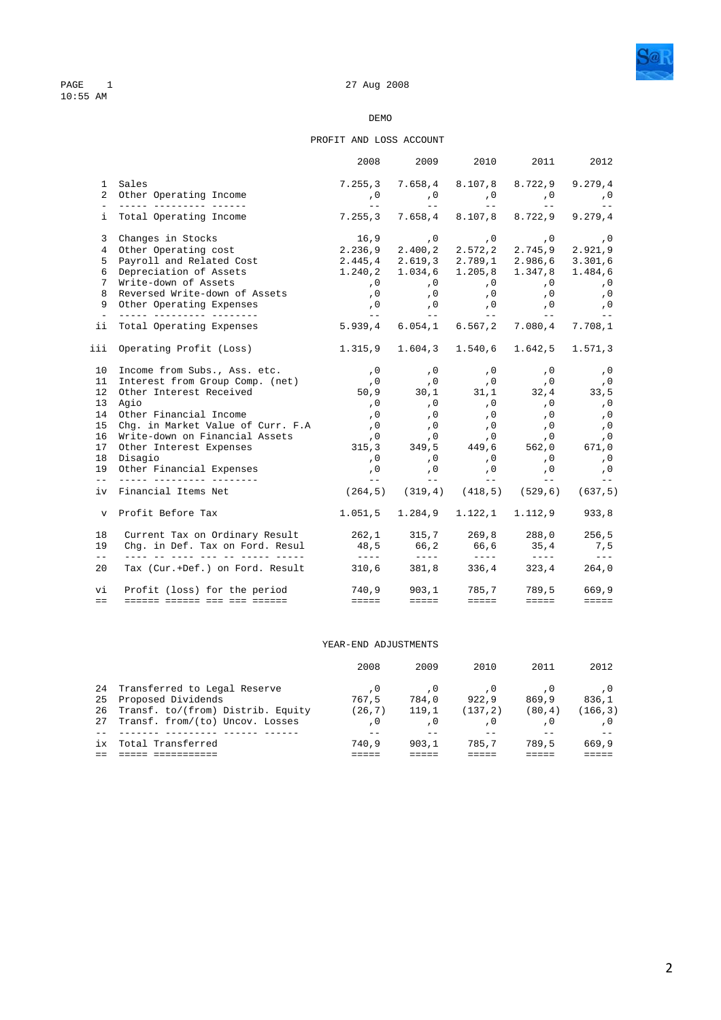

#### PROFIT AND LOSS ACCOUNT

|                     |                                                                                                                                                                                                                                             | 2008                                                                                                                                                                                                                                                                                                                                                                                         | 2009                                                                                                                              | 2010                                                                                                                                                                                                                                                                                                                                                                                                                                                                                   | 2011                                                                                                                                                                                                                                                                                                                                                                                                                                                                       | 2012                                                                                                                                                                                                                                                                                                                                                                                         |
|---------------------|---------------------------------------------------------------------------------------------------------------------------------------------------------------------------------------------------------------------------------------------|----------------------------------------------------------------------------------------------------------------------------------------------------------------------------------------------------------------------------------------------------------------------------------------------------------------------------------------------------------------------------------------------|-----------------------------------------------------------------------------------------------------------------------------------|----------------------------------------------------------------------------------------------------------------------------------------------------------------------------------------------------------------------------------------------------------------------------------------------------------------------------------------------------------------------------------------------------------------------------------------------------------------------------------------|----------------------------------------------------------------------------------------------------------------------------------------------------------------------------------------------------------------------------------------------------------------------------------------------------------------------------------------------------------------------------------------------------------------------------------------------------------------------------|----------------------------------------------------------------------------------------------------------------------------------------------------------------------------------------------------------------------------------------------------------------------------------------------------------------------------------------------------------------------------------------------|
|                     | 1 Sales                                                                                                                                                                                                                                     | 7.255,3 7.658,4 8.107,8 8.722,9 9.279,4                                                                                                                                                                                                                                                                                                                                                      |                                                                                                                                   |                                                                                                                                                                                                                                                                                                                                                                                                                                                                                        |                                                                                                                                                                                                                                                                                                                                                                                                                                                                            |                                                                                                                                                                                                                                                                                                                                                                                              |
|                     | 2 Other Operating Income                                                                                                                                                                                                                    |                                                                                                                                                                                                                                                                                                                                                                                              | 0, 0, 0, 0, 0,                                                                                                                    |                                                                                                                                                                                                                                                                                                                                                                                                                                                                                        |                                                                                                                                                                                                                                                                                                                                                                                                                                                                            |                                                                                                                                                                                                                                                                                                                                                                                              |
|                     |                                                                                                                                                                                                                                             | <b>Service</b> Construction                                                                                                                                                                                                                                                                                                                                                                  |                                                                                                                                   |                                                                                                                                                                                                                                                                                                                                                                                                                                                                                        | and the state of the state of the state of                                                                                                                                                                                                                                                                                                                                                                                                                                 | $\sim$ $ -$                                                                                                                                                                                                                                                                                                                                                                                  |
|                     | i Total Operating Income                                                                                                                                                                                                                    | 7.255,3 7.658,4 8.107,8 8.722,9 9.279,4                                                                                                                                                                                                                                                                                                                                                      |                                                                                                                                   |                                                                                                                                                                                                                                                                                                                                                                                                                                                                                        |                                                                                                                                                                                                                                                                                                                                                                                                                                                                            |                                                                                                                                                                                                                                                                                                                                                                                              |
|                     | 3 Changes in Stocks                                                                                                                                                                                                                         |                                                                                                                                                                                                                                                                                                                                                                                              | 0, 0, 0, 0, 16,9                                                                                                                  |                                                                                                                                                                                                                                                                                                                                                                                                                                                                                        |                                                                                                                                                                                                                                                                                                                                                                                                                                                                            |                                                                                                                                                                                                                                                                                                                                                                                              |
|                     | 4 Other Operating cost                                                                                                                                                                                                                      | 2.236,9 2.400,2 2.572,2 2.745,9 2.921,9                                                                                                                                                                                                                                                                                                                                                      |                                                                                                                                   |                                                                                                                                                                                                                                                                                                                                                                                                                                                                                        |                                                                                                                                                                                                                                                                                                                                                                                                                                                                            |                                                                                                                                                                                                                                                                                                                                                                                              |
|                     | 5 Payroll and Related Cost                                                                                                                                                                                                                  | 2.445,4 2.619,3 2.789,1 2.986,6 3.301,6                                                                                                                                                                                                                                                                                                                                                      |                                                                                                                                   |                                                                                                                                                                                                                                                                                                                                                                                                                                                                                        |                                                                                                                                                                                                                                                                                                                                                                                                                                                                            |                                                                                                                                                                                                                                                                                                                                                                                              |
|                     | 6 Depreciation of Assets                                                                                                                                                                                                                    | $1.240, 2$ $1.034, 6$ $1.205, 8$ $1.347, 8$ $1.484, 6$                                                                                                                                                                                                                                                                                                                                       |                                                                                                                                   |                                                                                                                                                                                                                                                                                                                                                                                                                                                                                        |                                                                                                                                                                                                                                                                                                                                                                                                                                                                            |                                                                                                                                                                                                                                                                                                                                                                                              |
|                     | 7 Write-down of Assets                                                                                                                                                                                                                      |                                                                                                                                                                                                                                                                                                                                                                                              | 0, 0, 0, 0, 0,<br>0, 0, 0, 0, 0,                                                                                                  |                                                                                                                                                                                                                                                                                                                                                                                                                                                                                        |                                                                                                                                                                                                                                                                                                                                                                                                                                                                            |                                                                                                                                                                                                                                                                                                                                                                                              |
| 8                   | Reversed Write-down of Assets                                                                                                                                                                                                               |                                                                                                                                                                                                                                                                                                                                                                                              |                                                                                                                                   |                                                                                                                                                                                                                                                                                                                                                                                                                                                                                        | $\,$ , $\,$ 0 $\,$                                                                                                                                                                                                                                                                                                                                                                                                                                                         |                                                                                                                                                                                                                                                                                                                                                                                              |
|                     | 9 Other Operating Expenses<br><u> 2008 - Andreas Alexandro III (</u>                                                                                                                                                                        |                                                                                                                                                                                                                                                                                                                                                                                              | 0, 0, 0, 0, 0,<br>معان المساحة المساحة المساحة المساحة المساحة المساحة المساحة المساحة المساحة المساحة المساحة المساحة المساحة ال |                                                                                                                                                                                                                                                                                                                                                                                                                                                                                        |                                                                                                                                                                                                                                                                                                                                                                                                                                                                            |                                                                                                                                                                                                                                                                                                                                                                                              |
|                     | ii Total Operating Expenses                                                                                                                                                                                                                 | 5.939,4 6.054,1 6.567,2 7.080,4 7.708,1                                                                                                                                                                                                                                                                                                                                                      |                                                                                                                                   |                                                                                                                                                                                                                                                                                                                                                                                                                                                                                        |                                                                                                                                                                                                                                                                                                                                                                                                                                                                            |                                                                                                                                                                                                                                                                                                                                                                                              |
|                     | iii Operating Profit (Loss)                                                                                                                                                                                                                 | 1.315,9 1.604,3 1.540,6 1.642,5 1.571,3                                                                                                                                                                                                                                                                                                                                                      |                                                                                                                                   |                                                                                                                                                                                                                                                                                                                                                                                                                                                                                        |                                                                                                                                                                                                                                                                                                                                                                                                                                                                            |                                                                                                                                                                                                                                                                                                                                                                                              |
|                     | 10 Income from Subs., Ass. etc. (0 ,0 ,0 ,0 ,0 ,0 ,0 ,0                                                                                                                                                                                     |                                                                                                                                                                                                                                                                                                                                                                                              |                                                                                                                                   |                                                                                                                                                                                                                                                                                                                                                                                                                                                                                        |                                                                                                                                                                                                                                                                                                                                                                                                                                                                            |                                                                                                                                                                                                                                                                                                                                                                                              |
|                     |                                                                                                                                                                                                                                             |                                                                                                                                                                                                                                                                                                                                                                                              |                                                                                                                                   |                                                                                                                                                                                                                                                                                                                                                                                                                                                                                        |                                                                                                                                                                                                                                                                                                                                                                                                                                                                            |                                                                                                                                                                                                                                                                                                                                                                                              |
|                     | 11 Interest from Group Comp. (net)<br>12 Other Interest Received<br>12 Other Interest Received<br>13 Other Interest Received<br>14 Other Interest Received<br>14 Other Interest Received<br>15 Other Interest Received<br>15 Other Interest |                                                                                                                                                                                                                                                                                                                                                                                              |                                                                                                                                   |                                                                                                                                                                                                                                                                                                                                                                                                                                                                                        |                                                                                                                                                                                                                                                                                                                                                                                                                                                                            |                                                                                                                                                                                                                                                                                                                                                                                              |
|                     | 13 Agio                                                                                                                                                                                                                                     |                                                                                                                                                                                                                                                                                                                                                                                              |                                                                                                                                   |                                                                                                                                                                                                                                                                                                                                                                                                                                                                                        |                                                                                                                                                                                                                                                                                                                                                                                                                                                                            |                                                                                                                                                                                                                                                                                                                                                                                              |
|                     | 14 Other Financial Income                                                                                                                                                                                                                   |                                                                                                                                                                                                                                                                                                                                                                                              |                                                                                                                                   |                                                                                                                                                                                                                                                                                                                                                                                                                                                                                        |                                                                                                                                                                                                                                                                                                                                                                                                                                                                            |                                                                                                                                                                                                                                                                                                                                                                                              |
|                     | 15 Chg. in Market Value of Curr. F.A                                                                                                                                                                                                        |                                                                                                                                                                                                                                                                                                                                                                                              |                                                                                                                                   |                                                                                                                                                                                                                                                                                                                                                                                                                                                                                        |                                                                                                                                                                                                                                                                                                                                                                                                                                                                            |                                                                                                                                                                                                                                                                                                                                                                                              |
|                     | 16 Write-down on Financial Assets (0                                                                                                                                                                                                        |                                                                                                                                                                                                                                                                                                                                                                                              |                                                                                                                                   |                                                                                                                                                                                                                                                                                                                                                                                                                                                                                        |                                                                                                                                                                                                                                                                                                                                                                                                                                                                            |                                                                                                                                                                                                                                                                                                                                                                                              |
|                     | 17 Other Interest Expenses                                                                                                                                                                                                                  |                                                                                                                                                                                                                                                                                                                                                                                              |                                                                                                                                   |                                                                                                                                                                                                                                                                                                                                                                                                                                                                                        |                                                                                                                                                                                                                                                                                                                                                                                                                                                                            |                                                                                                                                                                                                                                                                                                                                                                                              |
|                     | 18 Disagio                                                                                                                                                                                                                                  |                                                                                                                                                                                                                                                                                                                                                                                              | $\, ,0\qquad \qquad ,0\,$                                                                                                         |                                                                                                                                                                                                                                                                                                                                                                                                                                                                                        | $\begin{array}{ccc} 0 & 0 & 0 \\ 0 & 0 & 0 \\ 0 & 0 & 0 \\ 0 & 0 & 0 \\ 0 & 0 & 0 \\ 0 & 0 & 0 \\ 0 & 0 & 0 \\ 0 & 0 & 0 \\ 0 & 0 & 0 \\ 0 & 0 & 0 \\ 0 & 0 & 0 \\ 0 & 0 & 0 \\ 0 & 0 & 0 \\ 0 & 0 & 0 & 0 \\ 0 & 0 & 0 & 0 \\ 0 & 0 & 0 & 0 \\ 0 & 0 & 0 & 0 \\ 0 & 0 & 0 & 0 & 0 \\ 0 & 0 & 0 & 0 & 0 \\ 0 & 0 & 0 & 0 & 0 \\ 0 &$                                                                                                                                       |                                                                                                                                                                                                                                                                                                                                                                                              |
|                     | 19 Other Financial Expenses<br>__ ______ _________ ________                                                                                                                                                                                 |                                                                                                                                                                                                                                                                                                                                                                                              | 0, 0, 0, 0,<br>-- -- -- --<br>$\sim$ $ -$                                                                                         |                                                                                                                                                                                                                                                                                                                                                                                                                                                                                        | , 0<br>$\mathcal{L}^{\mathcal{L}}(\mathcal{L}^{\mathcal{L}})$ and $\mathcal{L}^{\mathcal{L}}(\mathcal{L}^{\mathcal{L}})$                                                                                                                                                                                                                                                                                                                                                   | , 0<br>$\sim$ $-$                                                                                                                                                                                                                                                                                                                                                                            |
|                     | iv Financial Items Net                                                                                                                                                                                                                      | $(264,5)$ $(319,4)$ $(418,5)$ $(529,6)$ $(637,5)$                                                                                                                                                                                                                                                                                                                                            |                                                                                                                                   |                                                                                                                                                                                                                                                                                                                                                                                                                                                                                        |                                                                                                                                                                                                                                                                                                                                                                                                                                                                            |                                                                                                                                                                                                                                                                                                                                                                                              |
|                     | v Profit Before Tax                                                                                                                                                                                                                         | $1.051, 5$ $1.284, 9$ $1.122, 1$ $1.112, 9$                                                                                                                                                                                                                                                                                                                                                  |                                                                                                                                   |                                                                                                                                                                                                                                                                                                                                                                                                                                                                                        |                                                                                                                                                                                                                                                                                                                                                                                                                                                                            | 933,8                                                                                                                                                                                                                                                                                                                                                                                        |
| 18                  | Current Tax on Ordinary Result 262,1 315,7 269,8 288,0 256,5<br>Chg. in Def. Tax on Ford. Resul 48,5 66,2 66,6 35,4 7,5                                                                                                                     |                                                                                                                                                                                                                                                                                                                                                                                              |                                                                                                                                   |                                                                                                                                                                                                                                                                                                                                                                                                                                                                                        |                                                                                                                                                                                                                                                                                                                                                                                                                                                                            |                                                                                                                                                                                                                                                                                                                                                                                              |
| 19<br>$\frac{1}{2}$ | ____ __ ____ ___ ___ __ _____ _____                                                                                                                                                                                                         | $\frac{1}{2} \frac{1}{2} \frac{1}{2} \frac{1}{2} \frac{1}{2} \frac{1}{2} \frac{1}{2} \frac{1}{2} \frac{1}{2} \frac{1}{2} \frac{1}{2} \frac{1}{2} \frac{1}{2} \frac{1}{2} \frac{1}{2} \frac{1}{2} \frac{1}{2} \frac{1}{2} \frac{1}{2} \frac{1}{2} \frac{1}{2} \frac{1}{2} \frac{1}{2} \frac{1}{2} \frac{1}{2} \frac{1}{2} \frac{1}{2} \frac{1}{2} \frac{1}{2} \frac{1}{2} \frac{1}{2} \frac{$ | $- - - -$                                                                                                                         | $\begin{array}{cccccccccc} \multicolumn{2}{c}{} & \multicolumn{2}{c}{} & \multicolumn{2}{c}{} & \multicolumn{2}{c}{} & \multicolumn{2}{c}{} & \multicolumn{2}{c}{} & \multicolumn{2}{c}{} & \multicolumn{2}{c}{} & \multicolumn{2}{c}{} & \multicolumn{2}{c}{} & \multicolumn{2}{c}{} & \multicolumn{2}{c}{} & \multicolumn{2}{c}{} & \multicolumn{2}{c}{} & \multicolumn{2}{c}{} & \multicolumn{2}{c}{} & \multicolumn{2}{c}{} & \multicolumn{2}{c}{} & \multicolumn{2}{c}{} & \mult$ | $\frac{1}{2} \left( \frac{1}{2} \right) \left( \frac{1}{2} \right) \left( \frac{1}{2} \right) \left( \frac{1}{2} \right) \left( \frac{1}{2} \right) \left( \frac{1}{2} \right) \left( \frac{1}{2} \right) \left( \frac{1}{2} \right) \left( \frac{1}{2} \right) \left( \frac{1}{2} \right) \left( \frac{1}{2} \right) \left( \frac{1}{2} \right) \left( \frac{1}{2} \right) \left( \frac{1}{2} \right) \left( \frac{1}{2} \right) \left( \frac{1}{2} \right) \left( \frac$ | $\frac{1}{2} \frac{1}{2} \frac{1}{2} \frac{1}{2} \frac{1}{2} \frac{1}{2} \frac{1}{2} \frac{1}{2} \frac{1}{2} \frac{1}{2} \frac{1}{2} \frac{1}{2} \frac{1}{2} \frac{1}{2} \frac{1}{2} \frac{1}{2} \frac{1}{2} \frac{1}{2} \frac{1}{2} \frac{1}{2} \frac{1}{2} \frac{1}{2} \frac{1}{2} \frac{1}{2} \frac{1}{2} \frac{1}{2} \frac{1}{2} \frac{1}{2} \frac{1}{2} \frac{1}{2} \frac{1}{2} \frac{$ |
| 20                  | Tax (Cur.+Def.) on Ford. Result 310,6 381,8 336,4 323,4 264,0                                                                                                                                                                               |                                                                                                                                                                                                                                                                                                                                                                                              |                                                                                                                                   |                                                                                                                                                                                                                                                                                                                                                                                                                                                                                        |                                                                                                                                                                                                                                                                                                                                                                                                                                                                            |                                                                                                                                                                                                                                                                                                                                                                                              |
| vi                  | Profit (loss) for the period 740,9 903,1 785,7 789,5                                                                                                                                                                                        |                                                                                                                                                                                                                                                                                                                                                                                              |                                                                                                                                   |                                                                                                                                                                                                                                                                                                                                                                                                                                                                                        |                                                                                                                                                                                                                                                                                                                                                                                                                                                                            | 669,9                                                                                                                                                                                                                                                                                                                                                                                        |
| $=$ $=$             | <u> ------ ------ --- --- ------</u>                                                                                                                                                                                                        | eesse in                                                                                                                                                                                                                                                                                                                                                                                     | eeeee in                                                                                                                          | <b>EEEEE</b>                                                                                                                                                                                                                                                                                                                                                                                                                                                                           | $=$ $=$ $=$ $=$                                                                                                                                                                                                                                                                                                                                                                                                                                                            | $=$ $=$ $=$ $=$                                                                                                                                                                                                                                                                                                                                                                              |

### YEAR-END ADJUSTMENTS

|     |                                   | 2008    | 2009  | 2010    | 2011   | 2012     |
|-----|-----------------------------------|---------|-------|---------|--------|----------|
|     | 24 Transferred to Legal Reserve   |         |       |         |        |          |
| 25  | Proposed Dividends                | 767.5   | 784.0 | 922.9   | 869.9  | 836.1    |
| 26  | Transf. to/(from) Distrib. Equity | (26, 7) | 119.1 | (137.2) | (80.4) | (166, 3) |
| 27  | Transf. from/(to) Uncov. Losses   |         |       |         |        |          |
|     |                                   |         |       |         |        |          |
| ix. | Total Transferred                 | 740.9   | 903.1 | 785.7   | 789.5  | 669.9    |
|     |                                   |         |       |         |        |          |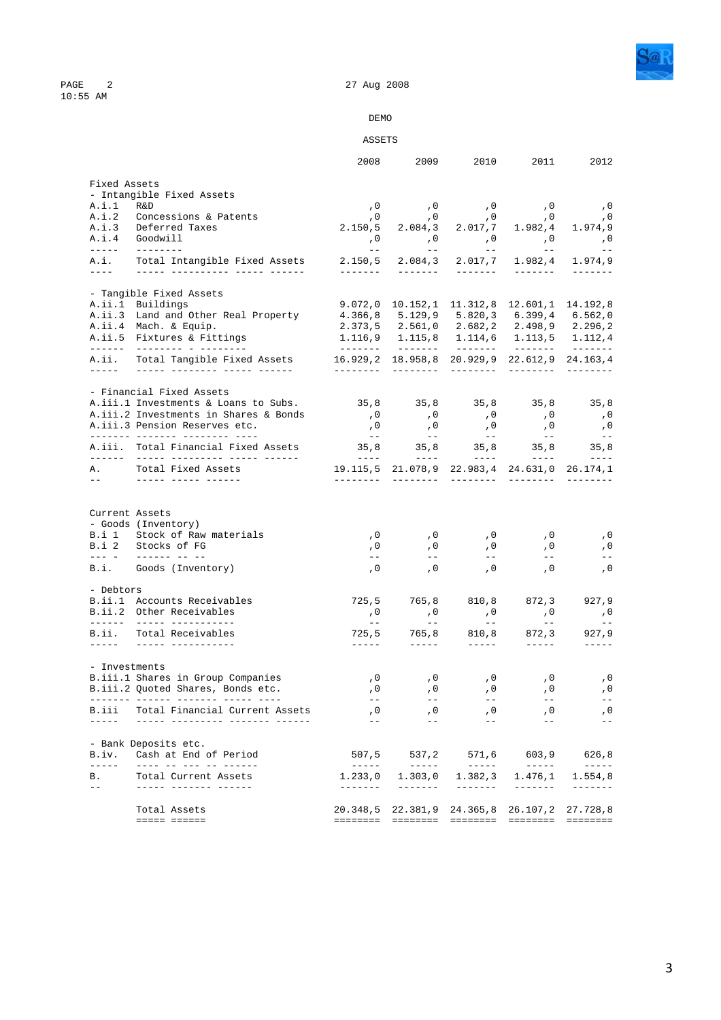

PAGE 2<br>10:55 AM

## DEMO

### ASSETS

|                                                                                                                                                                                                                                                                                                                                                                                                                                                                            |                                                                           | 2008                                                                                                                                                                                                                                                                                                                                                                                         | 2009                                                                                                                         | 2010                                                                                                                                                                                                                                                                                                                                                                                         | 2011                                   | 2012                                                                                                                                                                                                                                                                                                                                                                                                  |
|----------------------------------------------------------------------------------------------------------------------------------------------------------------------------------------------------------------------------------------------------------------------------------------------------------------------------------------------------------------------------------------------------------------------------------------------------------------------------|---------------------------------------------------------------------------|----------------------------------------------------------------------------------------------------------------------------------------------------------------------------------------------------------------------------------------------------------------------------------------------------------------------------------------------------------------------------------------------|------------------------------------------------------------------------------------------------------------------------------|----------------------------------------------------------------------------------------------------------------------------------------------------------------------------------------------------------------------------------------------------------------------------------------------------------------------------------------------------------------------------------------------|----------------------------------------|-------------------------------------------------------------------------------------------------------------------------------------------------------------------------------------------------------------------------------------------------------------------------------------------------------------------------------------------------------------------------------------------------------|
| Fixed Assets                                                                                                                                                                                                                                                                                                                                                                                                                                                               |                                                                           |                                                                                                                                                                                                                                                                                                                                                                                              |                                                                                                                              |                                                                                                                                                                                                                                                                                                                                                                                              |                                        |                                                                                                                                                                                                                                                                                                                                                                                                       |
|                                                                                                                                                                                                                                                                                                                                                                                                                                                                            | - Intangible Fixed Assets                                                 |                                                                                                                                                                                                                                                                                                                                                                                              |                                                                                                                              |                                                                                                                                                                                                                                                                                                                                                                                              |                                        |                                                                                                                                                                                                                                                                                                                                                                                                       |
| A.i.1                                                                                                                                                                                                                                                                                                                                                                                                                                                                      | R&D                                                                       |                                                                                                                                                                                                                                                                                                                                                                                              | 0, 0, 0, 0, 0, 0, 0,                                                                                                         |                                                                                                                                                                                                                                                                                                                                                                                              |                                        |                                                                                                                                                                                                                                                                                                                                                                                                       |
|                                                                                                                                                                                                                                                                                                                                                                                                                                                                            | A.i.2 Concessions & Patents<br>A.i.3 Deferred Taxes                       |                                                                                                                                                                                                                                                                                                                                                                                              | $\begin{array}{cccccc} 0 & 0 & 0 & 0 & 0 \\ 2.150 \,, 5 & 2.084 \,, 3 & 2.017 \,, 7 & 1.982 \,, 4 & 1.974 \,, 9 \end{array}$ |                                                                                                                                                                                                                                                                                                                                                                                              |                                        |                                                                                                                                                                                                                                                                                                                                                                                                       |
| A.i.4                                                                                                                                                                                                                                                                                                                                                                                                                                                                      | Goodwill                                                                  |                                                                                                                                                                                                                                                                                                                                                                                              |                                                                                                                              |                                                                                                                                                                                                                                                                                                                                                                                              |                                        |                                                                                                                                                                                                                                                                                                                                                                                                       |
| $\frac{1}{2} \left( \frac{1}{2} \right) \left( \frac{1}{2} \right) \left( \frac{1}{2} \right) \left( \frac{1}{2} \right) \left( \frac{1}{2} \right) \left( \frac{1}{2} \right) \left( \frac{1}{2} \right) \left( \frac{1}{2} \right) \left( \frac{1}{2} \right) \left( \frac{1}{2} \right) \left( \frac{1}{2} \right) \left( \frac{1}{2} \right) \left( \frac{1}{2} \right) \left( \frac{1}{2} \right) \left( \frac{1}{2} \right) \left( \frac{1}{2} \right) \left( \frac$ | ----------                                                                | $\sim$ $  \sim$ $-$                                                                                                                                                                                                                                                                                                                                                                          | 0, 0, 0, 0, 0, 0, 0,<br><b>Common</b>                                                                                        | $\mathcal{L}^{\mathcal{L}}$ and $\mathcal{L}^{\mathcal{L}}$ and $\mathcal{L}^{\mathcal{L}}$                                                                                                                                                                                                                                                                                                  | <b>Simple Street</b>                   | $\sim$ $-$                                                                                                                                                                                                                                                                                                                                                                                            |
| A.i.<br>$\frac{1}{2} \frac{1}{2} \frac{1}{2} \frac{1}{2} \frac{1}{2} \frac{1}{2} \frac{1}{2} \frac{1}{2} \frac{1}{2} \frac{1}{2} \frac{1}{2} \frac{1}{2} \frac{1}{2} \frac{1}{2} \frac{1}{2} \frac{1}{2} \frac{1}{2} \frac{1}{2} \frac{1}{2} \frac{1}{2} \frac{1}{2} \frac{1}{2} \frac{1}{2} \frac{1}{2} \frac{1}{2} \frac{1}{2} \frac{1}{2} \frac{1}{2} \frac{1}{2} \frac{1}{2} \frac{1}{2} \frac{$                                                                       | Total Intangible Fixed Assets<br><u> ----- ----------- ----- ------</u>   | 2.150, 5<br>_______                                                                                                                                                                                                                                                                                                                                                                          | --------                                                                                                                     | 2.084,3 2.017,7                                                                                                                                                                                                                                                                                                                                                                              | 1.982,4<br>--------                    | 1.974.9                                                                                                                                                                                                                                                                                                                                                                                               |
|                                                                                                                                                                                                                                                                                                                                                                                                                                                                            |                                                                           |                                                                                                                                                                                                                                                                                                                                                                                              |                                                                                                                              |                                                                                                                                                                                                                                                                                                                                                                                              |                                        |                                                                                                                                                                                                                                                                                                                                                                                                       |
|                                                                                                                                                                                                                                                                                                                                                                                                                                                                            | - Tangible Fixed Assets<br>A.ii.1 Buildings                               |                                                                                                                                                                                                                                                                                                                                                                                              | 9.072,0 10.152,1 11.312,8 12.601,1 14.192,8                                                                                  |                                                                                                                                                                                                                                                                                                                                                                                              |                                        |                                                                                                                                                                                                                                                                                                                                                                                                       |
|                                                                                                                                                                                                                                                                                                                                                                                                                                                                            | A.ii.3 Land and Other Real Property                                       |                                                                                                                                                                                                                                                                                                                                                                                              | 4.366,8 5.129,9 5.820,3 6.399,4 6.562,0                                                                                      |                                                                                                                                                                                                                                                                                                                                                                                              |                                        |                                                                                                                                                                                                                                                                                                                                                                                                       |
|                                                                                                                                                                                                                                                                                                                                                                                                                                                                            | A.ii.4 Mach. & Equip.                                                     |                                                                                                                                                                                                                                                                                                                                                                                              | 2.373,5 2.561,0 2.682,2 2.498,9 2.296,2                                                                                      |                                                                                                                                                                                                                                                                                                                                                                                              |                                        |                                                                                                                                                                                                                                                                                                                                                                                                       |
|                                                                                                                                                                                                                                                                                                                                                                                                                                                                            | A.ii.5 Fixtures & Fittings                                                |                                                                                                                                                                                                                                                                                                                                                                                              | 1.116,9 1.115,8 1.114,6 1.113,5 1.112,4                                                                                      |                                                                                                                                                                                                                                                                                                                                                                                              |                                        |                                                                                                                                                                                                                                                                                                                                                                                                       |
|                                                                                                                                                                                                                                                                                                                                                                                                                                                                            |                                                                           |                                                                                                                                                                                                                                                                                                                                                                                              |                                                                                                                              |                                                                                                                                                                                                                                                                                                                                                                                              |                                        |                                                                                                                                                                                                                                                                                                                                                                                                       |
| A.ii.                                                                                                                                                                                                                                                                                                                                                                                                                                                                      | Total Tangible Fixed Assets                                               | 16.929,2 18.958,8 20.929,9 22.612,9 24.163,4                                                                                                                                                                                                                                                                                                                                                 |                                                                                                                              | _________                                                                                                                                                                                                                                                                                                                                                                                    | _________                              | $- - - - - - - -$                                                                                                                                                                                                                                                                                                                                                                                     |
|                                                                                                                                                                                                                                                                                                                                                                                                                                                                            | - Financial Fixed Assets                                                  |                                                                                                                                                                                                                                                                                                                                                                                              |                                                                                                                              |                                                                                                                                                                                                                                                                                                                                                                                              |                                        |                                                                                                                                                                                                                                                                                                                                                                                                       |
|                                                                                                                                                                                                                                                                                                                                                                                                                                                                            | A.iii.1 Investments & Loans to Subs.                                      |                                                                                                                                                                                                                                                                                                                                                                                              | 35,8 35,8 35,8 35,8 35,8                                                                                                     |                                                                                                                                                                                                                                                                                                                                                                                              |                                        |                                                                                                                                                                                                                                                                                                                                                                                                       |
|                                                                                                                                                                                                                                                                                                                                                                                                                                                                            | A.iii.2 Investments in Shares & Bonds                                     | , 0                                                                                                                                                                                                                                                                                                                                                                                          | , 0                                                                                                                          | $\overline{\phantom{a}}$ , 0                                                                                                                                                                                                                                                                                                                                                                 | $\overline{\phantom{a}}$ , 0           | , 0                                                                                                                                                                                                                                                                                                                                                                                                   |
|                                                                                                                                                                                                                                                                                                                                                                                                                                                                            | A.iii.3 Pension Reserves etc.                                             | , 0                                                                                                                                                                                                                                                                                                                                                                                          | , 0                                                                                                                          | , 0                                                                                                                                                                                                                                                                                                                                                                                          | , 0                                    | , 0                                                                                                                                                                                                                                                                                                                                                                                                   |
|                                                                                                                                                                                                                                                                                                                                                                                                                                                                            |                                                                           | $\sim$ $ -$                                                                                                                                                                                                                                                                                                                                                                                  | $\sim$ $ -$                                                                                                                  | $\mathbb{R}^2$                                                                                                                                                                                                                                                                                                                                                                               | $\frac{1}{\sqrt{2}}\frac{1}{\sqrt{2}}$ | $\frac{1}{2}$                                                                                                                                                                                                                                                                                                                                                                                         |
|                                                                                                                                                                                                                                                                                                                                                                                                                                                                            | A.iii. Total Financial Fixed Assets                                       |                                                                                                                                                                                                                                                                                                                                                                                              | $35,8$ $35,8$ $35,8$ $35,8$ $35,8$ $35,8$ $35,8$                                                                             |                                                                                                                                                                                                                                                                                                                                                                                              |                                        |                                                                                                                                                                                                                                                                                                                                                                                                       |
| $A$ .<br>$ -$                                                                                                                                                                                                                                                                                                                                                                                                                                                              | Total Fixed Assets<br>______ _____ ______                                 | 19.115,5 21.078,9 22.983,4 24.631,0 26.174,1                                                                                                                                                                                                                                                                                                                                                 |                                                                                                                              |                                                                                                                                                                                                                                                                                                                                                                                              |                                        | <u>________</u>                                                                                                                                                                                                                                                                                                                                                                                       |
|                                                                                                                                                                                                                                                                                                                                                                                                                                                                            | - Goods (Inventory)<br>B.i 1 Stock of Raw materials<br>B.i 2 Stocks of FG | , 0<br>, 0                                                                                                                                                                                                                                                                                                                                                                                   | , 0<br>, 0                                                                                                                   | , 0<br>, 0                                                                                                                                                                                                                                                                                                                                                                                   | , 0<br>, 0                             | , 0<br>, 0                                                                                                                                                                                                                                                                                                                                                                                            |
|                                                                                                                                                                                                                                                                                                                                                                                                                                                                            | B.i. Goods (Inventory)                                                    | $\frac{1}{2}$ and $\frac{1}{2}$<br>, 0                                                                                                                                                                                                                                                                                                                                                       | $\frac{1}{2}$ and $\frac{1}{2}$<br>, 0                                                                                       | $\frac{1}{2}$ and $\frac{1}{2}$<br>, 0                                                                                                                                                                                                                                                                                                                                                       | $\frac{1}{2}$ and $\frac{1}{2}$<br>, 0 | $- \, -$<br>, 0                                                                                                                                                                                                                                                                                                                                                                                       |
| - Debtors                                                                                                                                                                                                                                                                                                                                                                                                                                                                  |                                                                           |                                                                                                                                                                                                                                                                                                                                                                                              |                                                                                                                              |                                                                                                                                                                                                                                                                                                                                                                                              |                                        |                                                                                                                                                                                                                                                                                                                                                                                                       |
|                                                                                                                                                                                                                                                                                                                                                                                                                                                                            | B.ii.1 Accounts Receivables                                               |                                                                                                                                                                                                                                                                                                                                                                                              | 725,5 765,8 810,8 872,3                                                                                                      |                                                                                                                                                                                                                                                                                                                                                                                              |                                        | 927,9                                                                                                                                                                                                                                                                                                                                                                                                 |
|                                                                                                                                                                                                                                                                                                                                                                                                                                                                            | B.ii.2 Other Receivables<br>_____________________________                 | $\overline{0}$                                                                                                                                                                                                                                                                                                                                                                               | , 0<br>$\mathcal{L}^{\mathcal{L}}(\mathcal{L}^{\mathcal{L}})$ and $\mathcal{L}^{\mathcal{L}}(\mathcal{L}^{\mathcal{L}})$     | , 0<br>$\mathcal{L}^{\mathcal{L}}(\mathcal{L}^{\mathcal{L}})$ and $\mathcal{L}^{\mathcal{L}}(\mathcal{L}^{\mathcal{L}})$                                                                                                                                                                                                                                                                     | , 0                                    | , 0<br>$\sim$ $  -$                                                                                                                                                                                                                                                                                                                                                                                   |
| B.ii.<br>$\frac{1}{2} \frac{1}{2} \frac{1}{2} \frac{1}{2} \frac{1}{2} \frac{1}{2} \frac{1}{2} \frac{1}{2} \frac{1}{2} \frac{1}{2} \frac{1}{2} \frac{1}{2} \frac{1}{2} \frac{1}{2} \frac{1}{2} \frac{1}{2} \frac{1}{2} \frac{1}{2} \frac{1}{2} \frac{1}{2} \frac{1}{2} \frac{1}{2} \frac{1}{2} \frac{1}{2} \frac{1}{2} \frac{1}{2} \frac{1}{2} \frac{1}{2} \frac{1}{2} \frac{1}{2} \frac{1}{2} \frac{$                                                                      | Total Receivables<br>______ ___________                                   | $\frac{1}{2} \frac{1}{2} \frac{1}{2} \frac{1}{2} \frac{1}{2} \frac{1}{2} \frac{1}{2} \frac{1}{2} \frac{1}{2} \frac{1}{2} \frac{1}{2} \frac{1}{2} \frac{1}{2} \frac{1}{2} \frac{1}{2} \frac{1}{2} \frac{1}{2} \frac{1}{2} \frac{1}{2} \frac{1}{2} \frac{1}{2} \frac{1}{2} \frac{1}{2} \frac{1}{2} \frac{1}{2} \frac{1}{2} \frac{1}{2} \frac{1}{2} \frac{1}{2} \frac{1}{2} \frac{1}{2} \frac{$ | 725,5 765,8 810,8 872,3<br>$\frac{1}{2}$                                                                                     | $\frac{1}{2} \frac{1}{2} \frac{1}{2} \frac{1}{2} \frac{1}{2} \frac{1}{2} \frac{1}{2} \frac{1}{2} \frac{1}{2} \frac{1}{2} \frac{1}{2} \frac{1}{2} \frac{1}{2} \frac{1}{2} \frac{1}{2} \frac{1}{2} \frac{1}{2} \frac{1}{2} \frac{1}{2} \frac{1}{2} \frac{1}{2} \frac{1}{2} \frac{1}{2} \frac{1}{2} \frac{1}{2} \frac{1}{2} \frac{1}{2} \frac{1}{2} \frac{1}{2} \frac{1}{2} \frac{1}{2} \frac{$ |                                        | 927,9<br>$- - - - - -$                                                                                                                                                                                                                                                                                                                                                                                |
|                                                                                                                                                                                                                                                                                                                                                                                                                                                                            |                                                                           |                                                                                                                                                                                                                                                                                                                                                                                              |                                                                                                                              |                                                                                                                                                                                                                                                                                                                                                                                              |                                        |                                                                                                                                                                                                                                                                                                                                                                                                       |
| - Investments                                                                                                                                                                                                                                                                                                                                                                                                                                                              |                                                                           |                                                                                                                                                                                                                                                                                                                                                                                              |                                                                                                                              |                                                                                                                                                                                                                                                                                                                                                                                              |                                        |                                                                                                                                                                                                                                                                                                                                                                                                       |
|                                                                                                                                                                                                                                                                                                                                                                                                                                                                            | B.iii.1 Shares in Group Companies                                         | , 0                                                                                                                                                                                                                                                                                                                                                                                          | , 0                                                                                                                          | , 0                                                                                                                                                                                                                                                                                                                                                                                          | , 0                                    | , 0                                                                                                                                                                                                                                                                                                                                                                                                   |
|                                                                                                                                                                                                                                                                                                                                                                                                                                                                            | B.iii.2 Quoted Shares, Bonds etc.                                         | , 0                                                                                                                                                                                                                                                                                                                                                                                          | , 0                                                                                                                          | , 0                                                                                                                                                                                                                                                                                                                                                                                          | , 0                                    | , 0                                                                                                                                                                                                                                                                                                                                                                                                   |
| B.iii                                                                                                                                                                                                                                                                                                                                                                                                                                                                      | Total Financial Current Assets                                            | , 0                                                                                                                                                                                                                                                                                                                                                                                          | $- -$<br>, 0                                                                                                                 | ___<br>, 0                                                                                                                                                                                                                                                                                                                                                                                   | ---<br>, 0                             | ———<br>, 0                                                                                                                                                                                                                                                                                                                                                                                            |
|                                                                                                                                                                                                                                                                                                                                                                                                                                                                            | ____ _______                                                              |                                                                                                                                                                                                                                                                                                                                                                                              |                                                                                                                              |                                                                                                                                                                                                                                                                                                                                                                                              |                                        | $\qquad \qquad -$                                                                                                                                                                                                                                                                                                                                                                                     |
|                                                                                                                                                                                                                                                                                                                                                                                                                                                                            | - Bank Deposits etc.                                                      |                                                                                                                                                                                                                                                                                                                                                                                              |                                                                                                                              |                                                                                                                                                                                                                                                                                                                                                                                              |                                        |                                                                                                                                                                                                                                                                                                                                                                                                       |
| B.iv.<br>$- - - - -$                                                                                                                                                                                                                                                                                                                                                                                                                                                       | Cash at End of Period                                                     | 507,5<br>$\cdots \cdots \cdots \cdots$                                                                                                                                                                                                                                                                                                                                                       | 537,2<br>$- - - - - -$                                                                                                       | 571,6<br>$\qquad \qquad - - - - -$                                                                                                                                                                                                                                                                                                                                                           | 603,9<br>$- - - - - -$                 | 626,8<br>$\frac{1}{2} \frac{1}{2} \frac{1}{2} \frac{1}{2} \frac{1}{2} \frac{1}{2} \frac{1}{2} \frac{1}{2} \frac{1}{2} \frac{1}{2} \frac{1}{2} \frac{1}{2} \frac{1}{2} \frac{1}{2} \frac{1}{2} \frac{1}{2} \frac{1}{2} \frac{1}{2} \frac{1}{2} \frac{1}{2} \frac{1}{2} \frac{1}{2} \frac{1}{2} \frac{1}{2} \frac{1}{2} \frac{1}{2} \frac{1}{2} \frac{1}{2} \frac{1}{2} \frac{1}{2} \frac{1}{2} \frac{$ |
| В.                                                                                                                                                                                                                                                                                                                                                                                                                                                                         | Total Current Assets                                                      | 1.233,0                                                                                                                                                                                                                                                                                                                                                                                      | 1.303,0                                                                                                                      | 1.382,3                                                                                                                                                                                                                                                                                                                                                                                      | 1.476,1                                | 1.554,8                                                                                                                                                                                                                                                                                                                                                                                               |
| $=$ $-$                                                                                                                                                                                                                                                                                                                                                                                                                                                                    |                                                                           | $- - - - - - -$                                                                                                                                                                                                                                                                                                                                                                              | -------                                                                                                                      | -------                                                                                                                                                                                                                                                                                                                                                                                      | $- - - - - - -$                        | $- - - - - - -$                                                                                                                                                                                                                                                                                                                                                                                       |
|                                                                                                                                                                                                                                                                                                                                                                                                                                                                            | Total Assets                                                              |                                                                                                                                                                                                                                                                                                                                                                                              | 20.348,5 22.381,9                                                                                                            | 24.365,8                                                                                                                                                                                                                                                                                                                                                                                     | 26.107,2                               | 27.728,8                                                                                                                                                                                                                                                                                                                                                                                              |
|                                                                                                                                                                                                                                                                                                                                                                                                                                                                            | ===== ======                                                              | ========                                                                                                                                                                                                                                                                                                                                                                                     | $=$ = = = = = = =                                                                                                            |                                                                                                                                                                                                                                                                                                                                                                                              | ========                               | $\qquad \qquad \equiv \equiv \equiv \equiv \equiv \equiv \equiv \equiv$                                                                                                                                                                                                                                                                                                                               |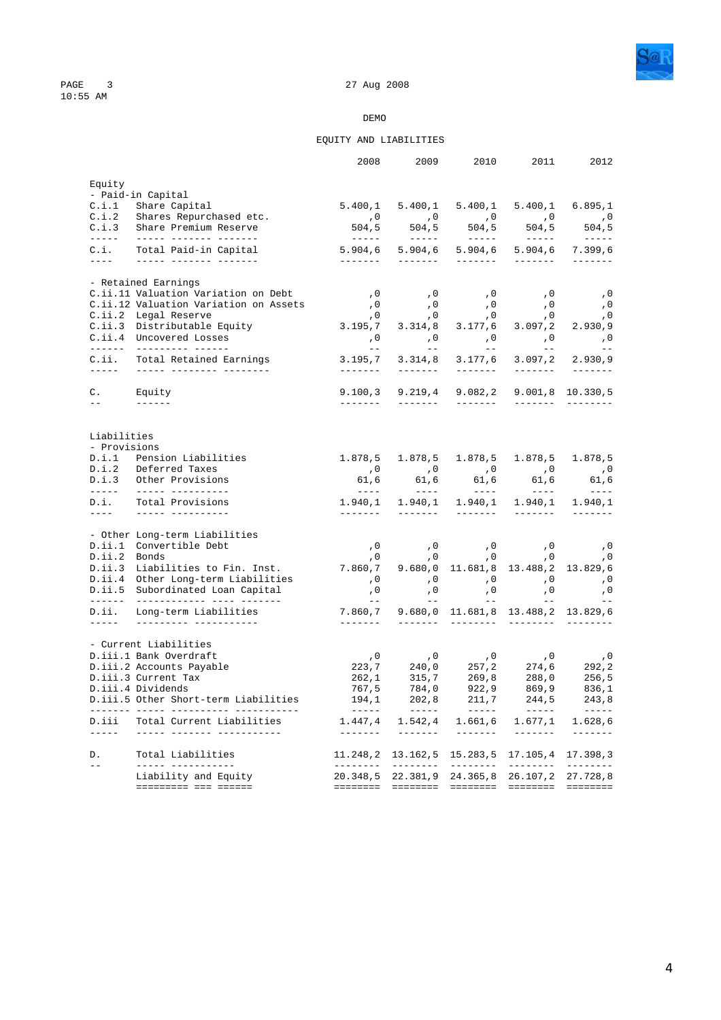

### EQUITY AND LIABILITIES

|                         |                                                                        | 2008                                                                                                                                                                                                                                                                                                                                                                                                                                           | 2009                                                                                                                                                                                                                                                                                                                                                                                                                                           | 2010                                                                                                                                                                                                                                                                                                                                                                                                                                                                                   | 2011                                                                                                                                                                                                                                                                                                                                                                                                                                                                                                                       | 2012                                                                                                                                                                                                                                                                                                                                                                                                                                                                                              |
|-------------------------|------------------------------------------------------------------------|------------------------------------------------------------------------------------------------------------------------------------------------------------------------------------------------------------------------------------------------------------------------------------------------------------------------------------------------------------------------------------------------------------------------------------------------|------------------------------------------------------------------------------------------------------------------------------------------------------------------------------------------------------------------------------------------------------------------------------------------------------------------------------------------------------------------------------------------------------------------------------------------------|----------------------------------------------------------------------------------------------------------------------------------------------------------------------------------------------------------------------------------------------------------------------------------------------------------------------------------------------------------------------------------------------------------------------------------------------------------------------------------------|----------------------------------------------------------------------------------------------------------------------------------------------------------------------------------------------------------------------------------------------------------------------------------------------------------------------------------------------------------------------------------------------------------------------------------------------------------------------------------------------------------------------------|---------------------------------------------------------------------------------------------------------------------------------------------------------------------------------------------------------------------------------------------------------------------------------------------------------------------------------------------------------------------------------------------------------------------------------------------------------------------------------------------------|
| Equity                  |                                                                        |                                                                                                                                                                                                                                                                                                                                                                                                                                                |                                                                                                                                                                                                                                                                                                                                                                                                                                                |                                                                                                                                                                                                                                                                                                                                                                                                                                                                                        |                                                                                                                                                                                                                                                                                                                                                                                                                                                                                                                            |                                                                                                                                                                                                                                                                                                                                                                                                                                                                                                   |
|                         | - Paid-in Capital                                                      |                                                                                                                                                                                                                                                                                                                                                                                                                                                |                                                                                                                                                                                                                                                                                                                                                                                                                                                |                                                                                                                                                                                                                                                                                                                                                                                                                                                                                        |                                                                                                                                                                                                                                                                                                                                                                                                                                                                                                                            |                                                                                                                                                                                                                                                                                                                                                                                                                                                                                                   |
|                         | C.i.1 Share Capital                                                    |                                                                                                                                                                                                                                                                                                                                                                                                                                                |                                                                                                                                                                                                                                                                                                                                                                                                                                                |                                                                                                                                                                                                                                                                                                                                                                                                                                                                                        | 5.400,1 5.400,1 5.400,1 5.400,1 6.895,1                                                                                                                                                                                                                                                                                                                                                                                                                                                                                    |                                                                                                                                                                                                                                                                                                                                                                                                                                                                                                   |
|                         | C.i.2 Shares Repurchased etc.<br>C.i.3 Share Premium Reserve           |                                                                                                                                                                                                                                                                                                                                                                                                                                                |                                                                                                                                                                                                                                                                                                                                                                                                                                                |                                                                                                                                                                                                                                                                                                                                                                                                                                                                                        |                                                                                                                                                                                                                                                                                                                                                                                                                                                                                                                            |                                                                                                                                                                                                                                                                                                                                                                                                                                                                                                   |
|                         |                                                                        |                                                                                                                                                                                                                                                                                                                                                                                                                                                |                                                                                                                                                                                                                                                                                                                                                                                                                                                |                                                                                                                                                                                                                                                                                                                                                                                                                                                                                        |                                                                                                                                                                                                                                                                                                                                                                                                                                                                                                                            |                                                                                                                                                                                                                                                                                                                                                                                                                                                                                                   |
| C.i.                    | Total Paid-in Capital<br>_____________________________                 | <u>_______</u>                                                                                                                                                                                                                                                                                                                                                                                                                                 | --------                                                                                                                                                                                                                                                                                                                                                                                                                                       |                                                                                                                                                                                                                                                                                                                                                                                                                                                                                        | 5.904,6 5.904,6 5.904,6 5.904,6                                                                                                                                                                                                                                                                                                                                                                                                                                                                                            | 7.399,6<br>$\begin{array}{cccccccccc} \multicolumn{2}{c}{} & \multicolumn{2}{c}{} & \multicolumn{2}{c}{} & \multicolumn{2}{c}{} & \multicolumn{2}{c}{} & \multicolumn{2}{c}{} & \multicolumn{2}{c}{} & \multicolumn{2}{c}{} & \multicolumn{2}{c}{} & \multicolumn{2}{c}{} & \multicolumn{2}{c}{} & \multicolumn{2}{c}{} & \multicolumn{2}{c}{} & \multicolumn{2}{c}{} & \multicolumn{2}{c}{} & \multicolumn{2}{c}{} & \multicolumn{2}{c}{} & \multicolumn{2}{c}{} & \multicolumn{2}{c}{} & \mult$ |
|                         | - Retained Earnings                                                    |                                                                                                                                                                                                                                                                                                                                                                                                                                                |                                                                                                                                                                                                                                                                                                                                                                                                                                                |                                                                                                                                                                                                                                                                                                                                                                                                                                                                                        |                                                                                                                                                                                                                                                                                                                                                                                                                                                                                                                            |                                                                                                                                                                                                                                                                                                                                                                                                                                                                                                   |
|                         | C.ii.11 Valuation Variation on Debt                                    | , 0                                                                                                                                                                                                                                                                                                                                                                                                                                            | , 0                                                                                                                                                                                                                                                                                                                                                                                                                                            | , 0                                                                                                                                                                                                                                                                                                                                                                                                                                                                                    | , 0                                                                                                                                                                                                                                                                                                                                                                                                                                                                                                                        | , 0                                                                                                                                                                                                                                                                                                                                                                                                                                                                                               |
|                         | C.ii.12 Valuation Variation on Assets                                  |                                                                                                                                                                                                                                                                                                                                                                                                                                                | 0,     0,<br>0,     0,                                                                                                                                                                                                                                                                                                                                                                                                                         |                                                                                                                                                                                                                                                                                                                                                                                                                                                                                        | 0,0<br>0,0    0,                                                                                                                                                                                                                                                                                                                                                                                                                                                                                                           |                                                                                                                                                                                                                                                                                                                                                                                                                                                                                                   |
|                         | C.ii.2 Legal Reserve                                                   |                                                                                                                                                                                                                                                                                                                                                                                                                                                |                                                                                                                                                                                                                                                                                                                                                                                                                                                |                                                                                                                                                                                                                                                                                                                                                                                                                                                                                        |                                                                                                                                                                                                                                                                                                                                                                                                                                                                                                                            |                                                                                                                                                                                                                                                                                                                                                                                                                                                                                                   |
|                         | C.ii.3 Distributable Equity<br>C.ii.4 Uncovered Losses                 | 3.195,7                                                                                                                                                                                                                                                                                                                                                                                                                                        | 3.314,8                                                                                                                                                                                                                                                                                                                                                                                                                                        | 3.177,6                                                                                                                                                                                                                                                                                                                                                                                                                                                                                | 3.097, 2                                                                                                                                                                                                                                                                                                                                                                                                                                                                                                                   | 2.930, 9                                                                                                                                                                                                                                                                                                                                                                                                                                                                                          |
|                         | _________________________                                              |                                                                                                                                                                                                                                                                                                                                                                                                                                                |                                                                                                                                                                                                                                                                                                                                                                                                                                                |                                                                                                                                                                                                                                                                                                                                                                                                                                                                                        |                                                                                                                                                                                                                                                                                                                                                                                                                                                                                                                            |                                                                                                                                                                                                                                                                                                                                                                                                                                                                                                   |
| C.i.i.<br>$\frac{1}{2}$ | Total Retained Earnings<br>______ ________ _______                     | 3.195,7                                                                                                                                                                                                                                                                                                                                                                                                                                        | 3.314,8                                                                                                                                                                                                                                                                                                                                                                                                                                        | 3.177,6                                                                                                                                                                                                                                                                                                                                                                                                                                                                                | 3.097,2                                                                                                                                                                                                                                                                                                                                                                                                                                                                                                                    | 2.930, 9<br>--------                                                                                                                                                                                                                                                                                                                                                                                                                                                                              |
|                         |                                                                        | -------- <b>11</b>                                                                                                                                                                                                                                                                                                                                                                                                                             |                                                                                                                                                                                                                                                                                                                                                                                                                                                |                                                                                                                                                                                                                                                                                                                                                                                                                                                                                        |                                                                                                                                                                                                                                                                                                                                                                                                                                                                                                                            |                                                                                                                                                                                                                                                                                                                                                                                                                                                                                                   |
| $\mathbb{C}$ .          | Equity                                                                 | 9.100, 3                                                                                                                                                                                                                                                                                                                                                                                                                                       | 9.219,4                                                                                                                                                                                                                                                                                                                                                                                                                                        | 9.082, 2                                                                                                                                                                                                                                                                                                                                                                                                                                                                               |                                                                                                                                                                                                                                                                                                                                                                                                                                                                                                                            | $9.001, 8$ 10.330,5                                                                                                                                                                                                                                                                                                                                                                                                                                                                               |
| $- -$                   |                                                                        | $- - - - - - -$                                                                                                                                                                                                                                                                                                                                                                                                                                | --------                                                                                                                                                                                                                                                                                                                                                                                                                                       | $\begin{array}{cccccccccc} \multicolumn{2}{c}{} & \multicolumn{2}{c}{} & \multicolumn{2}{c}{} & \multicolumn{2}{c}{} & \multicolumn{2}{c}{} & \multicolumn{2}{c}{} & \multicolumn{2}{c}{} & \multicolumn{2}{c}{} & \multicolumn{2}{c}{} & \multicolumn{2}{c}{} & \multicolumn{2}{c}{} & \multicolumn{2}{c}{} & \multicolumn{2}{c}{} & \multicolumn{2}{c}{} & \multicolumn{2}{c}{} & \multicolumn{2}{c}{} & \multicolumn{2}{c}{} & \multicolumn{2}{c}{} & \multicolumn{2}{c}{} & \mult$ |                                                                                                                                                                                                                                                                                                                                                                                                                                                                                                                            | $- - - - - - - -$                                                                                                                                                                                                                                                                                                                                                                                                                                                                                 |
| Liabilities             |                                                                        |                                                                                                                                                                                                                                                                                                                                                                                                                                                |                                                                                                                                                                                                                                                                                                                                                                                                                                                |                                                                                                                                                                                                                                                                                                                                                                                                                                                                                        |                                                                                                                                                                                                                                                                                                                                                                                                                                                                                                                            |                                                                                                                                                                                                                                                                                                                                                                                                                                                                                                   |
| - Provisions            |                                                                        |                                                                                                                                                                                                                                                                                                                                                                                                                                                |                                                                                                                                                                                                                                                                                                                                                                                                                                                |                                                                                                                                                                                                                                                                                                                                                                                                                                                                                        |                                                                                                                                                                                                                                                                                                                                                                                                                                                                                                                            |                                                                                                                                                                                                                                                                                                                                                                                                                                                                                                   |
|                         | D.i.1 Pension Liabilities                                              |                                                                                                                                                                                                                                                                                                                                                                                                                                                | $1.878, 5$ 1.878,5                                                                                                                                                                                                                                                                                                                                                                                                                             | 1.878,5                                                                                                                                                                                                                                                                                                                                                                                                                                                                                | 1.878,5                                                                                                                                                                                                                                                                                                                                                                                                                                                                                                                    | 1.878,5                                                                                                                                                                                                                                                                                                                                                                                                                                                                                           |
|                         | D.i.2 Deferred Taxes<br>D.i.3 Other Provisions                         | 61,6                                                                                                                                                                                                                                                                                                                                                                                                                                           | 61,6                                                                                                                                                                                                                                                                                                                                                                                                                                           | 61,6                                                                                                                                                                                                                                                                                                                                                                                                                                                                                   | 0, 0, 0, 0, 0,<br>61,6                                                                                                                                                                                                                                                                                                                                                                                                                                                                                                     | 61,6                                                                                                                                                                                                                                                                                                                                                                                                                                                                                              |
|                         |                                                                        | $\frac{1}{2} \left( \frac{1}{2} \right) \frac{1}{2} \left( \frac{1}{2} \right) \frac{1}{2} \left( \frac{1}{2} \right) \frac{1}{2} \left( \frac{1}{2} \right) \frac{1}{2} \left( \frac{1}{2} \right) \frac{1}{2} \left( \frac{1}{2} \right) \frac{1}{2} \left( \frac{1}{2} \right) \frac{1}{2} \left( \frac{1}{2} \right) \frac{1}{2} \left( \frac{1}{2} \right) \frac{1}{2} \left( \frac{1}{2} \right) \frac{1}{2} \left( \frac{1}{2} \right)$ | $\frac{1}{2} \left( \frac{1}{2} \right) \frac{1}{2} \left( \frac{1}{2} \right) \frac{1}{2} \left( \frac{1}{2} \right) \frac{1}{2} \left( \frac{1}{2} \right) \frac{1}{2} \left( \frac{1}{2} \right) \frac{1}{2} \left( \frac{1}{2} \right) \frac{1}{2} \left( \frac{1}{2} \right) \frac{1}{2} \left( \frac{1}{2} \right) \frac{1}{2} \left( \frac{1}{2} \right) \frac{1}{2} \left( \frac{1}{2} \right) \frac{1}{2} \left( \frac{1}{2} \right)$ | $\frac{1}{2} \left( \frac{1}{2} \right) \frac{1}{2} \left( \frac{1}{2} \right) \frac{1}{2} \left( \frac{1}{2} \right) \frac{1}{2} \left( \frac{1}{2} \right) \frac{1}{2} \left( \frac{1}{2} \right) \frac{1}{2} \left( \frac{1}{2} \right) \frac{1}{2} \left( \frac{1}{2} \right) \frac{1}{2} \left( \frac{1}{2} \right) \frac{1}{2} \left( \frac{1}{2} \right) \frac{1}{2} \left( \frac{1}{2} \right) \frac{1}{2} \left( \frac{1}{2} \right)$                                         | $\sim$ $\sim$ $\sim$ $\sim$ $\sim$                                                                                                                                                                                                                                                                                                                                                                                                                                                                                         | $- - - - -$                                                                                                                                                                                                                                                                                                                                                                                                                                                                                       |
| D.i.<br>$\frac{1}{2}$   | Total Provisions<br>__________________                                 | $1.940, 1$ $1.940, 1$ $1.940, 1$ $1.940, 1$ $1.940, 1$<br><u> 2222222 - 1</u>                                                                                                                                                                                                                                                                                                                                                                  | --------                                                                                                                                                                                                                                                                                                                                                                                                                                       |                                                                                                                                                                                                                                                                                                                                                                                                                                                                                        | $\frac{1}{2}$                                                                                                                                                                                                                                                                                                                                                                                                                                                                                                              | $\frac{1}{2}$                                                                                                                                                                                                                                                                                                                                                                                                                                                                                     |
|                         |                                                                        |                                                                                                                                                                                                                                                                                                                                                                                                                                                |                                                                                                                                                                                                                                                                                                                                                                                                                                                |                                                                                                                                                                                                                                                                                                                                                                                                                                                                                        |                                                                                                                                                                                                                                                                                                                                                                                                                                                                                                                            |                                                                                                                                                                                                                                                                                                                                                                                                                                                                                                   |
|                         | - Other Long-term Liabilities                                          |                                                                                                                                                                                                                                                                                                                                                                                                                                                |                                                                                                                                                                                                                                                                                                                                                                                                                                                |                                                                                                                                                                                                                                                                                                                                                                                                                                                                                        |                                                                                                                                                                                                                                                                                                                                                                                                                                                                                                                            |                                                                                                                                                                                                                                                                                                                                                                                                                                                                                                   |
|                         | D.ii.1 Convertible Debt                                                |                                                                                                                                                                                                                                                                                                                                                                                                                                                | $\, ,0\qquad \qquad ,0\,$                                                                                                                                                                                                                                                                                                                                                                                                                      |                                                                                                                                                                                                                                                                                                                                                                                                                                                                                        | 0, 0, 0, 0,<br>0, 0, 0, 0,                                                                                                                                                                                                                                                                                                                                                                                                                                                                                                 |                                                                                                                                                                                                                                                                                                                                                                                                                                                                                                   |
| D.ii.2 Bonds            |                                                                        |                                                                                                                                                                                                                                                                                                                                                                                                                                                |                                                                                                                                                                                                                                                                                                                                                                                                                                                |                                                                                                                                                                                                                                                                                                                                                                                                                                                                                        | $\begin{array}{cccc} 0 & , 0 & , 0 & , 0 \\ 7.860\,, 7 & 9.680\,, 0 & 11.681\,, 8 & 13.488\,, 2 & 13.829\,, 6 \end{array}$                                                                                                                                                                                                                                                                                                                                                                                                 |                                                                                                                                                                                                                                                                                                                                                                                                                                                                                                   |
|                         | D.ii.3 Liabilities to Fin. Inst.                                       |                                                                                                                                                                                                                                                                                                                                                                                                                                                |                                                                                                                                                                                                                                                                                                                                                                                                                                                |                                                                                                                                                                                                                                                                                                                                                                                                                                                                                        |                                                                                                                                                                                                                                                                                                                                                                                                                                                                                                                            |                                                                                                                                                                                                                                                                                                                                                                                                                                                                                                   |
|                         | D.ii.4 Other Long-term Liabilities<br>D.ii.5 Subordinated Loan Capital |                                                                                                                                                                                                                                                                                                                                                                                                                                                |                                                                                                                                                                                                                                                                                                                                                                                                                                                |                                                                                                                                                                                                                                                                                                                                                                                                                                                                                        | 0, 0, 0, 0, 0, 0,                                                                                                                                                                                                                                                                                                                                                                                                                                                                                                          | , 0                                                                                                                                                                                                                                                                                                                                                                                                                                                                                               |
|                         |                                                                        |                                                                                                                                                                                                                                                                                                                                                                                                                                                |                                                                                                                                                                                                                                                                                                                                                                                                                                                |                                                                                                                                                                                                                                                                                                                                                                                                                                                                                        | 0, 0, 0, 0, 0, 0, 0<br>-- -- -- -- --                                                                                                                                                                                                                                                                                                                                                                                                                                                                                      | $- -$                                                                                                                                                                                                                                                                                                                                                                                                                                                                                             |
| D.i.i.                  | Long-term Liabilities                                                  | 7.860,7<br>-------                                                                                                                                                                                                                                                                                                                                                                                                                             |                                                                                                                                                                                                                                                                                                                                                                                                                                                |                                                                                                                                                                                                                                                                                                                                                                                                                                                                                        | 9.680,0 11.681,8 13.488,2 13.829,6                                                                                                                                                                                                                                                                                                                                                                                                                                                                                         |                                                                                                                                                                                                                                                                                                                                                                                                                                                                                                   |
|                         | - Current Liabilities                                                  |                                                                                                                                                                                                                                                                                                                                                                                                                                                |                                                                                                                                                                                                                                                                                                                                                                                                                                                |                                                                                                                                                                                                                                                                                                                                                                                                                                                                                        |                                                                                                                                                                                                                                                                                                                                                                                                                                                                                                                            |                                                                                                                                                                                                                                                                                                                                                                                                                                                                                                   |
|                         | D.iii.1 Bank Overdraft                                                 |                                                                                                                                                                                                                                                                                                                                                                                                                                                |                                                                                                                                                                                                                                                                                                                                                                                                                                                |                                                                                                                                                                                                                                                                                                                                                                                                                                                                                        |                                                                                                                                                                                                                                                                                                                                                                                                                                                                                                                            |                                                                                                                                                                                                                                                                                                                                                                                                                                                                                                   |
|                         | D.iii.2 Accounts Payable                                               |                                                                                                                                                                                                                                                                                                                                                                                                                                                |                                                                                                                                                                                                                                                                                                                                                                                                                                                |                                                                                                                                                                                                                                                                                                                                                                                                                                                                                        |                                                                                                                                                                                                                                                                                                                                                                                                                                                                                                                            |                                                                                                                                                                                                                                                                                                                                                                                                                                                                                                   |
|                         | D.iii.3 Current Tax                                                    |                                                                                                                                                                                                                                                                                                                                                                                                                                                |                                                                                                                                                                                                                                                                                                                                                                                                                                                |                                                                                                                                                                                                                                                                                                                                                                                                                                                                                        |                                                                                                                                                                                                                                                                                                                                                                                                                                                                                                                            |                                                                                                                                                                                                                                                                                                                                                                                                                                                                                                   |
|                         | D.iii.4 Dividends                                                      |                                                                                                                                                                                                                                                                                                                                                                                                                                                |                                                                                                                                                                                                                                                                                                                                                                                                                                                |                                                                                                                                                                                                                                                                                                                                                                                                                                                                                        |                                                                                                                                                                                                                                                                                                                                                                                                                                                                                                                            |                                                                                                                                                                                                                                                                                                                                                                                                                                                                                                   |
|                         | D.iii.5 Other Short-term Liabilities                                   |                                                                                                                                                                                                                                                                                                                                                                                                                                                |                                                                                                                                                                                                                                                                                                                                                                                                                                                |                                                                                                                                                                                                                                                                                                                                                                                                                                                                                        | $\begin{array}{cccccc} ,0&\quad ,0&\quad ,0&\quad ,0&\quad ,0\\ 223,7&\quad 240\,,0&\quad 257\,,2&\quad 274\,,6&\quad 292\,,2\\ 262\,,1&\quad 315\,,7&\quad 269\,,8&\quad 288\,,0&\quad 256\,,5\\ 767\,,5&\quad 784\,,0&\quad 922\,,9&\quad 869\,,9&\quad 836\,,1\\ 194\,,1&\quad 202\,,8&\quad 211\,,7&\quad 244\,,5&\quad 243\,,$                                                                                                                                                                                        |                                                                                                                                                                                                                                                                                                                                                                                                                                                                                                   |
| D.iii<br>$\frac{1}{2}$  | Total Current Liabilities<br><u> ----- ------- ------------</u>        |                                                                                                                                                                                                                                                                                                                                                                                                                                                | 1.447,4 1.542,4                                                                                                                                                                                                                                                                                                                                                                                                                                | $\begin{array}{cccccccccc} \multicolumn{2}{c}{} & \multicolumn{2}{c}{} & \multicolumn{2}{c}{} & \multicolumn{2}{c}{} & \multicolumn{2}{c}{} & \multicolumn{2}{c}{} & \multicolumn{2}{c}{} & \multicolumn{2}{c}{} & \multicolumn{2}{c}{} & \multicolumn{2}{c}{} & \multicolumn{2}{c}{} & \multicolumn{2}{c}{} & \multicolumn{2}{c}{} & \multicolumn{2}{c}{} & \multicolumn{2}{c}{} & \multicolumn{2}{c}{} & \multicolumn{2}{c}{} & \multicolumn{2}{c}{} & \multicolumn{2}{c}{} & \mult$ | $1.661, 6$ $1.677, 1$ $1.628, 6$<br>$\begin{array}{cccccccccc} \multicolumn{2}{c}{} & \multicolumn{2}{c}{} & \multicolumn{2}{c}{} & \multicolumn{2}{c}{} & \multicolumn{2}{c}{} & \multicolumn{2}{c}{} & \multicolumn{2}{c}{} & \multicolumn{2}{c}{} & \multicolumn{2}{c}{} & \multicolumn{2}{c}{} & \multicolumn{2}{c}{} & \multicolumn{2}{c}{} & \multicolumn{2}{c}{} & \multicolumn{2}{c}{} & \multicolumn{2}{c}{} & \multicolumn{2}{c}{} & \multicolumn{2}{c}{} & \multicolumn{2}{c}{} & \multicolumn{2}{c}{} & \mult$ | $\begin{array}{cccccccccc} \multicolumn{2}{c}{} & \multicolumn{2}{c}{} & \multicolumn{2}{c}{} & \multicolumn{2}{c}{} & \multicolumn{2}{c}{} & \multicolumn{2}{c}{} & \multicolumn{2}{c}{} & \multicolumn{2}{c}{} & \multicolumn{2}{c}{} & \multicolumn{2}{c}{} & \multicolumn{2}{c}{} & \multicolumn{2}{c}{} & \multicolumn{2}{c}{} & \multicolumn{2}{c}{} & \multicolumn{2}{c}{} & \multicolumn{2}{c}{} & \multicolumn{2}{c}{} & \multicolumn{2}{c}{} & \multicolumn{2}{c}{} & \mult$            |
| D.                      | Total Liabilities                                                      |                                                                                                                                                                                                                                                                                                                                                                                                                                                |                                                                                                                                                                                                                                                                                                                                                                                                                                                |                                                                                                                                                                                                                                                                                                                                                                                                                                                                                        | 11.248,2 13.162,5 15.283,5 17.105,4 17.398,3                                                                                                                                                                                                                                                                                                                                                                                                                                                                               |                                                                                                                                                                                                                                                                                                                                                                                                                                                                                                   |
| $\equiv$ $\equiv$       | ----- -----------                                                      | ---------                                                                                                                                                                                                                                                                                                                                                                                                                                      | _________                                                                                                                                                                                                                                                                                                                                                                                                                                      | _________                                                                                                                                                                                                                                                                                                                                                                                                                                                                              | ---------                                                                                                                                                                                                                                                                                                                                                                                                                                                                                                                  | $- - - - - - - -$                                                                                                                                                                                                                                                                                                                                                                                                                                                                                 |
|                         | Liability and Equity<br>========= === =======                          | 20.348,5<br><b>EEEEEEE</b>                                                                                                                                                                                                                                                                                                                                                                                                                     | 22.381,9 24.365,8                                                                                                                                                                                                                                                                                                                                                                                                                              |                                                                                                                                                                                                                                                                                                                                                                                                                                                                                        | 26.107,2 27.728,8                                                                                                                                                                                                                                                                                                                                                                                                                                                                                                          |                                                                                                                                                                                                                                                                                                                                                                                                                                                                                                   |
|                         |                                                                        |                                                                                                                                                                                                                                                                                                                                                                                                                                                |                                                                                                                                                                                                                                                                                                                                                                                                                                                |                                                                                                                                                                                                                                                                                                                                                                                                                                                                                        |                                                                                                                                                                                                                                                                                                                                                                                                                                                                                                                            |                                                                                                                                                                                                                                                                                                                                                                                                                                                                                                   |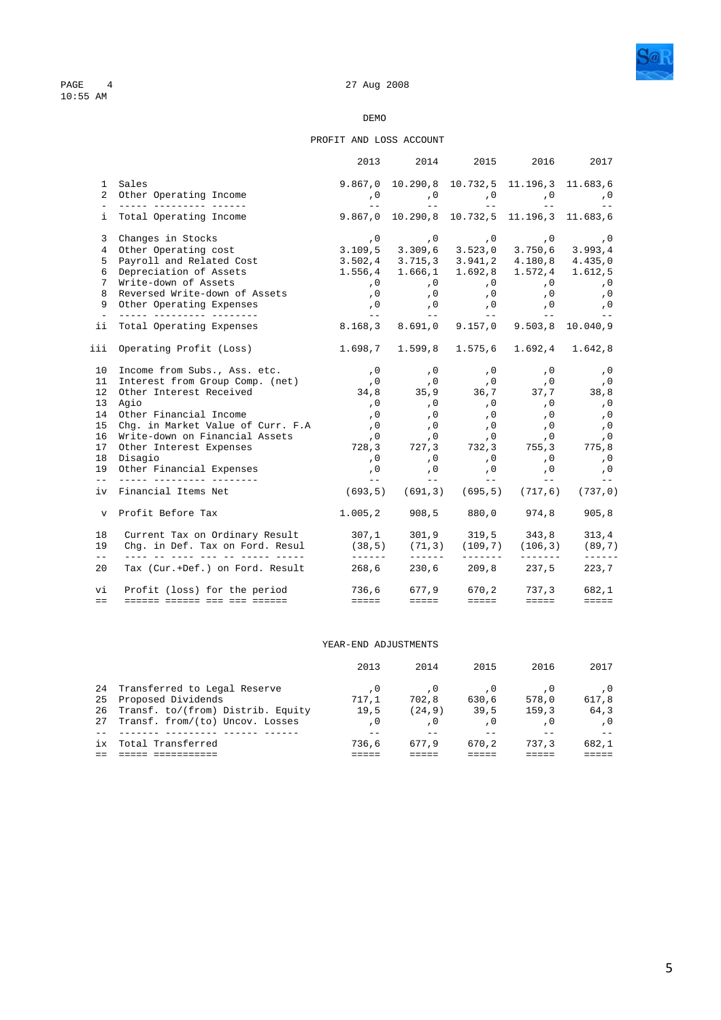

#### PROFIT AND LOSS ACCOUNT

|               |                                                                                                                                     | 2013                                                   | 2014                               | 2015                                                                                                                         | 2016                                   | 2017                     |
|---------------|-------------------------------------------------------------------------------------------------------------------------------------|--------------------------------------------------------|------------------------------------|------------------------------------------------------------------------------------------------------------------------------|----------------------------------------|--------------------------|
|               | 1 Sales                                                                                                                             | 9.867,0 10.290,8 10.732,5 11.196,3 11.683,6            |                                    |                                                                                                                              |                                        |                          |
|               | 2 Other Operating Income                                                                                                            |                                                        |                                    | 0, 0, 0, 0, 0, 0,                                                                                                            |                                        |                          |
|               |                                                                                                                                     | $\sim$ 100 $\sim$ 100 $\sim$                           |                                    | and the state of the state of the state of the                                                                               |                                        | $- -$                    |
|               | i Total Operating Income                                                                                                            | 9.867,0 10.290,8 10.732,5 11.196,3 11.683,6            |                                    |                                                                                                                              |                                        |                          |
|               | 3 Changes in Stocks                                                                                                                 |                                                        |                                    | 0, 0, 0, 0, 0, 0,                                                                                                            |                                        |                          |
|               | 4 Other Operating cost                                                                                                              | $3.109, 5$ $3.309, 6$ $3.523, 0$ $3.750, 6$ $3.993, 4$ |                                    |                                                                                                                              |                                        |                          |
|               | 5 Payroll and Related Cost                                                                                                          | $3.502, 4$ $3.715, 3$ $3.941, 2$ $4.180, 8$ $4.435, 0$ |                                    |                                                                                                                              |                                        |                          |
|               | 6 Depreciation of Assets                                                                                                            | 1.556,4 1.666,1 1.692,8 1.572,4 1.612,5                |                                    |                                                                                                                              |                                        |                          |
|               | 7 Write-down of Assets                                                                                                              | , 0                                                    |                                    | 0, 0, 0, 0, 0,<br>0, 0, 0, 0, 0,                                                                                             |                                        |                          |
| 8             | Reversed Write-down of Assets                                                                                                       |                                                        |                                    |                                                                                                                              | $\,$ , $\,$ 0                          |                          |
|               | 9 Other Operating Expenses<br><u> 2000 - Andread Alexandr</u>                                                                       |                                                        |                                    | 0, 0, 0, 0, 0, 0, 0,<br>معان المعاني المعاني المعاني المعاني المعاني المعاني المعاني المعاني المعاني المعاني المعاني المعاني |                                        |                          |
|               | ii Total Operating Expenses                                                                                                         | 8.168,3 8.691,0 9.157,0 9.503,8 10.040,9               |                                    |                                                                                                                              |                                        |                          |
|               | iii Operating Profit (Loss)                                                                                                         | 1.698,7 1.599,8 1.575,6 1.692,4 1.642,8                |                                    |                                                                                                                              |                                        |                          |
|               | 10 Income from Subs., Ass. etc.                                                                                                     |                                                        |                                    | 0, 0, 0, 0, 0,                                                                                                               |                                        | , 0                      |
|               |                                                                                                                                     |                                                        |                                    |                                                                                                                              |                                        |                          |
|               | 11 Interest from Group Comp. (net) (0 (0 (0 (0 (0 (0 (0 (0 (0 (0 (0 (0 (1 ))<br>12 Other Interest Received 34,8 35,9 36,7 37,7 38,8 |                                                        |                                    |                                                                                                                              |                                        |                          |
|               | 13 Agio                                                                                                                             | , 0                                                    | $\overline{\phantom{a}}$ , 0       |                                                                                                                              |                                        | $\,$ , 0 $\,$            |
|               | 14 Other Financial Income                                                                                                           | , 0                                                    | , 0<br>, 0                         |                                                                                                                              |                                        | , 0                      |
|               | 15 Chg. in Market Value of Curr. F.A                                                                                                | , 0                                                    |                                    |                                                                                                                              |                                        | , 0                      |
|               | 16 Write-down on Financial Assets                                                                                                   | $\overline{\phantom{a}}$ , 0                           |                                    | 0, 0, 0, 0,                                                                                                                  |                                        |                          |
|               | 17 Other Interest Expenses                                                                                                          | 728,3 727,3 732,3 755,3 775,8                          |                                    |                                                                                                                              |                                        |                          |
|               | 18 Disagio                                                                                                                          | 0                                                      | , 0                                |                                                                                                                              | $\, ,0\qquad \qquad ,0\,$              | , 0                      |
|               | 19 Other Financial Expenses<br>__ ______ _________ _______                                                                          | , 0<br>$\sim$ $  -$                                    | $\,$ , $0$<br>$\sim$ $\sim$ $\sim$ | $\begin{array}{c} 0 \\ -1 \end{array}$                                                                                       | $\,$ , $0$<br><b>Service Contracts</b> | , 0<br>$- -$             |
|               | iv Financial Items Net                                                                                                              |                                                        |                                    | $(693, 5)$ $(691, 3)$ $(695, 5)$ $(717, 6)$ $(737, 0)$                                                                       |                                        |                          |
|               | v Profit Before Tax                                                                                                                 | $1.005, 2$ 908,5 880,0 974,8                           |                                    |                                                                                                                              |                                        | 905, 8                   |
| 18            | Current Tax on Ordinary Result 307,1 301,9 319,5 343,8<br>Chg. in Def. Tax on Ford. Resul (38,5) (71,3) (109,7) (106,3)             |                                                        |                                    |                                                                                                                              |                                        | 313,4                    |
| 19<br>$=$ $-$ | <u> 1111 11 1111 111 11 11111 11111 1</u>                                                                                           |                                                        |                                    | --------                                                                                                                     | <u>_______</u> _                       | (89, 7)<br>$- - - - - -$ |
| 20            | Tax (Cur.+Def.) on Ford. Result                                                                                                     | 268,6                                                  |                                    | 230,6 209,8 237,5                                                                                                            |                                        | 223,7                    |
| vi            | Profit (loss) for the period                                                                                                        | 736,6 677,9 670,2 737,3                                |                                    |                                                                                                                              |                                        | 682,1                    |
| $=$ $=$       | <u> ------ ------ --- --- ------</u>                                                                                                | $=$ $=$ $=$ $=$                                        | eeeee in                           | <b>EEEEE</b>                                                                                                                 | <b>EEEEE</b>                           | $=$ $=$ $=$ $=$          |

### YEAR-END ADJUSTMENTS

|     |                                      | 2013  | 2014   | 2015  | 2016  | 2017  |
|-----|--------------------------------------|-------|--------|-------|-------|-------|
|     | 24 Transferred to Legal Reserve      |       |        |       |       |       |
| 25  | Proposed Dividends                   | 717.1 | 702.8  | 630.6 | 578.0 | 617.8 |
|     | 26 Transf. to/(from) Distrib. Equity | 19,5  | (24.9) | 39.5  | 159.3 | 64.3  |
| 27  | Transf. from/(to) Uncov. Losses      |       |        |       |       |       |
|     |                                      |       |        |       |       |       |
| i v | Total Transferred                    | 736.6 | 677.9  | 670.2 | 737.3 | 682.1 |
|     |                                      |       |        |       |       |       |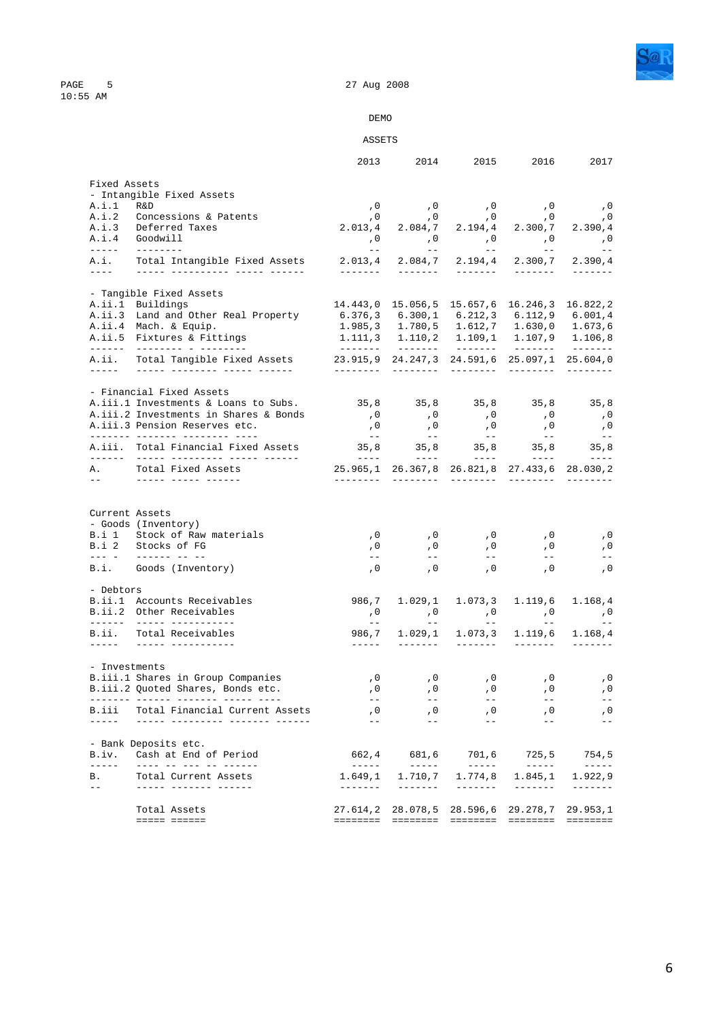

PAGE 5<br>10:55 AM

### DEMO

### ASSETS

|                                                                                                                                                                                                                                                                                                                                                                                                      |                                                                           | 2013                                                                                                                                                                                                                                                                                                                                                                                                                                                                                                                 | 2014                                                                                                                                                                                                                                                                                                                                                                                                                                                                                            | 2015                                                                                      | 2016                                                                                                                                                                                                                                                                                                                                                                                                                                                                                               | 2017                                                                                                                                                                                                                                                                                                                                                                                                                                                       |
|------------------------------------------------------------------------------------------------------------------------------------------------------------------------------------------------------------------------------------------------------------------------------------------------------------------------------------------------------------------------------------------------------|---------------------------------------------------------------------------|----------------------------------------------------------------------------------------------------------------------------------------------------------------------------------------------------------------------------------------------------------------------------------------------------------------------------------------------------------------------------------------------------------------------------------------------------------------------------------------------------------------------|-------------------------------------------------------------------------------------------------------------------------------------------------------------------------------------------------------------------------------------------------------------------------------------------------------------------------------------------------------------------------------------------------------------------------------------------------------------------------------------------------|-------------------------------------------------------------------------------------------|----------------------------------------------------------------------------------------------------------------------------------------------------------------------------------------------------------------------------------------------------------------------------------------------------------------------------------------------------------------------------------------------------------------------------------------------------------------------------------------------------|------------------------------------------------------------------------------------------------------------------------------------------------------------------------------------------------------------------------------------------------------------------------------------------------------------------------------------------------------------------------------------------------------------------------------------------------------------|
| Fixed Assets                                                                                                                                                                                                                                                                                                                                                                                         |                                                                           |                                                                                                                                                                                                                                                                                                                                                                                                                                                                                                                      |                                                                                                                                                                                                                                                                                                                                                                                                                                                                                                 |                                                                                           |                                                                                                                                                                                                                                                                                                                                                                                                                                                                                                    |                                                                                                                                                                                                                                                                                                                                                                                                                                                            |
|                                                                                                                                                                                                                                                                                                                                                                                                      | - Intangible Fixed Assets                                                 |                                                                                                                                                                                                                                                                                                                                                                                                                                                                                                                      |                                                                                                                                                                                                                                                                                                                                                                                                                                                                                                 |                                                                                           |                                                                                                                                                                                                                                                                                                                                                                                                                                                                                                    |                                                                                                                                                                                                                                                                                                                                                                                                                                                            |
| A.i.1                                                                                                                                                                                                                                                                                                                                                                                                | R&D                                                                       |                                                                                                                                                                                                                                                                                                                                                                                                                                                                                                                      |                                                                                                                                                                                                                                                                                                                                                                                                                                                                                                 |                                                                                           | 0, 0, 0, 0, 0,<br>0, 0, 0, 0, 0,                                                                                                                                                                                                                                                                                                                                                                                                                                                                   |                                                                                                                                                                                                                                                                                                                                                                                                                                                            |
|                                                                                                                                                                                                                                                                                                                                                                                                      | A.i.2 Concessions & Patents                                               | , 0                                                                                                                                                                                                                                                                                                                                                                                                                                                                                                                  |                                                                                                                                                                                                                                                                                                                                                                                                                                                                                                 |                                                                                           |                                                                                                                                                                                                                                                                                                                                                                                                                                                                                                    |                                                                                                                                                                                                                                                                                                                                                                                                                                                            |
|                                                                                                                                                                                                                                                                                                                                                                                                      | A.i.3 Deferred Taxes                                                      |                                                                                                                                                                                                                                                                                                                                                                                                                                                                                                                      |                                                                                                                                                                                                                                                                                                                                                                                                                                                                                                 |                                                                                           | $2.013, 4$ $2.084, 7$ $2.194, 4$ $2.300, 7$ $2.390, 4$                                                                                                                                                                                                                                                                                                                                                                                                                                             |                                                                                                                                                                                                                                                                                                                                                                                                                                                            |
|                                                                                                                                                                                                                                                                                                                                                                                                      | A.i.4 Goodwill                                                            |                                                                                                                                                                                                                                                                                                                                                                                                                                                                                                                      |                                                                                                                                                                                                                                                                                                                                                                                                                                                                                                 |                                                                                           | 0, 0, 0, 0, 0, 0,                                                                                                                                                                                                                                                                                                                                                                                                                                                                                  |                                                                                                                                                                                                                                                                                                                                                                                                                                                            |
| $\frac{1}{2} \frac{1}{2} \frac{1}{2} \frac{1}{2} \frac{1}{2} \frac{1}{2} \frac{1}{2} \frac{1}{2} \frac{1}{2} \frac{1}{2} \frac{1}{2} \frac{1}{2} \frac{1}{2} \frac{1}{2} \frac{1}{2} \frac{1}{2} \frac{1}{2} \frac{1}{2} \frac{1}{2} \frac{1}{2} \frac{1}{2} \frac{1}{2} \frac{1}{2} \frac{1}{2} \frac{1}{2} \frac{1}{2} \frac{1}{2} \frac{1}{2} \frac{1}{2} \frac{1}{2} \frac{1}{2} \frac{$<br>A.i. | Total Intangible Fixed Assets                                             | $\alpha = -1$ , $\alpha$<br>2.013,4                                                                                                                                                                                                                                                                                                                                                                                                                                                                                  | $\mathcal{L}^{\text{max}}_{\text{max}}$ and $\mathcal{L}^{\text{max}}_{\text{max}}$<br>2.084,7                                                                                                                                                                                                                                                                                                                                                                                                  | $\mathcal{L}(\mathcal{L})=\mathcal{L}(\mathcal{L})$ .<br>2.194,4                          | $\mathcal{L}(\mathcal{L})$ and $\mathcal{L}(\mathcal{L})$ .<br>2.300,7                                                                                                                                                                                                                                                                                                                                                                                                                             | 2.390,4                                                                                                                                                                                                                                                                                                                                                                                                                                                    |
| $- - - -$                                                                                                                                                                                                                                                                                                                                                                                            |                                                                           | <u>_______</u>                                                                                                                                                                                                                                                                                                                                                                                                                                                                                                       | <u>_______</u>                                                                                                                                                                                                                                                                                                                                                                                                                                                                                  | <u>_______</u>                                                                            | -------                                                                                                                                                                                                                                                                                                                                                                                                                                                                                            | -------                                                                                                                                                                                                                                                                                                                                                                                                                                                    |
|                                                                                                                                                                                                                                                                                                                                                                                                      | - Tangible Fixed Assets                                                   |                                                                                                                                                                                                                                                                                                                                                                                                                                                                                                                      |                                                                                                                                                                                                                                                                                                                                                                                                                                                                                                 |                                                                                           |                                                                                                                                                                                                                                                                                                                                                                                                                                                                                                    |                                                                                                                                                                                                                                                                                                                                                                                                                                                            |
|                                                                                                                                                                                                                                                                                                                                                                                                      | A.ii.1 Buildings                                                          |                                                                                                                                                                                                                                                                                                                                                                                                                                                                                                                      |                                                                                                                                                                                                                                                                                                                                                                                                                                                                                                 |                                                                                           | 14.443,0 15.056,5 15.657,6 16.246,3 16.822,2                                                                                                                                                                                                                                                                                                                                                                                                                                                       |                                                                                                                                                                                                                                                                                                                                                                                                                                                            |
|                                                                                                                                                                                                                                                                                                                                                                                                      | A.ii.3 Land and Other Real Property                                       | $6.376, 3$ $6.300, 1$ $6.212, 3$ $6.112, 9$ $6.001, 4$                                                                                                                                                                                                                                                                                                                                                                                                                                                               |                                                                                                                                                                                                                                                                                                                                                                                                                                                                                                 |                                                                                           |                                                                                                                                                                                                                                                                                                                                                                                                                                                                                                    |                                                                                                                                                                                                                                                                                                                                                                                                                                                            |
|                                                                                                                                                                                                                                                                                                                                                                                                      | A.ii.4 Mach. & Equip.                                                     |                                                                                                                                                                                                                                                                                                                                                                                                                                                                                                                      |                                                                                                                                                                                                                                                                                                                                                                                                                                                                                                 |                                                                                           | $1.985, 3$ $1.780, 5$ $1.612, 7$ $1.630, 0$ $1.673, 6$                                                                                                                                                                                                                                                                                                                                                                                                                                             |                                                                                                                                                                                                                                                                                                                                                                                                                                                            |
|                                                                                                                                                                                                                                                                                                                                                                                                      | A.ii.5 Fixtures & Fittings                                                |                                                                                                                                                                                                                                                                                                                                                                                                                                                                                                                      |                                                                                                                                                                                                                                                                                                                                                                                                                                                                                                 |                                                                                           | 1.111,3 1.110,2 1.109,1 1.107,9 1.106,8                                                                                                                                                                                                                                                                                                                                                                                                                                                            |                                                                                                                                                                                                                                                                                                                                                                                                                                                            |
|                                                                                                                                                                                                                                                                                                                                                                                                      |                                                                           | ________                                                                                                                                                                                                                                                                                                                                                                                                                                                                                                             | ________                                                                                                                                                                                                                                                                                                                                                                                                                                                                                        |                                                                                           |                                                                                                                                                                                                                                                                                                                                                                                                                                                                                                    |                                                                                                                                                                                                                                                                                                                                                                                                                                                            |
| A.ii.<br>22222 C                                                                                                                                                                                                                                                                                                                                                                                     | Total Tangible Fixed Assets<br><u> 11111 -11111111 -11111 -111111</u>     | 23.915,9 24.247,3 24.591,6 25.097,1 25.604,0                                                                                                                                                                                                                                                                                                                                                                                                                                                                         |                                                                                                                                                                                                                                                                                                                                                                                                                                                                                                 | _________                                                                                 | _________                                                                                                                                                                                                                                                                                                                                                                                                                                                                                          |                                                                                                                                                                                                                                                                                                                                                                                                                                                            |
|                                                                                                                                                                                                                                                                                                                                                                                                      | - Financial Fixed Assets                                                  |                                                                                                                                                                                                                                                                                                                                                                                                                                                                                                                      |                                                                                                                                                                                                                                                                                                                                                                                                                                                                                                 |                                                                                           |                                                                                                                                                                                                                                                                                                                                                                                                                                                                                                    |                                                                                                                                                                                                                                                                                                                                                                                                                                                            |
|                                                                                                                                                                                                                                                                                                                                                                                                      | A.iii.1 Investments & Loans to Subs.                                      |                                                                                                                                                                                                                                                                                                                                                                                                                                                                                                                      |                                                                                                                                                                                                                                                                                                                                                                                                                                                                                                 |                                                                                           | 35,8 35,8 35,8 35,8 35,8                                                                                                                                                                                                                                                                                                                                                                                                                                                                           |                                                                                                                                                                                                                                                                                                                                                                                                                                                            |
|                                                                                                                                                                                                                                                                                                                                                                                                      | A.iii.2 Investments in Shares & Bonds                                     | , 0                                                                                                                                                                                                                                                                                                                                                                                                                                                                                                                  |                                                                                                                                                                                                                                                                                                                                                                                                                                                                                                 | , 0                                                                                       | , 0                                                                                                                                                                                                                                                                                                                                                                                                                                                                                                | , 0                                                                                                                                                                                                                                                                                                                                                                                                                                                        |
|                                                                                                                                                                                                                                                                                                                                                                                                      | A.iii.3 Pension Reserves etc.                                             |                                                                                                                                                                                                                                                                                                                                                                                                                                                                                                                      | , 0                                                                                                                                                                                                                                                                                                                                                                                                                                                                                             |                                                                                           |                                                                                                                                                                                                                                                                                                                                                                                                                                                                                                    |                                                                                                                                                                                                                                                                                                                                                                                                                                                            |
|                                                                                                                                                                                                                                                                                                                                                                                                      |                                                                           | , 0<br>$\gamma = -1$                                                                                                                                                                                                                                                                                                                                                                                                                                                                                                 | , 0<br>$\sim$ $  \sim$                                                                                                                                                                                                                                                                                                                                                                                                                                                                          | , 0<br>$\mathcal{L} = \mathcal{L} - \mathcal{L}$                                          | , 0<br>$\sim$ $ -$                                                                                                                                                                                                                                                                                                                                                                                                                                                                                 | , 0<br>$- -$                                                                                                                                                                                                                                                                                                                                                                                                                                               |
|                                                                                                                                                                                                                                                                                                                                                                                                      | A.iii. Total Financial Fixed Assets                                       |                                                                                                                                                                                                                                                                                                                                                                                                                                                                                                                      |                                                                                                                                                                                                                                                                                                                                                                                                                                                                                                 |                                                                                           | 35,8 35,8 35,8 35,8 35,8                                                                                                                                                                                                                                                                                                                                                                                                                                                                           |                                                                                                                                                                                                                                                                                                                                                                                                                                                            |
| A.,                                                                                                                                                                                                                                                                                                                                                                                                  | Total Fixed Assets                                                        | $\begin{array}{cccccccccc} \multicolumn{2}{c}{} & \multicolumn{2}{c}{} & \multicolumn{2}{c}{} & \multicolumn{2}{c}{} & \multicolumn{2}{c}{} & \multicolumn{2}{c}{} & \multicolumn{2}{c}{} & \multicolumn{2}{c}{} & \multicolumn{2}{c}{} & \multicolumn{2}{c}{} & \multicolumn{2}{c}{} & \multicolumn{2}{c}{} & \multicolumn{2}{c}{} & \multicolumn{2}{c}{} & \multicolumn{2}{c}{} & \multicolumn{2}{c}{} & \multicolumn{2}{c}{} & \multicolumn{2}{c}{} & \multicolumn{2}{c}{} & \mult$<br>25.965,1 26.367,8 26.821,8 | $\qquad \qquad - - - -$                                                                                                                                                                                                                                                                                                                                                                                                                                                                         | $\qquad \qquad - - - - -$                                                                 | $\begin{array}{cccccccccc} \multicolumn{2}{c}{} & \multicolumn{2}{c}{} & \multicolumn{2}{c}{} & \multicolumn{2}{c}{} & \multicolumn{2}{c}{} & \multicolumn{2}{c}{} & \multicolumn{2}{c}{} & \multicolumn{2}{c}{} & \multicolumn{2}{c}{} & \multicolumn{2}{c}{} & \multicolumn{2}{c}{} & \multicolumn{2}{c}{} & \multicolumn{2}{c}{} & \multicolumn{2}{c}{} & \multicolumn{2}{c}{} & \multicolumn{2}{c}{} & \multicolumn{2}{c}{} & \multicolumn{2}{c}{} & \multicolumn{2}{c}{} & \mult$<br>27.433,6 | $\frac{1}{2} \left( \frac{1}{2} \right) \frac{1}{2} \left( \frac{1}{2} \right) \frac{1}{2} \left( \frac{1}{2} \right) \frac{1}{2} \left( \frac{1}{2} \right) \frac{1}{2} \left( \frac{1}{2} \right) \frac{1}{2} \left( \frac{1}{2} \right) \frac{1}{2} \left( \frac{1}{2} \right) \frac{1}{2} \left( \frac{1}{2} \right) \frac{1}{2} \left( \frac{1}{2} \right) \frac{1}{2} \left( \frac{1}{2} \right) \frac{1}{2} \left( \frac{1}{2} \right)$<br>28.030,2 |
| $ -$                                                                                                                                                                                                                                                                                                                                                                                                 | <u> ----- ----- ------</u>                                                |                                                                                                                                                                                                                                                                                                                                                                                                                                                                                                                      |                                                                                                                                                                                                                                                                                                                                                                                                                                                                                                 | _________                                                                                 |                                                                                                                                                                                                                                                                                                                                                                                                                                                                                                    |                                                                                                                                                                                                                                                                                                                                                                                                                                                            |
|                                                                                                                                                                                                                                                                                                                                                                                                      | - Goods (Inventory)<br>B.i 1 Stock of Raw materials<br>B.i 2 Stocks of FG | , 0<br>, 0                                                                                                                                                                                                                                                                                                                                                                                                                                                                                                           | , 0<br>,0                                                                                                                                                                                                                                                                                                                                                                                                                                                                                       | , 0<br>, 0                                                                                | , 0<br>, 0                                                                                                                                                                                                                                                                                                                                                                                                                                                                                         | , 0<br>, 0                                                                                                                                                                                                                                                                                                                                                                                                                                                 |
|                                                                                                                                                                                                                                                                                                                                                                                                      | <u> 222 - Alexandria est</u>                                              | $- -$                                                                                                                                                                                                                                                                                                                                                                                                                                                                                                                | $  \,$                                                                                                                                                                                                                                                                                                                                                                                                                                                                                          | $- -$                                                                                     | $ -$                                                                                                                                                                                                                                                                                                                                                                                                                                                                                               |                                                                                                                                                                                                                                                                                                                                                                                                                                                            |
|                                                                                                                                                                                                                                                                                                                                                                                                      | B.i. Goods (Inventory)                                                    | $\sqrt{0}$                                                                                                                                                                                                                                                                                                                                                                                                                                                                                                           | , 0                                                                                                                                                                                                                                                                                                                                                                                                                                                                                             | , 0                                                                                       | , 0                                                                                                                                                                                                                                                                                                                                                                                                                                                                                                | ,0                                                                                                                                                                                                                                                                                                                                                                                                                                                         |
| - Debtors                                                                                                                                                                                                                                                                                                                                                                                            |                                                                           |                                                                                                                                                                                                                                                                                                                                                                                                                                                                                                                      |                                                                                                                                                                                                                                                                                                                                                                                                                                                                                                 |                                                                                           |                                                                                                                                                                                                                                                                                                                                                                                                                                                                                                    |                                                                                                                                                                                                                                                                                                                                                                                                                                                            |
|                                                                                                                                                                                                                                                                                                                                                                                                      | B.ii.1 Accounts Receivables                                               |                                                                                                                                                                                                                                                                                                                                                                                                                                                                                                                      | 986,7 1.029,1                                                                                                                                                                                                                                                                                                                                                                                                                                                                                   | 1.073, 3                                                                                  | 1.119,6                                                                                                                                                                                                                                                                                                                                                                                                                                                                                            | 1.168,4                                                                                                                                                                                                                                                                                                                                                                                                                                                    |
|                                                                                                                                                                                                                                                                                                                                                                                                      | B.ii.2 Other Receivables                                                  | , 0<br>$\sim$ $\sim$                                                                                                                                                                                                                                                                                                                                                                                                                                                                                                 | $\overline{\phantom{a}}$ , 0<br>$\sim$ $-$                                                                                                                                                                                                                                                                                                                                                                                                                                                      | $\overline{\phantom{a}}$ , 0<br>$\mathcal{L}^{\text{max}}$ and $\mathcal{L}^{\text{max}}$ | , 0<br>$\gamma \rightarrow -$                                                                                                                                                                                                                                                                                                                                                                                                                                                                      | , 0                                                                                                                                                                                                                                                                                                                                                                                                                                                        |
| B.ii.                                                                                                                                                                                                                                                                                                                                                                                                | Total Receivables<br>______ ___________                                   | $\frac{1}{2} \frac{1}{2} \frac{1}{2} \frac{1}{2} \frac{1}{2} \frac{1}{2} \frac{1}{2} \frac{1}{2} \frac{1}{2} \frac{1}{2} \frac{1}{2} \frac{1}{2} \frac{1}{2} \frac{1}{2} \frac{1}{2} \frac{1}{2} \frac{1}{2} \frac{1}{2} \frac{1}{2} \frac{1}{2} \frac{1}{2} \frac{1}{2} \frac{1}{2} \frac{1}{2} \frac{1}{2} \frac{1}{2} \frac{1}{2} \frac{1}{2} \frac{1}{2} \frac{1}{2} \frac{1}{2} \frac{$                                                                                                                         | 986,7 1.029,1<br>--------                                                                                                                                                                                                                                                                                                                                                                                                                                                                       | 1.073,3<br>________                                                                       | $1.119,6$ $1.168,4$<br>$- - - - - - -$                                                                                                                                                                                                                                                                                                                                                                                                                                                             | --------                                                                                                                                                                                                                                                                                                                                                                                                                                                   |
|                                                                                                                                                                                                                                                                                                                                                                                                      |                                                                           |                                                                                                                                                                                                                                                                                                                                                                                                                                                                                                                      |                                                                                                                                                                                                                                                                                                                                                                                                                                                                                                 |                                                                                           |                                                                                                                                                                                                                                                                                                                                                                                                                                                                                                    |                                                                                                                                                                                                                                                                                                                                                                                                                                                            |
| - Investments                                                                                                                                                                                                                                                                                                                                                                                        |                                                                           |                                                                                                                                                                                                                                                                                                                                                                                                                                                                                                                      |                                                                                                                                                                                                                                                                                                                                                                                                                                                                                                 |                                                                                           |                                                                                                                                                                                                                                                                                                                                                                                                                                                                                                    |                                                                                                                                                                                                                                                                                                                                                                                                                                                            |
|                                                                                                                                                                                                                                                                                                                                                                                                      | B.iii.1 Shares in Group Companies                                         | , 0                                                                                                                                                                                                                                                                                                                                                                                                                                                                                                                  | , 0                                                                                                                                                                                                                                                                                                                                                                                                                                                                                             | , 0                                                                                       | , 0                                                                                                                                                                                                                                                                                                                                                                                                                                                                                                | , 0                                                                                                                                                                                                                                                                                                                                                                                                                                                        |
|                                                                                                                                                                                                                                                                                                                                                                                                      | B.iii.2 Quoted Shares, Bonds etc.                                         | , 0                                                                                                                                                                                                                                                                                                                                                                                                                                                                                                                  | , 0                                                                                                                                                                                                                                                                                                                                                                                                                                                                                             | , 0                                                                                       | , 0                                                                                                                                                                                                                                                                                                                                                                                                                                                                                                | , 0                                                                                                                                                                                                                                                                                                                                                                                                                                                        |
|                                                                                                                                                                                                                                                                                                                                                                                                      | -------- ------ ------- ----- -----                                       | $- -$                                                                                                                                                                                                                                                                                                                                                                                                                                                                                                                | $- -$                                                                                                                                                                                                                                                                                                                                                                                                                                                                                           | $- -$                                                                                     | $- -$                                                                                                                                                                                                                                                                                                                                                                                                                                                                                              |                                                                                                                                                                                                                                                                                                                                                                                                                                                            |
| B.iii<br>------                                                                                                                                                                                                                                                                                                                                                                                      | Total Financial Current Assets<br>______ _________ _______ ______         | , 0<br>$ -$                                                                                                                                                                                                                                                                                                                                                                                                                                                                                                          | , 0<br>$ -$                                                                                                                                                                                                                                                                                                                                                                                                                                                                                     | , 0<br>$ -$                                                                               | , 0<br>$ -$                                                                                                                                                                                                                                                                                                                                                                                                                                                                                        |                                                                                                                                                                                                                                                                                                                                                                                                                                                            |
|                                                                                                                                                                                                                                                                                                                                                                                                      | - Bank Deposits etc.                                                      |                                                                                                                                                                                                                                                                                                                                                                                                                                                                                                                      |                                                                                                                                                                                                                                                                                                                                                                                                                                                                                                 |                                                                                           |                                                                                                                                                                                                                                                                                                                                                                                                                                                                                                    |                                                                                                                                                                                                                                                                                                                                                                                                                                                            |
| B.iv.                                                                                                                                                                                                                                                                                                                                                                                                |                                                                           |                                                                                                                                                                                                                                                                                                                                                                                                                                                                                                                      |                                                                                                                                                                                                                                                                                                                                                                                                                                                                                                 | 701,6                                                                                     | 725, 5                                                                                                                                                                                                                                                                                                                                                                                                                                                                                             | 754,5                                                                                                                                                                                                                                                                                                                                                                                                                                                      |
|                                                                                                                                                                                                                                                                                                                                                                                                      | Cash at End of Period                                                     | 662,4                                                                                                                                                                                                                                                                                                                                                                                                                                                                                                                | 681,6                                                                                                                                                                                                                                                                                                                                                                                                                                                                                           |                                                                                           |                                                                                                                                                                                                                                                                                                                                                                                                                                                                                                    |                                                                                                                                                                                                                                                                                                                                                                                                                                                            |
| $- - - - - -$<br>В.                                                                                                                                                                                                                                                                                                                                                                                  | ---- -- --- -- ------<br>Total Current Assets                             | $------$<br>1,649,1                                                                                                                                                                                                                                                                                                                                                                                                                                                                                                  | $\begin{tabular}{cccccc} \multicolumn{2}{c}{} & \multicolumn{2}{c}{} & \multicolumn{2}{c}{} & \multicolumn{2}{c}{} & \multicolumn{2}{c}{} & \multicolumn{2}{c}{} & \multicolumn{2}{c}{} & \multicolumn{2}{c}{} & \multicolumn{2}{c}{} & \multicolumn{2}{c}{} & \multicolumn{2}{c}{} & \multicolumn{2}{c}{} & \multicolumn{2}{c}{} & \multicolumn{2}{c}{} & \multicolumn{2}{c}{} & \multicolumn{2}{c}{} & \multicolumn{2}{c}{} & \multicolumn{2}{c}{} & \multicolumn{2}{c}{} & \mult$<br>1.710,7 | $------$<br>1.774,8                                                                       | $\qquad \qquad - - - - - -$<br>1.845,1                                                                                                                                                                                                                                                                                                                                                                                                                                                             | $\qquad \qquad - - - - - -$<br>1.922,9                                                                                                                                                                                                                                                                                                                                                                                                                     |
| $-$                                                                                                                                                                                                                                                                                                                                                                                                  | ----- ------- ------                                                      | $- - - - - - -$                                                                                                                                                                                                                                                                                                                                                                                                                                                                                                      | $- - - - - - -$                                                                                                                                                                                                                                                                                                                                                                                                                                                                                 | $- - - - - - -$                                                                           | $\begin{tabular}{cccccc} \multicolumn{2}{c}{} & \multicolumn{2}{c}{} & \multicolumn{2}{c}{} & \multicolumn{2}{c}{} & \multicolumn{2}{c}{} & \multicolumn{2}{c}{} & \multicolumn{2}{c}{} & \multicolumn{2}{c}{} & \multicolumn{2}{c}{} & \multicolumn{2}{c}{} & \multicolumn{2}{c}{} & \multicolumn{2}{c}{} & \multicolumn{2}{c}{} & \multicolumn{2}{c}{} & \multicolumn{2}{c}{} & \multicolumn{2}{c}{} & \multicolumn{2}{c}{} & \multicolumn{2}{c}{} & \multicolumn{2}{c}{} & \mult$               | $- - - - - - -$                                                                                                                                                                                                                                                                                                                                                                                                                                            |
|                                                                                                                                                                                                                                                                                                                                                                                                      | Total Assets                                                              |                                                                                                                                                                                                                                                                                                                                                                                                                                                                                                                      | 27.614,2 28.078,5 28.596,6                                                                                                                                                                                                                                                                                                                                                                                                                                                                      |                                                                                           | 29.278,7                                                                                                                                                                                                                                                                                                                                                                                                                                                                                           | 29.953,1                                                                                                                                                                                                                                                                                                                                                                                                                                                   |
|                                                                                                                                                                                                                                                                                                                                                                                                      | ===== ======                                                              |                                                                                                                                                                                                                                                                                                                                                                                                                                                                                                                      | =============================                                                                                                                                                                                                                                                                                                                                                                                                                                                                   |                                                                                           | $\qquad \qquad \equiv \equiv \equiv \equiv \equiv \equiv \equiv \equiv \equiv$                                                                                                                                                                                                                                                                                                                                                                                                                     | ========                                                                                                                                                                                                                                                                                                                                                                                                                                                   |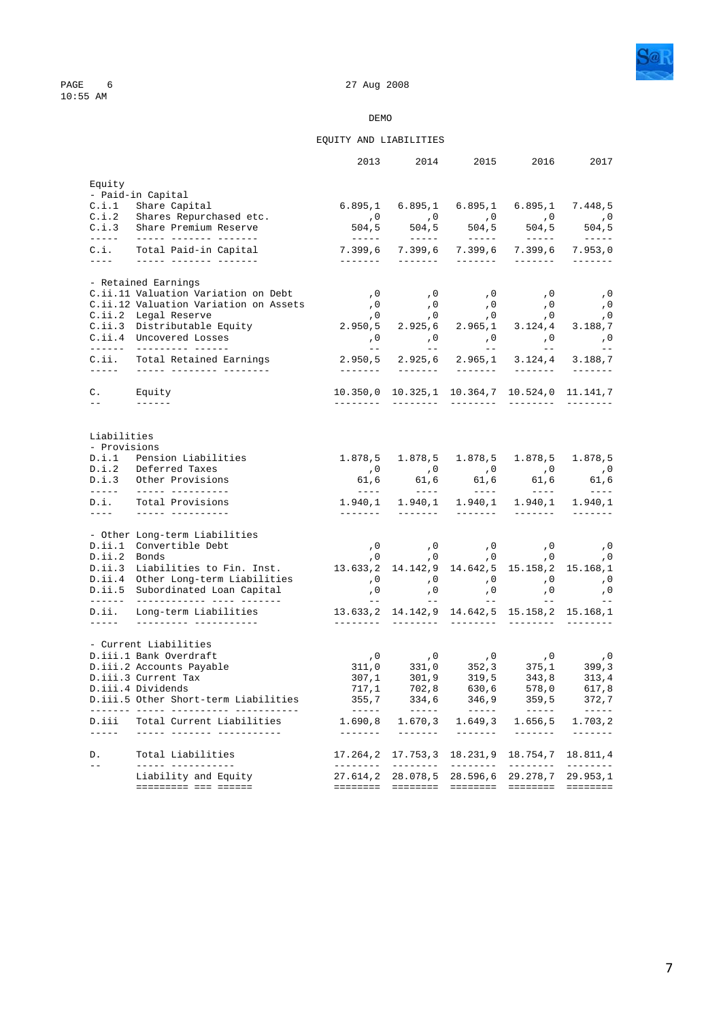



### EQUITY AND LIABILITIES

|                                                                                                                                                                                                                                                                                                                                                                                                        |                                                                             | 2013                                                                         | 2014                    | 2015                                                                                                                                                                                                                                                                                                                                                                                                                                                                                   | 2016                                                                                                                                                                                                                                                                                                                                                                                                                                                                                                                                  | 2017                                                                                                                                                                                                                                                                                                                                                                                                                                                                                              |
|--------------------------------------------------------------------------------------------------------------------------------------------------------------------------------------------------------------------------------------------------------------------------------------------------------------------------------------------------------------------------------------------------------|-----------------------------------------------------------------------------|------------------------------------------------------------------------------|-------------------------|----------------------------------------------------------------------------------------------------------------------------------------------------------------------------------------------------------------------------------------------------------------------------------------------------------------------------------------------------------------------------------------------------------------------------------------------------------------------------------------|---------------------------------------------------------------------------------------------------------------------------------------------------------------------------------------------------------------------------------------------------------------------------------------------------------------------------------------------------------------------------------------------------------------------------------------------------------------------------------------------------------------------------------------|---------------------------------------------------------------------------------------------------------------------------------------------------------------------------------------------------------------------------------------------------------------------------------------------------------------------------------------------------------------------------------------------------------------------------------------------------------------------------------------------------|
| Equity                                                                                                                                                                                                                                                                                                                                                                                                 |                                                                             |                                                                              |                         |                                                                                                                                                                                                                                                                                                                                                                                                                                                                                        |                                                                                                                                                                                                                                                                                                                                                                                                                                                                                                                                       |                                                                                                                                                                                                                                                                                                                                                                                                                                                                                                   |
|                                                                                                                                                                                                                                                                                                                                                                                                        | - Paid-in Capital                                                           |                                                                              |                         |                                                                                                                                                                                                                                                                                                                                                                                                                                                                                        |                                                                                                                                                                                                                                                                                                                                                                                                                                                                                                                                       |                                                                                                                                                                                                                                                                                                                                                                                                                                                                                                   |
|                                                                                                                                                                                                                                                                                                                                                                                                        | C.i.1 Share Capital                                                         |                                                                              |                         |                                                                                                                                                                                                                                                                                                                                                                                                                                                                                        | 6.895,1 6.895,1 6.895,1 6.895,1 7.448,5                                                                                                                                                                                                                                                                                                                                                                                                                                                                                               |                                                                                                                                                                                                                                                                                                                                                                                                                                                                                                   |
|                                                                                                                                                                                                                                                                                                                                                                                                        | C.i.2 Shares Repurchased etc.<br>C.i.3 Share Premium Reserve                |                                                                              |                         |                                                                                                                                                                                                                                                                                                                                                                                                                                                                                        | $\begin{matrix} 0 & 0 & 0 \\ 504.5 & 504.5 & 504.5 \\ -1 & -1 & -1 \end{matrix}$ , $\begin{matrix} 0 & 0 & 0 \\ 504.5 & 504.5 \\ -1 & -1 \end{matrix}$ , $\begin{matrix} 0 & 0 & 0 \\ 504.5 & 504.5 \\ -1 & -1 \end{matrix}$                                                                                                                                                                                                                                                                                                          |                                                                                                                                                                                                                                                                                                                                                                                                                                                                                                   |
|                                                                                                                                                                                                                                                                                                                                                                                                        |                                                                             |                                                                              |                         |                                                                                                                                                                                                                                                                                                                                                                                                                                                                                        |                                                                                                                                                                                                                                                                                                                                                                                                                                                                                                                                       |                                                                                                                                                                                                                                                                                                                                                                                                                                                                                                   |
| C.i.                                                                                                                                                                                                                                                                                                                                                                                                   | Total Paid-in Capital<br>____ _ ____ ______ ______                          | <u>_______</u>                                                               |                         |                                                                                                                                                                                                                                                                                                                                                                                                                                                                                        | 7.399,6 7.399,6 7.399,6 7.399,6                                                                                                                                                                                                                                                                                                                                                                                                                                                                                                       | 7.953,0<br>$\begin{array}{cccccccccc} \multicolumn{2}{c}{} & \multicolumn{2}{c}{} & \multicolumn{2}{c}{} & \multicolumn{2}{c}{} & \multicolumn{2}{c}{} & \multicolumn{2}{c}{} & \multicolumn{2}{c}{} & \multicolumn{2}{c}{} & \multicolumn{2}{c}{} & \multicolumn{2}{c}{} & \multicolumn{2}{c}{} & \multicolumn{2}{c}{} & \multicolumn{2}{c}{} & \multicolumn{2}{c}{} & \multicolumn{2}{c}{} & \multicolumn{2}{c}{} & \multicolumn{2}{c}{} & \multicolumn{2}{c}{} & \multicolumn{2}{c}{} & \mult$ |
|                                                                                                                                                                                                                                                                                                                                                                                                        | - Retained Earnings                                                         |                                                                              |                         |                                                                                                                                                                                                                                                                                                                                                                                                                                                                                        |                                                                                                                                                                                                                                                                                                                                                                                                                                                                                                                                       |                                                                                                                                                                                                                                                                                                                                                                                                                                                                                                   |
|                                                                                                                                                                                                                                                                                                                                                                                                        | C.ii.11 Valuation Variation on Debt                                         | , 0                                                                          | , 0                     | , 0                                                                                                                                                                                                                                                                                                                                                                                                                                                                                    | , 0                                                                                                                                                                                                                                                                                                                                                                                                                                                                                                                                   | , 0                                                                                                                                                                                                                                                                                                                                                                                                                                                                                               |
|                                                                                                                                                                                                                                                                                                                                                                                                        | C.ii.12 Valuation Variation on Assets                                       |                                                                              |                         |                                                                                                                                                                                                                                                                                                                                                                                                                                                                                        | 0, 0, 0, 0, 0,<br>0, 0, 0, 0, 0,                                                                                                                                                                                                                                                                                                                                                                                                                                                                                                      |                                                                                                                                                                                                                                                                                                                                                                                                                                                                                                   |
|                                                                                                                                                                                                                                                                                                                                                                                                        | C.ii.2 Legal Reserve<br>C.ii.3 Distributable Equity                         |                                                                              | 2.950,5 2.925,6         |                                                                                                                                                                                                                                                                                                                                                                                                                                                                                        | $2.965, 1$ $3.124, 4$ $3.188, 7$                                                                                                                                                                                                                                                                                                                                                                                                                                                                                                      |                                                                                                                                                                                                                                                                                                                                                                                                                                                                                                   |
|                                                                                                                                                                                                                                                                                                                                                                                                        | C.ii.4 Uncovered Losses                                                     |                                                                              |                         |                                                                                                                                                                                                                                                                                                                                                                                                                                                                                        |                                                                                                                                                                                                                                                                                                                                                                                                                                                                                                                                       |                                                                                                                                                                                                                                                                                                                                                                                                                                                                                                   |
|                                                                                                                                                                                                                                                                                                                                                                                                        | _________________________                                                   |                                                                              |                         |                                                                                                                                                                                                                                                                                                                                                                                                                                                                                        |                                                                                                                                                                                                                                                                                                                                                                                                                                                                                                                                       |                                                                                                                                                                                                                                                                                                                                                                                                                                                                                                   |
| C.i.i.<br>$\frac{1}{2} \frac{1}{2} \frac{1}{2} \frac{1}{2} \frac{1}{2} \frac{1}{2} \frac{1}{2} \frac{1}{2} \frac{1}{2} \frac{1}{2} \frac{1}{2} \frac{1}{2} \frac{1}{2} \frac{1}{2} \frac{1}{2} \frac{1}{2} \frac{1}{2} \frac{1}{2} \frac{1}{2} \frac{1}{2} \frac{1}{2} \frac{1}{2} \frac{1}{2} \frac{1}{2} \frac{1}{2} \frac{1}{2} \frac{1}{2} \frac{1}{2} \frac{1}{2} \frac{1}{2} \frac{1}{2} \frac{$ | Total Retained Earnings<br>______ ________ _______                          | 2.950, 5                                                                     | 2.925,6                 |                                                                                                                                                                                                                                                                                                                                                                                                                                                                                        | $2.965, 1$ $3.124, 4$                                                                                                                                                                                                                                                                                                                                                                                                                                                                                                                 | 3.188,7<br>_________                                                                                                                                                                                                                                                                                                                                                                                                                                                                              |
| $\mathbb{C}$ .                                                                                                                                                                                                                                                                                                                                                                                         | Equity                                                                      |                                                                              |                         |                                                                                                                                                                                                                                                                                                                                                                                                                                                                                        | $10.350, 0$ $10.325, 1$ $10.364, 7$ $10.524, 0$ $11.141, 7$                                                                                                                                                                                                                                                                                                                                                                                                                                                                           |                                                                                                                                                                                                                                                                                                                                                                                                                                                                                                   |
| $ -$                                                                                                                                                                                                                                                                                                                                                                                                   |                                                                             | <u>________</u>                                                              | _________               | _________                                                                                                                                                                                                                                                                                                                                                                                                                                                                              | $\begin{array}{cccccccccc} \multicolumn{2}{c}{} & \multicolumn{2}{c}{} & \multicolumn{2}{c}{} & \multicolumn{2}{c}{} & \multicolumn{2}{c}{} & \multicolumn{2}{c}{} & \multicolumn{2}{c}{} & \multicolumn{2}{c}{} & \multicolumn{2}{c}{} & \multicolumn{2}{c}{} & \multicolumn{2}{c}{} & \multicolumn{2}{c}{} & \multicolumn{2}{c}{} & \multicolumn{2}{c}{} & \multicolumn{2}{c}{} & \multicolumn{2}{c}{} & \multicolumn{2}{c}{} & \multicolumn{2}{c}{} & \multicolumn{2}{c}{} & \mult$                                                |                                                                                                                                                                                                                                                                                                                                                                                                                                                                                                   |
| - Provisions                                                                                                                                                                                                                                                                                                                                                                                           | D.i.1 Pension Liabilities<br>D.i.2 Deferred Taxes<br>D.i.3 Other Provisions | 61,6                                                                         | 1.878,5 1.878,5<br>61,6 | 1.878,5<br>61,6                                                                                                                                                                                                                                                                                                                                                                                                                                                                        | 1.878,5<br>0, 0, 0, 0, 0,<br>61,6                                                                                                                                                                                                                                                                                                                                                                                                                                                                                                     | 1.878,5<br>61,6                                                                                                                                                                                                                                                                                                                                                                                                                                                                                   |
|                                                                                                                                                                                                                                                                                                                                                                                                        |                                                                             | $\mathcal{L} = \mathcal{L} + \mathcal{L} + \mathcal{L}$                      |                         | $\qquad \qquad - - - -$                                                                                                                                                                                                                                                                                                                                                                                                                                                                | $\sim$ $   \sim$ $-$                                                                                                                                                                                                                                                                                                                                                                                                                                                                                                                  | $- - - - -$                                                                                                                                                                                                                                                                                                                                                                                                                                                                                       |
| D.i.<br>$\frac{1}{2}$                                                                                                                                                                                                                                                                                                                                                                                  | Total Provisions<br>__________________                                      | $1.940, 1$ $1.940, 1$ $1.940, 1$ $1.940, 1$ $1.940, 1$<br><b>DESCRIPTION</b> | --------                |                                                                                                                                                                                                                                                                                                                                                                                                                                                                                        | $\frac{1}{2}$                                                                                                                                                                                                                                                                                                                                                                                                                                                                                                                         | $\frac{1}{2}$                                                                                                                                                                                                                                                                                                                                                                                                                                                                                     |
|                                                                                                                                                                                                                                                                                                                                                                                                        | - Other Long-term Liabilities                                               |                                                                              |                         |                                                                                                                                                                                                                                                                                                                                                                                                                                                                                        |                                                                                                                                                                                                                                                                                                                                                                                                                                                                                                                                       |                                                                                                                                                                                                                                                                                                                                                                                                                                                                                                   |
|                                                                                                                                                                                                                                                                                                                                                                                                        | D.ii.1 Convertible Debt                                                     |                                                                              |                         |                                                                                                                                                                                                                                                                                                                                                                                                                                                                                        |                                                                                                                                                                                                                                                                                                                                                                                                                                                                                                                                       |                                                                                                                                                                                                                                                                                                                                                                                                                                                                                                   |
| D.ii.2 Bonds                                                                                                                                                                                                                                                                                                                                                                                           |                                                                             |                                                                              |                         |                                                                                                                                                                                                                                                                                                                                                                                                                                                                                        | 0, 0, 0, 0, 0,<br>0, 0, 0, 0, 0,                                                                                                                                                                                                                                                                                                                                                                                                                                                                                                      |                                                                                                                                                                                                                                                                                                                                                                                                                                                                                                   |
|                                                                                                                                                                                                                                                                                                                                                                                                        | D.ii.3 Liabilities to Fin. Inst.                                            |                                                                              |                         |                                                                                                                                                                                                                                                                                                                                                                                                                                                                                        | 13.633, 2 14.142, 9 14.642, 5 15.158, 2 15.168, 1                                                                                                                                                                                                                                                                                                                                                                                                                                                                                     |                                                                                                                                                                                                                                                                                                                                                                                                                                                                                                   |
|                                                                                                                                                                                                                                                                                                                                                                                                        | D.ii.4 Other Long-term Liabilities                                          |                                                                              |                         |                                                                                                                                                                                                                                                                                                                                                                                                                                                                                        | 0, 0, 0, 0, 0, 0,                                                                                                                                                                                                                                                                                                                                                                                                                                                                                                                     |                                                                                                                                                                                                                                                                                                                                                                                                                                                                                                   |
|                                                                                                                                                                                                                                                                                                                                                                                                        | D.ii.5 Subordinated Loan Capital                                            |                                                                              |                         |                                                                                                                                                                                                                                                                                                                                                                                                                                                                                        | 0, 0, 0, 0, 0, 0, 0<br>-- -- -- --                                                                                                                                                                                                                                                                                                                                                                                                                                                                                                    | , 0<br>$- -$                                                                                                                                                                                                                                                                                                                                                                                                                                                                                      |
| D.i.i.                                                                                                                                                                                                                                                                                                                                                                                                 | Long-term Liabilities                                                       |                                                                              |                         |                                                                                                                                                                                                                                                                                                                                                                                                                                                                                        | 13.633,2 14.142,9 14.642,5 15.158,2 15.168,1                                                                                                                                                                                                                                                                                                                                                                                                                                                                                          |                                                                                                                                                                                                                                                                                                                                                                                                                                                                                                   |
|                                                                                                                                                                                                                                                                                                                                                                                                        | - Current Liabilities                                                       |                                                                              |                         |                                                                                                                                                                                                                                                                                                                                                                                                                                                                                        |                                                                                                                                                                                                                                                                                                                                                                                                                                                                                                                                       |                                                                                                                                                                                                                                                                                                                                                                                                                                                                                                   |
|                                                                                                                                                                                                                                                                                                                                                                                                        | D.iii.1 Bank Overdraft                                                      |                                                                              |                         |                                                                                                                                                                                                                                                                                                                                                                                                                                                                                        |                                                                                                                                                                                                                                                                                                                                                                                                                                                                                                                                       |                                                                                                                                                                                                                                                                                                                                                                                                                                                                                                   |
|                                                                                                                                                                                                                                                                                                                                                                                                        | D.iii.2 Accounts Payable                                                    |                                                                              |                         |                                                                                                                                                                                                                                                                                                                                                                                                                                                                                        |                                                                                                                                                                                                                                                                                                                                                                                                                                                                                                                                       |                                                                                                                                                                                                                                                                                                                                                                                                                                                                                                   |
|                                                                                                                                                                                                                                                                                                                                                                                                        | D.iii.3 Current Tax                                                         |                                                                              |                         |                                                                                                                                                                                                                                                                                                                                                                                                                                                                                        |                                                                                                                                                                                                                                                                                                                                                                                                                                                                                                                                       |                                                                                                                                                                                                                                                                                                                                                                                                                                                                                                   |
|                                                                                                                                                                                                                                                                                                                                                                                                        | D.iii.4 Dividends                                                           |                                                                              |                         |                                                                                                                                                                                                                                                                                                                                                                                                                                                                                        |                                                                                                                                                                                                                                                                                                                                                                                                                                                                                                                                       |                                                                                                                                                                                                                                                                                                                                                                                                                                                                                                   |
|                                                                                                                                                                                                                                                                                                                                                                                                        | D.iii.5 Other Short-term Liabilities                                        |                                                                              |                         |                                                                                                                                                                                                                                                                                                                                                                                                                                                                                        | $\begin{array}{cccccc} ,0&,&0&,&0&,&0&,&0 \\ 311,0&331,0&352,3&375,1&399,3 \\ 307,1&301,9&319,5&343,8&313,4 \\ 717,1&702,8&630,6&578,0&617,8 \\ 355,7&334,6&346,9&359,5&372,7 \\ \hline \end{array}$                                                                                                                                                                                                                                                                                                                                  |                                                                                                                                                                                                                                                                                                                                                                                                                                                                                                   |
| D.iii<br>$\frac{1}{2}$                                                                                                                                                                                                                                                                                                                                                                                 | Total Current Liabilities<br><u> ----- ------- ------------</u>             | 1.690, 8                                                                     |                         | $\begin{array}{cccccccccc} \multicolumn{2}{c}{} & \multicolumn{2}{c}{} & \multicolumn{2}{c}{} & \multicolumn{2}{c}{} & \multicolumn{2}{c}{} & \multicolumn{2}{c}{} & \multicolumn{2}{c}{} & \multicolumn{2}{c}{} & \multicolumn{2}{c}{} & \multicolumn{2}{c}{} & \multicolumn{2}{c}{} & \multicolumn{2}{c}{} & \multicolumn{2}{c}{} & \multicolumn{2}{c}{} & \multicolumn{2}{c}{} & \multicolumn{2}{c}{} & \multicolumn{2}{c}{} & \multicolumn{2}{c}{} & \multicolumn{2}{c}{} & \mult$ | $1.670, 3$ $1.649, 3$ $1.656, 5$ $1.703, 2$<br>$\begin{array}{cccccccccc} \multicolumn{2}{c}{} & \multicolumn{2}{c}{} & \multicolumn{2}{c}{} & \multicolumn{2}{c}{} & \multicolumn{2}{c}{} & \multicolumn{2}{c}{} & \multicolumn{2}{c}{} & \multicolumn{2}{c}{} & \multicolumn{2}{c}{} & \multicolumn{2}{c}{} & \multicolumn{2}{c}{} & \multicolumn{2}{c}{} & \multicolumn{2}{c}{} & \multicolumn{2}{c}{} & \multicolumn{2}{c}{} & \multicolumn{2}{c}{} & \multicolumn{2}{c}{} & \multicolumn{2}{c}{} & \multicolumn{2}{c}{} & \mult$ | $\begin{array}{cccccccccc} \multicolumn{2}{c}{} & \multicolumn{2}{c}{} & \multicolumn{2}{c}{} & \multicolumn{2}{c}{} & \multicolumn{2}{c}{} & \multicolumn{2}{c}{} & \multicolumn{2}{c}{} & \multicolumn{2}{c}{} & \multicolumn{2}{c}{} & \multicolumn{2}{c}{} & \multicolumn{2}{c}{} & \multicolumn{2}{c}{} & \multicolumn{2}{c}{} & \multicolumn{2}{c}{} & \multicolumn{2}{c}{} & \multicolumn{2}{c}{} & \multicolumn{2}{c}{} & \multicolumn{2}{c}{} & \multicolumn{2}{c}{} & \mult$            |
| D.                                                                                                                                                                                                                                                                                                                                                                                                     | Total Liabilities                                                           |                                                                              |                         |                                                                                                                                                                                                                                                                                                                                                                                                                                                                                        | 17.264,2 17.753,3 18.231,9 18.754,7                                                                                                                                                                                                                                                                                                                                                                                                                                                                                                   | 18.811,4                                                                                                                                                                                                                                                                                                                                                                                                                                                                                          |
| $- -$                                                                                                                                                                                                                                                                                                                                                                                                  | ----- -----------                                                           |                                                                              |                         | _________                                                                                                                                                                                                                                                                                                                                                                                                                                                                              | ---------                                                                                                                                                                                                                                                                                                                                                                                                                                                                                                                             | $- - - - - - - -$                                                                                                                                                                                                                                                                                                                                                                                                                                                                                 |
|                                                                                                                                                                                                                                                                                                                                                                                                        | Liability and Equity<br>========= === =======                               | <b>EEEEEEE</b>                                                               |                         |                                                                                                                                                                                                                                                                                                                                                                                                                                                                                        | 27.614,2 28.078,5 28.596,6 29.278,7                                                                                                                                                                                                                                                                                                                                                                                                                                                                                                   | 29.953,1<br><b>EEEEEEEE</b>                                                                                                                                                                                                                                                                                                                                                                                                                                                                       |
|                                                                                                                                                                                                                                                                                                                                                                                                        |                                                                             |                                                                              |                         |                                                                                                                                                                                                                                                                                                                                                                                                                                                                                        |                                                                                                                                                                                                                                                                                                                                                                                                                                                                                                                                       |                                                                                                                                                                                                                                                                                                                                                                                                                                                                                                   |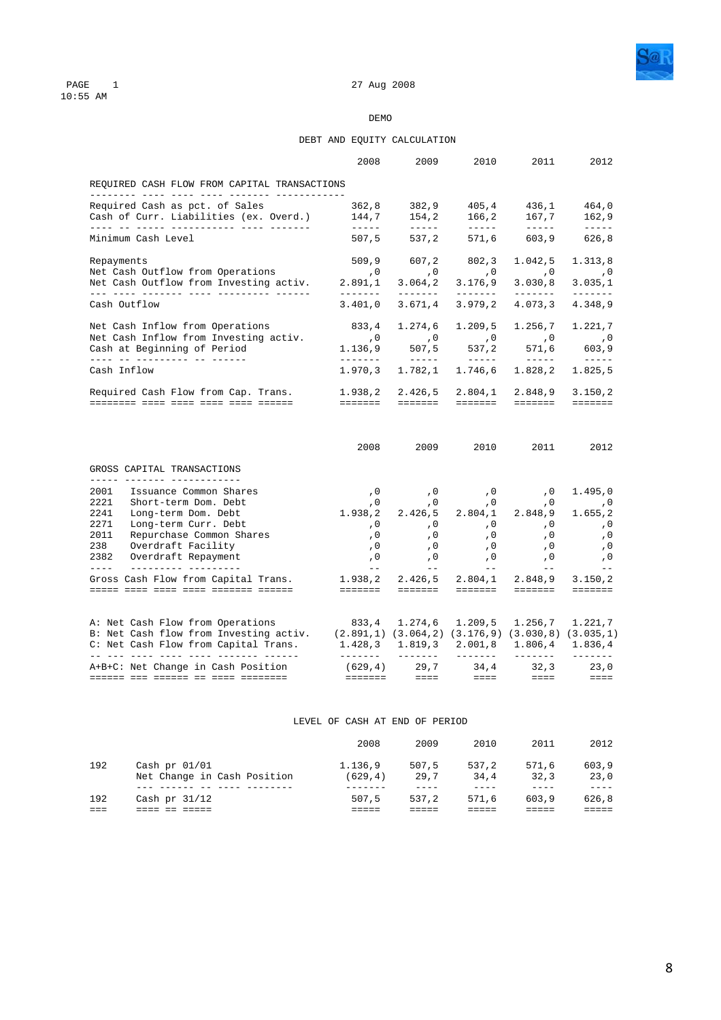

# PAGE 1<br>10:55 AM

### DEMO

### DEBT AND EQUITY CALCULATION

|                                                                                                                                                                                                                                                                                                                                                                                                                                                                                                                                               | 2008                                                                                      | 2009                                                                                                                                                                                                                                                                                                                                                                                                    | 2010                                                                                                                                                                                                                                                                                                                                                                                                                                                                                | 2011                                                                                          | 2012                                                                                                                                                                                                                                                                                                                                                                                                                                                                                            |
|-----------------------------------------------------------------------------------------------------------------------------------------------------------------------------------------------------------------------------------------------------------------------------------------------------------------------------------------------------------------------------------------------------------------------------------------------------------------------------------------------------------------------------------------------|-------------------------------------------------------------------------------------------|---------------------------------------------------------------------------------------------------------------------------------------------------------------------------------------------------------------------------------------------------------------------------------------------------------------------------------------------------------------------------------------------------------|-------------------------------------------------------------------------------------------------------------------------------------------------------------------------------------------------------------------------------------------------------------------------------------------------------------------------------------------------------------------------------------------------------------------------------------------------------------------------------------|-----------------------------------------------------------------------------------------------|-------------------------------------------------------------------------------------------------------------------------------------------------------------------------------------------------------------------------------------------------------------------------------------------------------------------------------------------------------------------------------------------------------------------------------------------------------------------------------------------------|
| REQUIRED CASH FLOW FROM CAPITAL TRANSACTIONS                                                                                                                                                                                                                                                                                                                                                                                                                                                                                                  |                                                                                           |                                                                                                                                                                                                                                                                                                                                                                                                         |                                                                                                                                                                                                                                                                                                                                                                                                                                                                                     |                                                                                               |                                                                                                                                                                                                                                                                                                                                                                                                                                                                                                 |
| Required Cash as pct. of Sales<br>Cash of Curr. Liabilities (ex. Overd.)                                                                                                                                                                                                                                                                                                                                                                                                                                                                      | 362,8<br>144,7                                                                            | 382,9<br>154,2                                                                                                                                                                                                                                                                                                                                                                                          | 405,4<br>166,2                                                                                                                                                                                                                                                                                                                                                                                                                                                                      | 436,1<br>167,7                                                                                | 464,0<br>162,9                                                                                                                                                                                                                                                                                                                                                                                                                                                                                  |
| Minimum Cash Level                                                                                                                                                                                                                                                                                                                                                                                                                                                                                                                            | $\frac{1}{2}$<br>507, 5                                                                   | $\begin{tabular}{ccccc} - & - & - & - \\ \hline \end{tabular}$<br>537,2                                                                                                                                                                                                                                                                                                                                 | $\frac{1}{2} \left( \frac{1}{2} \right) \left( \frac{1}{2} \right) \left( \frac{1}{2} \right) \left( \frac{1}{2} \right) \left( \frac{1}{2} \right) \left( \frac{1}{2} \right) \left( \frac{1}{2} \right) \left( \frac{1}{2} \right) \left( \frac{1}{2} \right) \left( \frac{1}{2} \right) \left( \frac{1}{2} \right) \left( \frac{1}{2} \right) \left( \frac{1}{2} \right) \left( \frac{1}{2} \right) \left( \frac{1}{2} \right) \left( \frac{1}{2} \right) \left( \frac$<br>571,6 | 603,9                                                                                         | $\cdots\cdots\cdots\cdots$<br>626,8                                                                                                                                                                                                                                                                                                                                                                                                                                                             |
| Repayments<br>Net Cash Outflow from Operations<br>Net Cash Outflow from Investing activ.<br>___ ____ _______ ____ __________ _____                                                                                                                                                                                                                                                                                                                                                                                                            | 509, 9<br>$\sim$ , 0<br>2.891,1                                                           | 607,2<br>, 0<br>3.064, 2                                                                                                                                                                                                                                                                                                                                                                                | 802,3<br>$\sim$ , 0<br>3.176, 9                                                                                                                                                                                                                                                                                                                                                                                                                                                     | 1.042,5<br>$\,$ , 0<br>3.030, 8                                                               | 1.313,8<br>, 0<br>3.035,1                                                                                                                                                                                                                                                                                                                                                                                                                                                                       |
| Cash Outflow                                                                                                                                                                                                                                                                                                                                                                                                                                                                                                                                  | 3.401,0                                                                                   | --------<br>3.671,4                                                                                                                                                                                                                                                                                                                                                                                     | --------<br>3.979, 2                                                                                                                                                                                                                                                                                                                                                                                                                                                                | --------<br>4.073, 3                                                                          | $\begin{tabular}{cccccc} \multicolumn{2}{c}{} & \multicolumn{2}{c}{} & \multicolumn{2}{c}{} & \multicolumn{2}{c}{} & \multicolumn{2}{c}{} & \multicolumn{2}{c}{} & \multicolumn{2}{c}{} & \multicolumn{2}{c}{} & \multicolumn{2}{c}{} & \multicolumn{2}{c}{} & \multicolumn{2}{c}{} & \multicolumn{2}{c}{} & \multicolumn{2}{c}{} & \multicolumn{2}{c}{} & \multicolumn{2}{c}{} & \multicolumn{2}{c}{} & \multicolumn{2}{c}{} & \multicolumn{2}{c}{} & \multicolumn{2}{c}{} & \mult$<br>4.348,9 |
| Net Cash Inflow from Operations<br>Net Cash Inflow from Investing activ.<br>Cash at Beginning of Period                                                                                                                                                                                                                                                                                                                                                                                                                                       | 833,4<br>$\sim$ , 0<br>1.136, 9                                                           | 1.274,6<br>$\begin{array}{c} 0 \\ 507 \end{array}$                                                                                                                                                                                                                                                                                                                                                      | 1.209, 5<br>$\overline{\phantom{a}}$ , 0                                                                                                                                                                                                                                                                                                                                                                                                                                            | 1.256,7<br>$\begin{array}{ccc} & & & & \ddots \\ & & & & & \\ 537,2 & & 571,6 \\ \end{array}$ | 1.221,7<br>$\,$ , 0 $\,$<br>603, 9                                                                                                                                                                                                                                                                                                                                                                                                                                                              |
| ____ __ _________ __ _____<br>Cash Inflow                                                                                                                                                                                                                                                                                                                                                                                                                                                                                                     | 1.970, 3                                                                                  | $\frac{1}{2} \frac{1}{2} \frac{1}{2} \frac{1}{2} \frac{1}{2} \frac{1}{2} \frac{1}{2} \frac{1}{2} \frac{1}{2} \frac{1}{2} \frac{1}{2} \frac{1}{2} \frac{1}{2} \frac{1}{2} \frac{1}{2} \frac{1}{2} \frac{1}{2} \frac{1}{2} \frac{1}{2} \frac{1}{2} \frac{1}{2} \frac{1}{2} \frac{1}{2} \frac{1}{2} \frac{1}{2} \frac{1}{2} \frac{1}{2} \frac{1}{2} \frac{1}{2} \frac{1}{2} \frac{1}{2} \frac{$<br>1.782,1 | 1.746,6                                                                                                                                                                                                                                                                                                                                                                                                                                                                             | 1.828,2                                                                                       | $\cdots\cdots\cdots\cdots$<br>1.825,5                                                                                                                                                                                                                                                                                                                                                                                                                                                           |
| Required Cash Flow from Cap. Trans.                                                                                                                                                                                                                                                                                                                                                                                                                                                                                                           | 1.938,2                                                                                   | 2.426,5                                                                                                                                                                                                                                                                                                                                                                                                 | 2.804,1                                                                                                                                                                                                                                                                                                                                                                                                                                                                             | 2.848,9                                                                                       | 3.150, 2                                                                                                                                                                                                                                                                                                                                                                                                                                                                                        |
|                                                                                                                                                                                                                                                                                                                                                                                                                                                                                                                                               |                                                                                           | =======  =======                                                                                                                                                                                                                                                                                                                                                                                        | eeeeee -                                                                                                                                                                                                                                                                                                                                                                                                                                                                            | eeeeee -                                                                                      | =======                                                                                                                                                                                                                                                                                                                                                                                                                                                                                         |
|                                                                                                                                                                                                                                                                                                                                                                                                                                                                                                                                               | 2008                                                                                      | 2009 — 2009 — 2009 — 2009 — 2009 — 2009 — 2009 — 2009 — 2009 — 2009 — 2009 — 2009 — 2009 — 2009 — 2009 — 2009 — 200                                                                                                                                                                                                                                                                                     | 2010 - 2010 - 2010 - 2010 - 2020 - 2020 - 2020 - 2020 - 2020 - 2020 - 2020 - 2020 - 2020 - 2020 - 2020 - 20                                                                                                                                                                                                                                                                                                                                                                         | 2011                                                                                          | 2012                                                                                                                                                                                                                                                                                                                                                                                                                                                                                            |
|                                                                                                                                                                                                                                                                                                                                                                                                                                                                                                                                               |                                                                                           |                                                                                                                                                                                                                                                                                                                                                                                                         |                                                                                                                                                                                                                                                                                                                                                                                                                                                                                     |                                                                                               |                                                                                                                                                                                                                                                                                                                                                                                                                                                                                                 |
| _____ _______ _____________<br>Issuance Common Shares<br>Long-term Dom. Debt<br>Long-term Curr. Debt<br>Repurchase Common Shares<br>Overdraft Facility<br>Overdraft Repayment                                                                                                                                                                                                                                                                                                                                                                 | , 0<br>, 0<br>1.938,2<br>$\overline{0}$<br>, 0<br>, 0<br>, 0                              | $\, \overline{\,}$ 0<br>$\sqrt{0}$<br>2.426,5<br>, 0<br>, 0<br>, 0                                                                                                                                                                                                                                                                                                                                      | , 0<br>, 0<br>2.804,1<br>, 0<br>, 0<br>, 0                                                                                                                                                                                                                                                                                                                                                                                                                                          | , 0<br>, 0<br>2.848,9<br>$\overline{\phantom{0}}$ , 0<br>, 0<br>, 0<br>, 0                    | 1.495,0<br>$\sim$ , 0<br>1.655,2<br>$\sim$ 0<br>, 0<br>, 0<br>, 0                                                                                                                                                                                                                                                                                                                                                                                                                               |
| GROSS CAPITAL TRANSACTIONS<br>2001<br>2221 Short-term Dom. Debt<br>2241<br>2271<br>2011<br>238<br>2382<br>$\frac{1}{2} \frac{1}{2} \frac{1}{2} \frac{1}{2} \frac{1}{2} \frac{1}{2} \frac{1}{2} \frac{1}{2} \frac{1}{2} \frac{1}{2} \frac{1}{2} \frac{1}{2} \frac{1}{2} \frac{1}{2} \frac{1}{2} \frac{1}{2} \frac{1}{2} \frac{1}{2} \frac{1}{2} \frac{1}{2} \frac{1}{2} \frac{1}{2} \frac{1}{2} \frac{1}{2} \frac{1}{2} \frac{1}{2} \frac{1}{2} \frac{1}{2} \frac{1}{2} \frac{1}{2} \frac{1}{2} \frac{$<br>Gross Cash Flow from Capital Trans. | $\sim$ $-$<br>1.938,2 2.426,5 2.804,1 2.848,9                                             | $\frac{1}{2}$ and $\frac{1}{2}$                                                                                                                                                                                                                                                                                                                                                                         | $\frac{1}{2}$<br>------- ------ ------- -------                                                                                                                                                                                                                                                                                                                                                                                                                                     | $\frac{1}{2}$ and $\frac{1}{2}$                                                               | $\equiv$ $\equiv$<br>3.150,2<br><b>EEEEEEE</b>                                                                                                                                                                                                                                                                                                                                                                                                                                                  |
| A: Net Cash Flow from Operations<br>B: Net Cash flow from Investing activ.<br>C: Net Cash Flow from Capital Trans.<br><u> 11 111 1111 1111 1111 1111111 111111</u>                                                                                                                                                                                                                                                                                                                                                                            | 833, 4 1.274, 6<br>$(2.891,1)$ $(3.064,2)$ $(3.176,9)$ $(3.030,8)$ $(3.035,1)$<br>1.428,3 | 1.819,3<br><u>_______</u>                                                                                                                                                                                                                                                                                                                                                                               | 1.209,5<br>2.001,8<br>--------                                                                                                                                                                                                                                                                                                                                                                                                                                                      | 1.256,7                                                                                       | 1.221, 7<br>$1.806, 4$ $1.836, 4$<br>$- - - - - - -$                                                                                                                                                                                                                                                                                                                                                                                                                                            |

LEVEL OF CASH AT END OF PERIOD

|     |                                                | 2008               | 2009          | 2010          | 2011          | 2012          |
|-----|------------------------------------------------|--------------------|---------------|---------------|---------------|---------------|
| 192 | Cash pr $01/01$<br>Net Change in Cash Position | 1.136,9<br>(629.4) | 507.5<br>29.7 | 537.2<br>34.4 | 571.6<br>32.3 | 603.9<br>23,0 |
|     |                                                |                    |               |               |               | ----          |
| 192 | Cash pr $31/12$                                | 507.5              | 537.2         | 571.6         | 603.9         | 626.8         |
|     |                                                |                    |               |               |               |               |
|     |                                                |                    |               |               |               |               |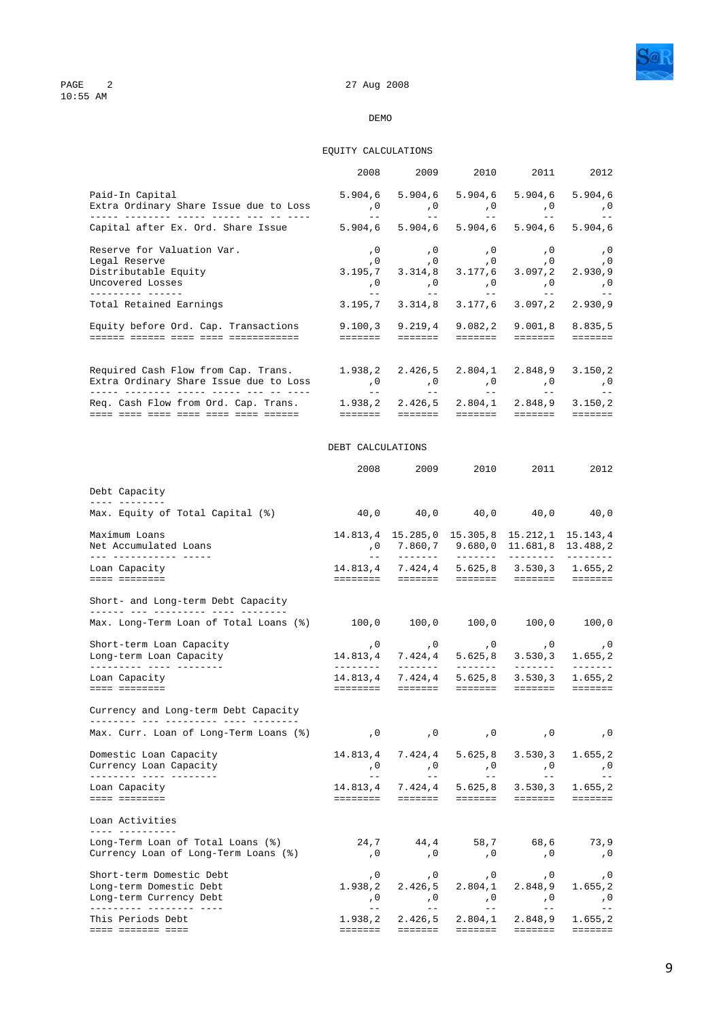

### 27 Aug 2008

### DEMO

### EQUITY CALCULATIONS

|                                                                                                                                                                                    | 2008                                    | 2009                                              | 2010                                      | 2011                                                                             | 2012                                                                         |
|------------------------------------------------------------------------------------------------------------------------------------------------------------------------------------|-----------------------------------------|---------------------------------------------------|-------------------------------------------|----------------------------------------------------------------------------------|------------------------------------------------------------------------------|
| Paid-In Capital<br>Extra Ordinary Share Issue due to Loss                                                                                                                          | 5.904,6<br>, 0<br>$\equiv$ $\equiv$     | 5.904, 6<br>, 0<br>$- -$                          | 5.904, 6<br>, 0<br>$  \,$                 | 5.904, 6<br>, 0<br>$ -$                                                          | 5.904, 6<br>, 0<br>$- -$                                                     |
| Capital after Ex. Ord. Share Issue                                                                                                                                                 | 5.904,6                                 | 5.904, 6                                          | 5.904.6                                   | 5.904, 6                                                                         | 5.904, 6                                                                     |
| Reserve for Valuation Var.<br>Legal Reserve<br>Distributable Equity<br>Uncovered Losses<br>__________ ______                                                                       | , 0<br>, 0<br>3.195,7<br>, 0<br>$ -$    | , 0<br>, 0<br>3.314,8<br>, 0<br>$- -$             | , 0<br>, 0<br>3.177,6<br>$\,$ , 0<br>$--$ | , 0<br>, 0<br>3.097,2<br>, 0<br>$\hspace{0.1cm} -\hspace{0.1cm} -\hspace{0.1cm}$ | , 0<br>, 0<br>2.930,9<br>, 0<br>$=$ $-$                                      |
| Total Retained Earnings                                                                                                                                                            | 3.195,7                                 | 3.314.8                                           | 3.177,6                                   | 3.097, 2                                                                         | 2.930,9                                                                      |
| Equity before Ord. Cap. Transactions                                                                                                                                               | 9.100, 3<br>=======                     | 9.219,4<br>eeeeee.                                | 9.082, 2<br>eeeeee.                       | 9.001, 8<br>eeeeee.                                                              | 8.835,5<br>$=$ = = = = = =                                                   |
| Required Cash Flow from Cap. Trans.<br>Extra Ordinary Share Issue due to Loss                                                                                                      | 1.938,2<br>, 0<br>$- -$                 | 2.426,5<br>, 0<br>$\frac{1}{2}$ and $\frac{1}{2}$ | 2.804,1<br>$\,$ , 0<br>$  \,$             | 2.848,9<br>, 0<br>$  \,$                                                         | 3.150, 2<br>, 0                                                              |
| Req. Cash Flow from Ord. Cap. Trans.<br><u> 1111 1111 1111 1111 1111 1111 111111 1</u>                                                                                             | 1.938,2<br><b>EEEEEEE</b>               | 2.426,5<br><b>EEEEEEE</b>                         | 2.804,1<br><b>EBBEBER</b>                 | 2.848,9<br><b>EEEEEEE</b>                                                        | 3.150, 2<br>$\qquad \qquad \equiv \equiv \equiv \equiv \equiv \equiv \equiv$ |
|                                                                                                                                                                                    | DEBT CALCULATIONS                       |                                                   |                                           |                                                                                  |                                                                              |
|                                                                                                                                                                                    | 2008                                    | 2009                                              | 2010                                      | 2011                                                                             | 2012                                                                         |
| Debt Capacity<br>____ ________                                                                                                                                                     |                                         |                                                   |                                           |                                                                                  |                                                                              |
| Max. Equity of Total Capital (%)                                                                                                                                                   | 40,0                                    | 40,0                                              | 40,0                                      | 40,0                                                                             | 40,0                                                                         |
| Maximum Loans<br>Net Accumulated Loans<br>--- ------------ -----                                                                                                                   |                                         | 14.813,4 15.285,0 15.305,8<br>,0 7.860,7 9.680,0  |                                           | 15.212,1<br>11.681,8<br>---------                                                | 15.143,4<br>13.488,2<br>$- - - - - - - -$                                    |
| Loan Capacity<br>==== ========                                                                                                                                                     |                                         | 14.813,4 7.424,4 5.625,8<br>========  =======     |                                           | 3.530, 3<br>eesses eesses                                                        | 1.655,2<br><b>EEEEEEE</b>                                                    |
| Short- and Long-term Debt Capacity<br>_______ ___ __________ ____ ________                                                                                                         |                                         |                                                   |                                           |                                                                                  |                                                                              |
| Max. Long-Term Loan of Total Loans (%)                                                                                                                                             | $100,0$ $100,0$ $100,0$ $100,0$ $100,0$ |                                                   |                                           |                                                                                  |                                                                              |
| Short-term Loan Capacity<br>Long-term Loan Capacity<br>__________ ____ _______                                                                                                     | , 0<br>14.813,4<br>________             | , 0<br>7.424,4<br>--------                        | , 0<br>5.625, 8<br>--------               | , 0<br>3.530, 3<br>_______                                                       | , 0<br>1.655,2<br>-------                                                    |
| Loan Capacity<br>==== ========                                                                                                                                                     | 14.813.4<br><b>EEEEEEE</b>              | 7.424,4<br><b>EEEEEE</b>                          | 5.625, 8<br><b>EEEEEEE</b>                | 3.530, 3<br><b>EEEEEEE</b>                                                       | 1.655,2<br><b>EEEEEEE</b>                                                    |
| Currency and Long-term Debt Capacity                                                                                                                                               |                                         |                                                   |                                           |                                                                                  |                                                                              |
| a sa tanàna ao amin'ny faritr'i Normandie, ao amin'ny faritr'i Normandie, ao Frantsa.<br>Ny INSEE dia mampiasa ny kaodim-paositra 61169.<br>Max. Curr. Loan of Long-Term Loans (%) | $\sqrt{0}$                              | $\overline{0}$                                    | , 0                                       | , 0                                                                              | , 0                                                                          |
| Domestic Loan Capacity<br>Currency Loan Capacity                                                                                                                                   | 14.813,4<br>, 0                         | 7.424,4<br>, 0                                    | 5.625, 8<br>, 0                           | 3.530, 3<br>, 0                                                                  | 1.655, 2<br>, 0                                                              |
| Loan Capacity<br>==== ========                                                                                                                                                     | $ -$<br>14.813.4                        | $- -$<br>7.424,4                                  | $\frac{1}{2}$<br>5.625, 8                 | $\equiv$ $\equiv$<br>3.530, 3                                                    | $ -$<br>1.655,2                                                              |
| Loan Activities                                                                                                                                                                    |                                         |                                                   |                                           |                                                                                  |                                                                              |
| <u>---- ----------</u><br>Long-Term Loan of Total Loans (%)<br>Currency Loan of Long-Term Loans (%)                                                                                | 24,7<br>, 0                             | 44,4<br>, 0                                       | 58,7<br>, 0                               | 68,6<br>, 0                                                                      | 73,9<br>, 0                                                                  |
| Short-term Domestic Debt<br>Long-term Domestic Debt<br>Long-term Currency Debt                                                                                                     | , 0<br>1.938,2<br>, 0                   | , 0<br>2.426,5<br>, 0                             | , 0<br>2.804,1<br>, 0                     | , 0<br>2.848,9<br>, 0                                                            | , 0<br>1.655, 2<br>, 0                                                       |
| ---------- -------- ----<br>This Periods Debt<br><u> ==== ======= ====</u>                                                                                                         | $\equiv$ $\equiv$<br>1.938,2<br>======= | $- -$<br>2.426,5<br>=======                       | $- -$<br>2.804,1<br>eeeeee.               | $- -$<br>2.848,9<br>eeeeee                                                       | $- -$<br>1.655, 2<br>=======                                                 |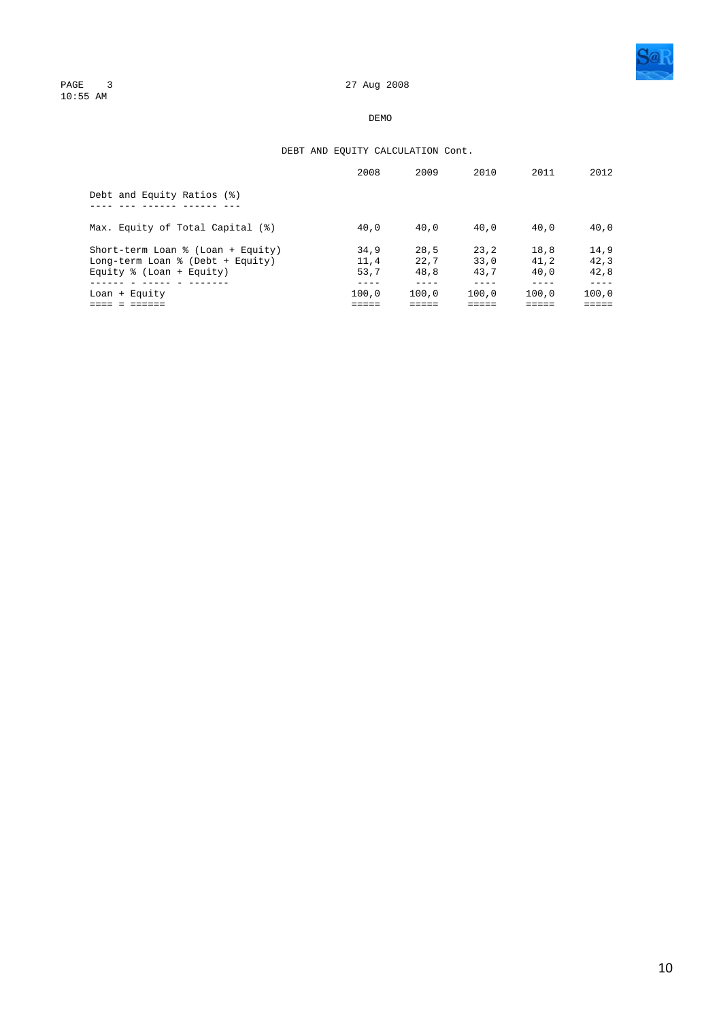

PAGE 3<br>10:55 AM

### DEMO

### DEBT AND EQUITY CALCULATION Cont.

|                                   | 2008  | 2009  | 2010  | 2011  | 2012  |
|-----------------------------------|-------|-------|-------|-------|-------|
| Debt and Equity Ratios (%)        |       |       |       |       |       |
| Max. Equity of Total Capital (%)  | 40,0  | 40.0  | 40.0  | 40.0  | 40.0  |
| Short-term Loan % (Loan + Equity) | 34.9  | 28.5  | 23.2  | 18.8  | 14.9  |
| Long-term Loan % (Debt + Equity)  | 11.4  | 22.7  | 33.0  | 41.2  | 42.3  |
| Equity $% (Loan + Equity)$        | 53.7  | 48.8  | 43.7  | 40.0  | 42.8  |
| $Loan + Equity$                   | 100.0 | 100.0 | 100.0 | 100.0 | 100.0 |
|                                   |       |       |       |       |       |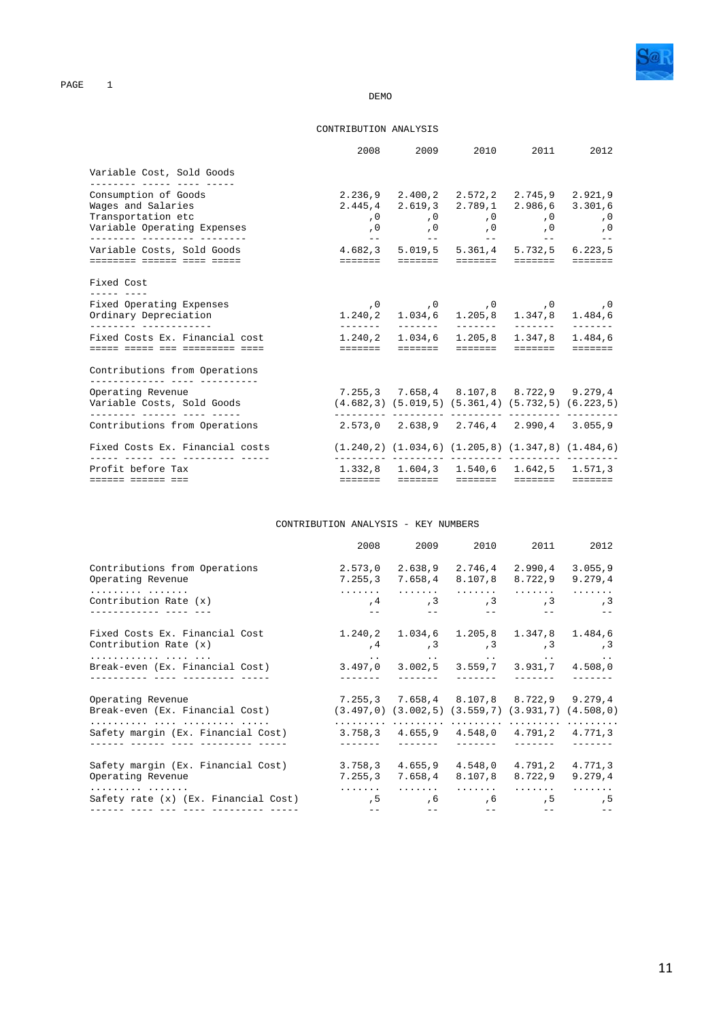

#### **DEMO**

#### CONTRIBUTION ANALYSIS

|                                                             |                                                                  | 2008 2009 2010 2011                                                                                                                        |  | 2012 |
|-------------------------------------------------------------|------------------------------------------------------------------|--------------------------------------------------------------------------------------------------------------------------------------------|--|------|
| Variable Cost, Sold Goods<br>________ _____ ____ ____       |                                                                  |                                                                                                                                            |  |      |
| Consumption of Goods                                        |                                                                  | 2.236,9 2.400,2 2.572,2 2.745,9 2.921,9                                                                                                    |  |      |
| Wages and Salaries                                          |                                                                  | 2.445,4 2.619,3 2.789,1 2.986,6 3.301,6                                                                                                    |  |      |
| Transportation etc                                          |                                                                  | 0, 0, 0, 0, 0, 0,                                                                                                                          |  |      |
| Variable Operating Expenses<br>_________ __________ _______ |                                                                  | 0, 0, 0, 0, 0, 0,<br><u> 1940 - An Ann An Aonaichte ann an Aonaichte ann an Aonaichte ann an Aonaichte ann an Aonaichte ann an Aonaich</u> |  |      |
| Variable Costs, Sold Goods                                  | 4.682,3 5.019,5 5.361,4 5.732,5 6.223,5                          |                                                                                                                                            |  |      |
| <u> -------- ------ ---- -----</u>                          |                                                                  |                                                                                                                                            |  |      |
| Fixed Cost                                                  |                                                                  |                                                                                                                                            |  |      |
| Fixed Operating Expenses                                    |                                                                  | 0, 0, 0, 0, 0, 0,                                                                                                                          |  |      |
| Ordinary Depreciation                                       |                                                                  | $1.240, 2$ $1.034, 6$ $1.205, 8$ $1.347, 8$ $1.484, 6$                                                                                     |  |      |
| _________ ______________<br>Fixed Costs Ex. Financial cost  | --------                                                         | 1.240,2 1.034,6 1.205,8 1.347,8 1.484,6                                                                                                    |  |      |
| adaan adaan ada adaanaana adaa                              |                                                                  |                                                                                                                                            |  |      |
| Contributions from Operations                               |                                                                  |                                                                                                                                            |  |      |
| Operating Revenue                                           | 7.255,3 7.658,4 8.107,8 8.722,9 9.279,4                          |                                                                                                                                            |  |      |
| Variable Costs, Sold Goods<br>_________ ______ _____ _____  |                                                                  | $(4.682,3)$ $(5.019,5)$ $(5.361,4)$ $(5.732,5)$ $(6.223,5)$                                                                                |  |      |
| Contributions from Operations                               | $2.573,0$ $2.638,9$ $2.746,4$ $2.990,4$ $3.055,9$                |                                                                                                                                            |  |      |
| Fixed Costs Ex. Financial costs                             | $(1.240, 2)$ $(1.034, 6)$ $(1.205, 8)$ $(1.347, 8)$ $(1.484, 6)$ |                                                                                                                                            |  |      |
| Profit before Tax                                           |                                                                  | 1.332,8 1.604,3 1.540,6 1.642,5 1.571,3                                                                                                    |  |      |
| docese docese doc                                           |                                                                  |                                                                                                                                            |  |      |

### CONTRIBUTION ANALYSIS - KEY NUMBERS

|                                                                    | 2008 | 2009                                | 2010                                                                                                    | 2011          | 2012        |
|--------------------------------------------------------------------|------|-------------------------------------|---------------------------------------------------------------------------------------------------------|---------------|-------------|
| Contributions from Operations                                      |      |                                     | 2.573,0 2.638,9 2.746,4                                                                                 | 2.990,4       | 3.055, 9    |
| Operating Revenue                                                  |      |                                     | 7.255,3 7.658,4 8.107,8                                                                                 | 8.722,9       | 9.279, 4    |
| .                                                                  |      |                                     |                                                                                                         |               | .           |
| Contribution Rate (x)<br>_____________ ____ ___                    |      |                                     |                                                                                                         |               |             |
| Fixed Costs Ex. Financial Cost                                     |      |                                     | 1.240,2 1.034,6 1.205,8 1.347,8 1.484,6                                                                 |               |             |
| Contribution Rate $(x)$                                            |      |                                     | $,4$ , 3, $,3$ , 3, $,3$ , 3                                                                            |               |             |
| Break-even (Ex. Financial Cost)                                    |      |                                     | ومعادلته والمتعاون والمتعارض والمتعارض والمتعارض والمتعارض والمتعارض<br>3.497,0 3.002,5 3.559,7 3.931,7 |               | 4.508.0     |
| ___________ ____ ________________                                  |      |                                     | --------                                                                                                | $\frac{1}{2}$ |             |
| Operating Revenue                                                  |      |                                     | 7.255,3 7.658,4 8.107,8 8.722,9 9.279,4                                                                 |               |             |
| Break-even (Ex. Financial Cost)                                    |      |                                     | $(3.497,0)$ $(3.002,5)$ $(3.559,7)$ $(3.931,7)$ $(4.508,0)$                                             |               |             |
| Safety margin (Ex. Financial Cost) 3.758,3 4.655,9 4.548,0 4.791,2 |      |                                     |                                                                                                         |               | 4.771.3     |
| Safety margin (Ex. Financial Cost) $3.758,3$ $4.655,9$ $4.548,0$   |      |                                     |                                                                                                         | 4.791,2       | 4.771,3     |
| Operating Revenue                                                  |      |                                     | 7.255,3 7.658,4 8.107,8                                                                                 | 8.722.9       | 9.279.4     |
| .<br>Safety rate (x) (Ex. Financial Cost)                          |      |                                     | 5, 5, 5, 5, 5, 5,                                                                                       |               | 1.1.1.1.1.1 |
|                                                                    |      | the contract of the contract of the |                                                                                                         |               |             |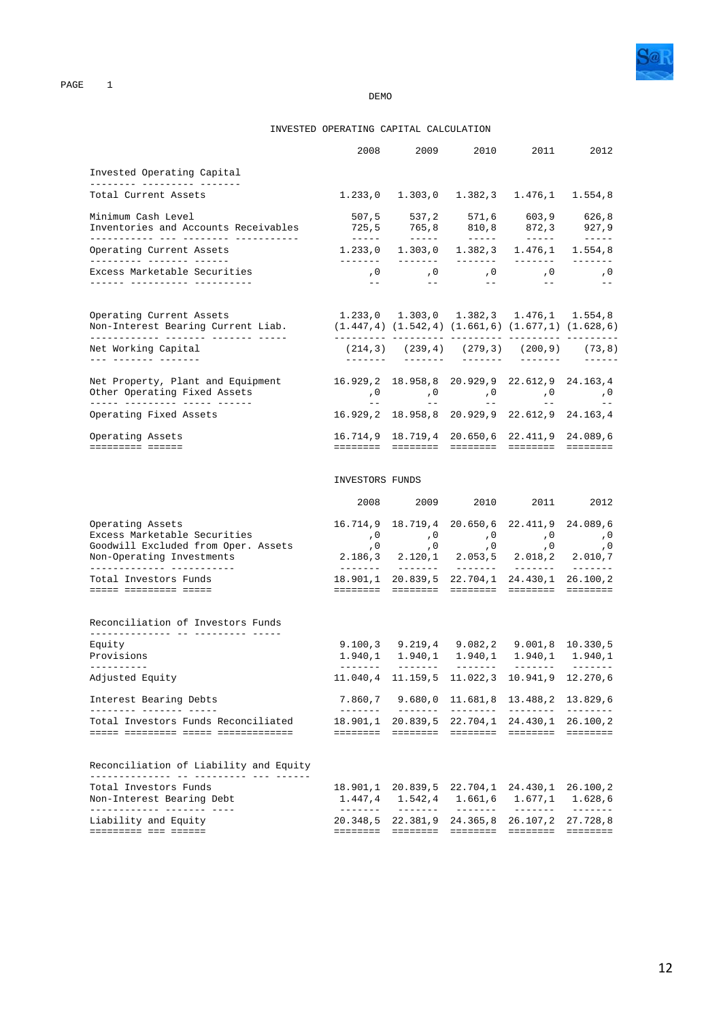### INVESTED OPERATING CAPITAL CALCULATION

|                                                                                                                      | 2008                                                             | 2009                                                                                                         | 2010                                    | 2011                                                                                                                                                                                                                                                                                                                                                                                                                                                                                                           | 2012                                                                                                                                                                                                                                                                                                                                                                                                                                                                                   |
|----------------------------------------------------------------------------------------------------------------------|------------------------------------------------------------------|--------------------------------------------------------------------------------------------------------------|-----------------------------------------|----------------------------------------------------------------------------------------------------------------------------------------------------------------------------------------------------------------------------------------------------------------------------------------------------------------------------------------------------------------------------------------------------------------------------------------------------------------------------------------------------------------|----------------------------------------------------------------------------------------------------------------------------------------------------------------------------------------------------------------------------------------------------------------------------------------------------------------------------------------------------------------------------------------------------------------------------------------------------------------------------------------|
| Invested Operating Capital                                                                                           |                                                                  |                                                                                                              |                                         |                                                                                                                                                                                                                                                                                                                                                                                                                                                                                                                |                                                                                                                                                                                                                                                                                                                                                                                                                                                                                        |
| Total Current Assets                                                                                                 |                                                                  | $1.233,0$ $1.303,0$ $1.382,3$ $1.476,1$ $1.554,8$                                                            |                                         |                                                                                                                                                                                                                                                                                                                                                                                                                                                                                                                |                                                                                                                                                                                                                                                                                                                                                                                                                                                                                        |
| Minimum Cash Level<br>Inventories and Accounts Receivables<br>____________ ___ ________ __________                   |                                                                  | 507,5 537,2 571,6 603,9 626,8                                                                                |                                         |                                                                                                                                                                                                                                                                                                                                                                                                                                                                                                                |                                                                                                                                                                                                                                                                                                                                                                                                                                                                                        |
| Operating Current Assets                                                                                             | --------                                                         | $1.233, 0$ $1.303, 0$ $1.382, 3$ $1.476, 1$ $1.554, 8$<br><u> Liberator</u>                                  |                                         |                                                                                                                                                                                                                                                                                                                                                                                                                                                                                                                | $\begin{array}{cccccccccc} \multicolumn{2}{c}{} & \multicolumn{2}{c}{} & \multicolumn{2}{c}{} & \multicolumn{2}{c}{} & \multicolumn{2}{c}{} & \multicolumn{2}{c}{} & \multicolumn{2}{c}{} & \multicolumn{2}{c}{} & \multicolumn{2}{c}{} & \multicolumn{2}{c}{} & \multicolumn{2}{c}{} & \multicolumn{2}{c}{} & \multicolumn{2}{c}{} & \multicolumn{2}{c}{} & \multicolumn{2}{c}{} & \multicolumn{2}{c}{} & \multicolumn{2}{c}{} & \multicolumn{2}{c}{} & \multicolumn{2}{c}{} & \mult$ |
| Excess Marketable Securities<br>______ __________ ________                                                           | $\sim$ $-$                                                       | 0, 0, 0, 0, 0, 0,<br>$\sim$ $-$                                                                              |                                         | $\sim$ $ -$                                                                                                                                                                                                                                                                                                                                                                                                                                                                                                    | $\sim$ $ -$                                                                                                                                                                                                                                                                                                                                                                                                                                                                            |
| Operating Current Assets<br>Non-Interest Bearing Current Liab.                                                       | $(1.447, 4)$ $(1.542, 4)$ $(1.661, 6)$ $(1.677, 1)$ $(1.628, 6)$ | $1.233,0$ $1.303,0$ $1.382,3$ $1.476,1$ $1.554,8$                                                            |                                         |                                                                                                                                                                                                                                                                                                                                                                                                                                                                                                                |                                                                                                                                                                                                                                                                                                                                                                                                                                                                                        |
| Net Working Capital<br><u> 222 2222222 2222222</u>                                                                   |                                                                  | $(214,3)$ $(239,4)$ $(279,3)$ $(200,9)$ $(73,8)$<br>------- ------ ------- ------- ------                    |                                         |                                                                                                                                                                                                                                                                                                                                                                                                                                                                                                                |                                                                                                                                                                                                                                                                                                                                                                                                                                                                                        |
| Net Property, Plant and Equipment<br>Net Frogerating Fixed Assets                                                    | 16.929,2 18.958,8 20.929,9 22.612,9 24.163,4                     |                                                                                                              |                                         |                                                                                                                                                                                                                                                                                                                                                                                                                                                                                                                |                                                                                                                                                                                                                                                                                                                                                                                                                                                                                        |
| Operating Fixed Assets                                                                                               |                                                                  | 16.929,2 18.958,8 20.929,9 22.612,9 24.163,4                                                                 |                                         |                                                                                                                                                                                                                                                                                                                                                                                                                                                                                                                |                                                                                                                                                                                                                                                                                                                                                                                                                                                                                        |
| Operating Assets<br>========= ======                                                                                 |                                                                  | 16.714,9 18.719,4 20.650,6 22.411,9 24.089,6<br><u> accesso accesso accesso accesso accesso</u>              |                                         |                                                                                                                                                                                                                                                                                                                                                                                                                                                                                                                |                                                                                                                                                                                                                                                                                                                                                                                                                                                                                        |
|                                                                                                                      | INVESTORS FUNDS                                                  |                                                                                                              |                                         |                                                                                                                                                                                                                                                                                                                                                                                                                                                                                                                |                                                                                                                                                                                                                                                                                                                                                                                                                                                                                        |
|                                                                                                                      |                                                                  | 2008 2009 2010 2011                                                                                          |                                         |                                                                                                                                                                                                                                                                                                                                                                                                                                                                                                                | 2012                                                                                                                                                                                                                                                                                                                                                                                                                                                                                   |
| Operating Assets<br>Excess Marketable Securities<br>Goodwill Excluded from Oper. Assets<br>Non-Operating Investments |                                                                  | 16.714,9 18.719,4 20.650,6 22.411,9 24.089,6<br>0, 0, 0, 0, 0, 0,<br>2.186,3 2.120,1 2.053,5 2.018,2 2.010,7 |                                         |                                                                                                                                                                                                                                                                                                                                                                                                                                                                                                                |                                                                                                                                                                                                                                                                                                                                                                                                                                                                                        |
| Total Investors Funds<br>===== ========= =====                                                                       |                                                                  | 18.901,1 20.839,5 22.704,1 24.430,1 26.100,2                                                                 |                                         |                                                                                                                                                                                                                                                                                                                                                                                                                                                                                                                |                                                                                                                                                                                                                                                                                                                                                                                                                                                                                        |
| Reconciliation of Investors Funds<br>Equity<br>Provisions<br>-----------                                             |                                                                  | 9.100,3 9.219,4 9.082,2 9.001,8 10.330,5<br>$1.940, 1$ $1.940, 1$ $1.940, 1$ $1.940, 1$ $1.940, 1$           |                                         |                                                                                                                                                                                                                                                                                                                                                                                                                                                                                                                |                                                                                                                                                                                                                                                                                                                                                                                                                                                                                        |
| Adjusted Equity                                                                                                      |                                                                  | 11.040,4 11.159,5 11.022,3 10.941,9 12.270,6                                                                 |                                         |                                                                                                                                                                                                                                                                                                                                                                                                                                                                                                                |                                                                                                                                                                                                                                                                                                                                                                                                                                                                                        |
| Interest Bearing Debts                                                                                               | 7.860,7<br>--------                                              | 9.680,0                                                                                                      | 11.681,8<br>________                    | 13.488,2<br>--------                                                                                                                                                                                                                                                                                                                                                                                                                                                                                           | 13.829,6<br>---------                                                                                                                                                                                                                                                                                                                                                                                                                                                                  |
| Total Investors Funds Reconciliated                                                                                  | 18.901,1<br>========                                             | 20.839,5<br>========                                                                                         | ========                                | 22.704,1 24.430,1<br>========                                                                                                                                                                                                                                                                                                                                                                                                                                                                                  | 26.100,2<br><b>EEEEEEE</b>                                                                                                                                                                                                                                                                                                                                                                                                                                                             |
| Reconciliation of Liability and Equity                                                                               |                                                                  |                                                                                                              |                                         |                                                                                                                                                                                                                                                                                                                                                                                                                                                                                                                |                                                                                                                                                                                                                                                                                                                                                                                                                                                                                        |
| Total Investors Funds<br>Non-Interest Bearing Debt                                                                   | 18.901,1<br>1.447,4                                              | 20.839,5<br>1.542,4                                                                                          | 22.704,1<br>1.661,6                     | 24.430,1<br>1.677,1                                                                                                                                                                                                                                                                                                                                                                                                                                                                                            | 26.100,2<br>1.628,6                                                                                                                                                                                                                                                                                                                                                                                                                                                                    |
| ------------- ------- ----<br>Liability and Equity<br>========= === ======                                           | $- - - - - - -$<br>20.348,5<br>========                          | 22.381,9<br>$\begin{array}{cccccccccc} = & = & = & = & = & = & = & = & \end{array}$                          | $- - - - - - -$<br>24.365,8<br>======== | $\begin{array}{cccccccccc} \multicolumn{2}{c}{} & \multicolumn{2}{c}{} & \multicolumn{2}{c}{} & \multicolumn{2}{c}{} & \multicolumn{2}{c}{} & \multicolumn{2}{c}{} & \multicolumn{2}{c}{} & \multicolumn{2}{c}{} & \multicolumn{2}{c}{} & \multicolumn{2}{c}{} & \multicolumn{2}{c}{} & \multicolumn{2}{c}{} & \multicolumn{2}{c}{} & \multicolumn{2}{c}{} & \multicolumn{2}{c}{} & \multicolumn{2}{c}{} & \multicolumn{2}{c}{} & \multicolumn{2}{c}{} & \multicolumn{2}{c}{} & \mult$<br>26.107,2<br>======== | --------<br>27.728,8<br>========                                                                                                                                                                                                                                                                                                                                                                                                                                                       |
|                                                                                                                      |                                                                  |                                                                                                              |                                         |                                                                                                                                                                                                                                                                                                                                                                                                                                                                                                                |                                                                                                                                                                                                                                                                                                                                                                                                                                                                                        |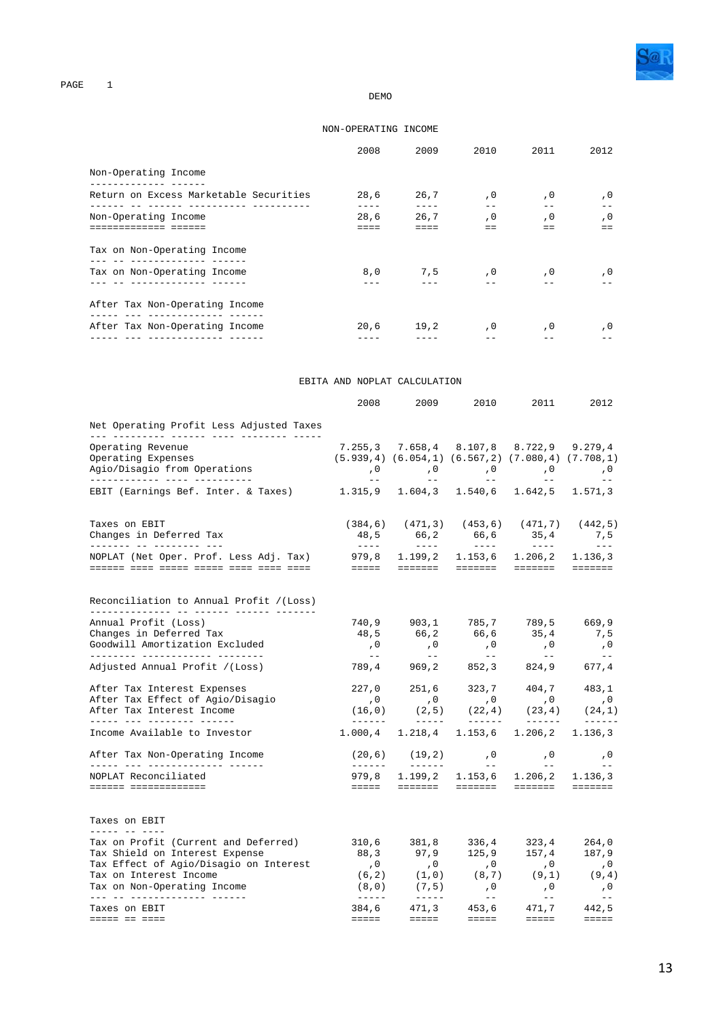

#### DEMO

### NON-OPERATING INCOME

|                                                       | 2008 | 2009          | 2010                | 2011    | 2012 |
|-------------------------------------------------------|------|---------------|---------------------|---------|------|
| Non-Operating Income                                  |      |               |                     |         |      |
| Return on Excess Marketable Securities                | 28,6 |               | 26,7,0              | , 0     | , 0  |
| <u>aa aassaa aassassaas a</u><br>Non-Operating Income | 28.6 | 26.7          | , 0                 | , 0     | , 0  |
| socoococo coo                                         |      |               |                     | $=$ $=$ |      |
| Tax on Non-Operating Income                           |      |               |                     |         |      |
| Tax on Non-Operating Income                           |      |               | $8,0$ $7,5$ $0$ $0$ |         | , 0  |
|                                                       |      |               |                     |         |      |
| After Tax Non-Operating Income                        |      |               |                     |         |      |
| After Tax Non-Operating Income                        |      | $20,6$ $19,2$ | $\cdot$ 0           | . 0     | . 0  |
|                                                       |      |               |                     |         |      |

#### EBITA AND NOPLAT CALCULATION

|                                                                             | 2008                                                                                                                                                                                                                                                                                                                                                                                         | 2009                                                                                                           | 2010                                                      | 2011                                                                                                                                                                                                                                                                                                                                                                                         | 2012                                                         |
|-----------------------------------------------------------------------------|----------------------------------------------------------------------------------------------------------------------------------------------------------------------------------------------------------------------------------------------------------------------------------------------------------------------------------------------------------------------------------------------|----------------------------------------------------------------------------------------------------------------|-----------------------------------------------------------|----------------------------------------------------------------------------------------------------------------------------------------------------------------------------------------------------------------------------------------------------------------------------------------------------------------------------------------------------------------------------------------------|--------------------------------------------------------------|
| Net Operating Profit Less Adjusted Taxes                                    |                                                                                                                                                                                                                                                                                                                                                                                              |                                                                                                                |                                                           |                                                                                                                                                                                                                                                                                                                                                                                              |                                                              |
| Operating Revenue                                                           |                                                                                                                                                                                                                                                                                                                                                                                              | 7.255,3 7.658,4 8.107,8 8.722,9 9.279,4                                                                        |                                                           |                                                                                                                                                                                                                                                                                                                                                                                              |                                                              |
| Operating Expenses                                                          | $(5.939, 4)$ $(6.054, 1)$ $(6.567, 2)$ $(7.080, 4)$ $(7.708, 1)$                                                                                                                                                                                                                                                                                                                             |                                                                                                                |                                                           |                                                                                                                                                                                                                                                                                                                                                                                              |                                                              |
| Agio/Disagio from Operations                                                |                                                                                                                                                                                                                                                                                                                                                                                              | 0, 0, 0, 0,<br>المستحقق والمستحقق والمستحقق والمستحقق والمستحقق                                                |                                                           |                                                                                                                                                                                                                                                                                                                                                                                              | , 0<br>$\sim$ $-$                                            |
| EBIT (Earnings Bef. Inter. & Taxes) 1.315,9 1.604,3 1.540,6 1.642,5 1.571,3 |                                                                                                                                                                                                                                                                                                                                                                                              |                                                                                                                |                                                           |                                                                                                                                                                                                                                                                                                                                                                                              |                                                              |
| Taxes on EBIT                                                               |                                                                                                                                                                                                                                                                                                                                                                                              | $(384,6)$ $(471,3)$ $(453,6)$ $(471,7)$ $(442,5)$                                                              |                                                           |                                                                                                                                                                                                                                                                                                                                                                                              |                                                              |
| Changes in Deferred Tax<br>_______ __ _________ ___                         | $\frac{1}{2} \frac{1}{2} \frac{1}{2} \frac{1}{2} \frac{1}{2} \frac{1}{2} \frac{1}{2} \frac{1}{2} \frac{1}{2} \frac{1}{2} \frac{1}{2} \frac{1}{2} \frac{1}{2} \frac{1}{2} \frac{1}{2} \frac{1}{2} \frac{1}{2} \frac{1}{2} \frac{1}{2} \frac{1}{2} \frac{1}{2} \frac{1}{2} \frac{1}{2} \frac{1}{2} \frac{1}{2} \frac{1}{2} \frac{1}{2} \frac{1}{2} \frac{1}{2} \frac{1}{2} \frac{1}{2} \frac{$ | 48,5 66,2 66,6 35,4 7,5<br>$   -$                                                                              | $   -$                                                    | $\frac{1}{2} \frac{1}{2} \frac{1}{2} \frac{1}{2} \frac{1}{2} \frac{1}{2} \frac{1}{2} \frac{1}{2} \frac{1}{2} \frac{1}{2} \frac{1}{2} \frac{1}{2} \frac{1}{2} \frac{1}{2} \frac{1}{2} \frac{1}{2} \frac{1}{2} \frac{1}{2} \frac{1}{2} \frac{1}{2} \frac{1}{2} \frac{1}{2} \frac{1}{2} \frac{1}{2} \frac{1}{2} \frac{1}{2} \frac{1}{2} \frac{1}{2} \frac{1}{2} \frac{1}{2} \frac{1}{2} \frac{$ | $\equiv$ $\equiv$ $\equiv$                                   |
| NOPLAT (Net Oper. Prof. Less Adj. Tax) 979,8 1.199,2 1.153,6 1.206,2        |                                                                                                                                                                                                                                                                                                                                                                                              |                                                                                                                |                                                           |                                                                                                                                                                                                                                                                                                                                                                                              | 1.136,3                                                      |
|                                                                             |                                                                                                                                                                                                                                                                                                                                                                                              | entre critere critere critere                                                                                  |                                                           |                                                                                                                                                                                                                                                                                                                                                                                              | $=$ = = = = = =                                              |
| Reconciliation to Annual Profit / (Loss)                                    |                                                                                                                                                                                                                                                                                                                                                                                              |                                                                                                                |                                                           |                                                                                                                                                                                                                                                                                                                                                                                              |                                                              |
| Annual Profit (Loss)                                                        |                                                                                                                                                                                                                                                                                                                                                                                              | 740,9 903,1 785,7 789,5 669,9                                                                                  |                                                           |                                                                                                                                                                                                                                                                                                                                                                                              |                                                              |
| Changes in Deferred Tax                                                     |                                                                                                                                                                                                                                                                                                                                                                                              | 48,5 66,2 66,6 35,4 7,5                                                                                        |                                                           |                                                                                                                                                                                                                                                                                                                                                                                              |                                                              |
| Goodwill Amortization Excluded<br>_________ ____________ _______            |                                                                                                                                                                                                                                                                                                                                                                                              | 0 , 0 , 0 , 0 , 0<br>-- -- -- -- -- -- --<br>789 , 4 969 , 2 852 , 3 824 , 9 677 , 4                           | $\begin{array}{c} \n\cdot & 0 \\ \hline\n- \n\end{array}$ |                                                                                                                                                                                                                                                                                                                                                                                              |                                                              |
| Adjusted Annual Profit /(Loss)                                              |                                                                                                                                                                                                                                                                                                                                                                                              |                                                                                                                |                                                           |                                                                                                                                                                                                                                                                                                                                                                                              |                                                              |
| After Tax Interest Expenses                                                 |                                                                                                                                                                                                                                                                                                                                                                                              | $227,0 \qquad 251,6 \qquad 323,7 \qquad 404,7 \qquad 483,1$                                                    |                                                           |                                                                                                                                                                                                                                                                                                                                                                                              |                                                              |
| After Tax Effect of Agio/Disagio                                            | , 0                                                                                                                                                                                                                                                                                                                                                                                          | $\overline{\phantom{a}}$ , 0                                                                                   | $\,$ , 0                                                  | , 0                                                                                                                                                                                                                                                                                                                                                                                          | , 0                                                          |
| After Tax Interest Income<br>______ ___ _________ ______                    |                                                                                                                                                                                                                                                                                                                                                                                              | $(16,0)$ $(2,5)$ $(22,4)$ $(23,4)$ $(24,1)$<br>$- - - - -$                                                     | _______                                                   | _______                                                                                                                                                                                                                                                                                                                                                                                      |                                                              |
| Income Available to Investor                                                | $1.000, 4$ $1.218, 4$ $1.153, 6$ $1.206, 2$                                                                                                                                                                                                                                                                                                                                                  |                                                                                                                |                                                           |                                                                                                                                                                                                                                                                                                                                                                                              | 1.136,3                                                      |
| After Tax Non-Operating Income<br>_____ ___ _____________ _____             |                                                                                                                                                                                                                                                                                                                                                                                              | $(20,6)$ $(19,2)$ , 0, 0, 0, 0<br><u> 2000 - 2000 - 2000 - 2000 - 200</u>                                      |                                                           |                                                                                                                                                                                                                                                                                                                                                                                              | <b>Service State</b>                                         |
| NOPLAT Reconciliated                                                        |                                                                                                                                                                                                                                                                                                                                                                                              | 979,8 1.199,2 1.153,6 1.206,2 1.136,3                                                                          |                                                           |                                                                                                                                                                                                                                                                                                                                                                                              |                                                              |
| ====== =============                                                        |                                                                                                                                                                                                                                                                                                                                                                                              |                                                                                                                |                                                           |                                                                                                                                                                                                                                                                                                                                                                                              |                                                              |
| Taxes on EBIT                                                               |                                                                                                                                                                                                                                                                                                                                                                                              |                                                                                                                |                                                           |                                                                                                                                                                                                                                                                                                                                                                                              |                                                              |
| Tax on Profit (Current and Deferred)                                        |                                                                                                                                                                                                                                                                                                                                                                                              | $310,6$ $381,8$ $336,4$ $323,4$ $264,0$<br>$88,3$ $97,9$ $125,9$ $157,4$ $187,9$                               |                                                           |                                                                                                                                                                                                                                                                                                                                                                                              |                                                              |
| Tax Shield on Interest Expense                                              |                                                                                                                                                                                                                                                                                                                                                                                              |                                                                                                                |                                                           |                                                                                                                                                                                                                                                                                                                                                                                              |                                                              |
| Tax Effect of Agio/Disagio on Interest                                      |                                                                                                                                                                                                                                                                                                                                                                                              | $\begin{matrix} ,0&\quad&0\quad&\quad&0\quad&\quad&0\cr (6,2)&\quad&(1,0)&\quad&(8,7)&\quad&(9,1)\end{matrix}$ |                                                           | $\,$ , $\,$ 0                                                                                                                                                                                                                                                                                                                                                                                | $\begin{array}{c} \mathbf{,0} \\ \mathbf{(9,4)} \end{array}$ |
| Tax on Interest Income                                                      |                                                                                                                                                                                                                                                                                                                                                                                              |                                                                                                                |                                                           |                                                                                                                                                                                                                                                                                                                                                                                              |                                                              |
| Tax on Non-Operating Income<br>___ __ ______________ _____                  | $\frac{1}{2}$                                                                                                                                                                                                                                                                                                                                                                                | $(8,0)$ $(7,5)$                                                                                                | $\overline{0}$<br>$\sim$ $ \sim$                          | $\overline{0}$<br>$\frac{1}{2}$ and $\frac{1}{2}$                                                                                                                                                                                                                                                                                                                                            | , 0<br>$  \,$                                                |
| Taxes on EBIT                                                               |                                                                                                                                                                                                                                                                                                                                                                                              | 384,6 471,3                                                                                                    |                                                           | 453,6 471,7 442,5                                                                                                                                                                                                                                                                                                                                                                            |                                                              |
| ===== == ====                                                               | <b>EEEEE</b>                                                                                                                                                                                                                                                                                                                                                                                 | <b>EEEEE</b>                                                                                                   | eeeee aan                                                 | <b>EEEEE</b>                                                                                                                                                                                                                                                                                                                                                                                 | $\equiv \equiv \equiv \equiv \equiv$                         |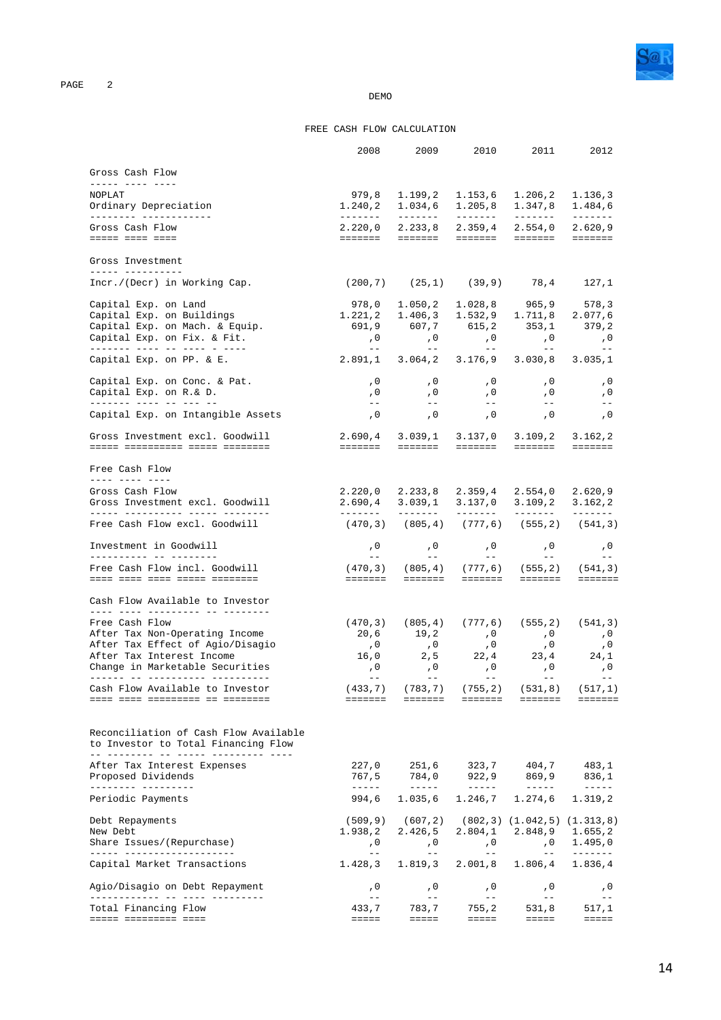

### FREE CASH FLOW CALCULATION

|                                                                              | 2008                                    |                                                         |                                                                                                                                                                                                                                                                                                                                                                                                                                                                                              | 2009 2010 2011                                                                                                                                                                                                                                                                                                                                                                                                 | 2012                                                                                                                                                                                                                                                                                                                                                                                                                                                                                                   |
|------------------------------------------------------------------------------|-----------------------------------------|---------------------------------------------------------|----------------------------------------------------------------------------------------------------------------------------------------------------------------------------------------------------------------------------------------------------------------------------------------------------------------------------------------------------------------------------------------------------------------------------------------------------------------------------------------------|----------------------------------------------------------------------------------------------------------------------------------------------------------------------------------------------------------------------------------------------------------------------------------------------------------------------------------------------------------------------------------------------------------------|--------------------------------------------------------------------------------------------------------------------------------------------------------------------------------------------------------------------------------------------------------------------------------------------------------------------------------------------------------------------------------------------------------------------------------------------------------------------------------------------------------|
| Gross Cash Flow                                                              |                                         |                                                         |                                                                                                                                                                                                                                                                                                                                                                                                                                                                                              |                                                                                                                                                                                                                                                                                                                                                                                                                |                                                                                                                                                                                                                                                                                                                                                                                                                                                                                                        |
| ----- ---- ----<br>NOPLAT                                                    | 979,8                                   | 1.199,2 1.153,6                                         |                                                                                                                                                                                                                                                                                                                                                                                                                                                                                              | 1.206, 2                                                                                                                                                                                                                                                                                                                                                                                                       | 1.136,3                                                                                                                                                                                                                                                                                                                                                                                                                                                                                                |
| Ordinary Depreciation<br>_________ _____________                             | 1.240,2                                 | 1.034,6                                                 | 1.205, 8                                                                                                                                                                                                                                                                                                                                                                                                                                                                                     | 1.347,8<br>--------                                                                                                                                                                                                                                                                                                                                                                                            | 1.484,6                                                                                                                                                                                                                                                                                                                                                                                                                                                                                                |
| Gross Cash Flow                                                              |                                         |                                                         |                                                                                                                                                                                                                                                                                                                                                                                                                                                                                              | $2.220,0$ $2.233,8$ $2.359,4$ $2.554,0$                                                                                                                                                                                                                                                                                                                                                                        | 2.620, 9                                                                                                                                                                                                                                                                                                                                                                                                                                                                                               |
| esses esse esse                                                              |                                         |                                                         |                                                                                                                                                                                                                                                                                                                                                                                                                                                                                              |                                                                                                                                                                                                                                                                                                                                                                                                                | <b>ESSESSE</b>                                                                                                                                                                                                                                                                                                                                                                                                                                                                                         |
| Gross Investment<br>______ ___________                                       |                                         |                                                         |                                                                                                                                                                                                                                                                                                                                                                                                                                                                                              |                                                                                                                                                                                                                                                                                                                                                                                                                |                                                                                                                                                                                                                                                                                                                                                                                                                                                                                                        |
| Incr./(Decr) in Working Cap.                                                 |                                         |                                                         |                                                                                                                                                                                                                                                                                                                                                                                                                                                                                              | $(200, 7)$ $(25, 1)$ $(39, 9)$ $78, 4$ $127, 1$                                                                                                                                                                                                                                                                                                                                                                |                                                                                                                                                                                                                                                                                                                                                                                                                                                                                                        |
| Capital Exp. on Land                                                         | 978,0                                   |                                                         |                                                                                                                                                                                                                                                                                                                                                                                                                                                                                              | $1.050, 2$ $1.028, 8$ $965, 9$ 578,3                                                                                                                                                                                                                                                                                                                                                                           |                                                                                                                                                                                                                                                                                                                                                                                                                                                                                                        |
| Capital Exp. on Buildings                                                    | 1.221,2 1.406,3 1.532,9 1.711,8 2.077,6 |                                                         |                                                                                                                                                                                                                                                                                                                                                                                                                                                                                              |                                                                                                                                                                                                                                                                                                                                                                                                                |                                                                                                                                                                                                                                                                                                                                                                                                                                                                                                        |
| Capital Exp. on Mach. & Equip.                                               |                                         |                                                         |                                                                                                                                                                                                                                                                                                                                                                                                                                                                                              | 691,9 607,7 615,2 353,1 379,2                                                                                                                                                                                                                                                                                                                                                                                  |                                                                                                                                                                                                                                                                                                                                                                                                                                                                                                        |
| Capital Exp. on Fix. & Fit.<br><u> ------- ---- -- ---- - ----</u>           | $\overline{0}$<br>$\sim$ $  \sim$       | $\frac{1}{2}$ and $\frac{1}{2}$                         | $\sim$ $  \sim$                                                                                                                                                                                                                                                                                                                                                                                                                                                                              | $\, ,0\qquad \qquad ,0\qquad \qquad ,0\,$<br>$  \,$                                                                                                                                                                                                                                                                                                                                                            | $\sim$ , 0<br>$\sim$ $-$                                                                                                                                                                                                                                                                                                                                                                                                                                                                               |
| Capital Exp. on PP. & E.                                                     | 2.891,1                                 |                                                         | $3.064, 2$ $3.176, 9$                                                                                                                                                                                                                                                                                                                                                                                                                                                                        | 3.030, 8                                                                                                                                                                                                                                                                                                                                                                                                       | 3.035,1                                                                                                                                                                                                                                                                                                                                                                                                                                                                                                |
| Capital Exp. on Conc. & Pat.                                                 | , 0                                     | , 0                                                     |                                                                                                                                                                                                                                                                                                                                                                                                                                                                                              | $\, \, , \, 0 \qquad \qquad \, , \, 0 \,$                                                                                                                                                                                                                                                                                                                                                                      | , 0                                                                                                                                                                                                                                                                                                                                                                                                                                                                                                    |
| Capital Exp. on R.& D.<br>------- ---- -- -- -- --                           | , 0<br>$- -$                            | , 0<br>$\frac{1}{2}$ and $\frac{1}{2}$                  | , 0<br>$\alpha = -1$                                                                                                                                                                                                                                                                                                                                                                                                                                                                         | , 0<br>$\frac{1}{2}$ and $\frac{1}{2}$                                                                                                                                                                                                                                                                                                                                                                         | , 0<br>$-\,-$                                                                                                                                                                                                                                                                                                                                                                                                                                                                                          |
| Capital Exp. on Intangible Assets                                            | , 0                                     | , 0                                                     | , 0                                                                                                                                                                                                                                                                                                                                                                                                                                                                                          | , 0                                                                                                                                                                                                                                                                                                                                                                                                            | , 0                                                                                                                                                                                                                                                                                                                                                                                                                                                                                                    |
| Gross Investment excl. Goodwill                                              | 2.690,4 3.039,1 3.137,0 3.109,2 3.162,2 |                                                         |                                                                                                                                                                                                                                                                                                                                                                                                                                                                                              |                                                                                                                                                                                                                                                                                                                                                                                                                |                                                                                                                                                                                                                                                                                                                                                                                                                                                                                                        |
|                                                                              |                                         |                                                         |                                                                                                                                                                                                                                                                                                                                                                                                                                                                                              | <b>COOPEDD</b>                                                                                                                                                                                                                                                                                                                                                                                                 | $=$ = = = = = =                                                                                                                                                                                                                                                                                                                                                                                                                                                                                        |
| Free Cash Flow                                                               |                                         |                                                         |                                                                                                                                                                                                                                                                                                                                                                                                                                                                                              |                                                                                                                                                                                                                                                                                                                                                                                                                |                                                                                                                                                                                                                                                                                                                                                                                                                                                                                                        |
| Gross Cash Flow                                                              |                                         |                                                         |                                                                                                                                                                                                                                                                                                                                                                                                                                                                                              | $2.220,0$ $2.233,8$ $2.359,4$ $2.554,0$                                                                                                                                                                                                                                                                                                                                                                        | 2.620, 9                                                                                                                                                                                                                                                                                                                                                                                                                                                                                               |
| Gross Investment excl. Goodwill<br>______ __________ _____ _______           | --------                                | $2.690, 4$ $3.039, 1$ $3.137, 0$ $3.109, 2$<br>-------- | --------                                                                                                                                                                                                                                                                                                                                                                                                                                                                                     | --------                                                                                                                                                                                                                                                                                                                                                                                                       | 3.162, 2<br>$\begin{tabular}{cccccc} \multicolumn{2}{c}{} & \multicolumn{2}{c}{} & \multicolumn{2}{c}{} & \multicolumn{2}{c}{} & \multicolumn{2}{c}{} & \multicolumn{2}{c}{} & \multicolumn{2}{c}{} & \multicolumn{2}{c}{} & \multicolumn{2}{c}{} & \multicolumn{2}{c}{} & \multicolumn{2}{c}{} & \multicolumn{2}{c}{} & \multicolumn{2}{c}{} & \multicolumn{2}{c}{} & \multicolumn{2}{c}{} & \multicolumn{2}{c}{} & \multicolumn{2}{c}{} & \multicolumn{2}{c}{} & \multicolumn{2}{c}{} & \mult$       |
| Free Cash Flow excl. Goodwill                                                |                                         |                                                         |                                                                                                                                                                                                                                                                                                                                                                                                                                                                                              | $(470,3)$ $(805,4)$ $(777,6)$ $(555,2)$ $(541,3)$                                                                                                                                                                                                                                                                                                                                                              |                                                                                                                                                                                                                                                                                                                                                                                                                                                                                                        |
| Investment in Goodwill<br>___________ __ _______                             | , 0<br>$\sim$ $  \sim$                  | , 0<br>$\sim$ $-$                                       | , 0<br>$\sim$ $ \sim$ $-$                                                                                                                                                                                                                                                                                                                                                                                                                                                                    | , 0<br>$\sim$ $-$                                                                                                                                                                                                                                                                                                                                                                                              | , 0<br>$- - -$                                                                                                                                                                                                                                                                                                                                                                                                                                                                                         |
| Free Cash Flow incl. Goodwill                                                |                                         |                                                         |                                                                                                                                                                                                                                                                                                                                                                                                                                                                                              | $(470,3)$ $(805,4)$ $(777,6)$ $(555,2)$ $(541,3)$                                                                                                                                                                                                                                                                                                                                                              |                                                                                                                                                                                                                                                                                                                                                                                                                                                                                                        |
|                                                                              | =======                                 | =======                                                 | =======                                                                                                                                                                                                                                                                                                                                                                                                                                                                                      | <b>EEEEEEE</b>                                                                                                                                                                                                                                                                                                                                                                                                 | $= = = = = = =$                                                                                                                                                                                                                                                                                                                                                                                                                                                                                        |
| Cash Flow Available to Investor<br><u> 1111 1111 1111111111 11 11111111</u>  |                                         |                                                         |                                                                                                                                                                                                                                                                                                                                                                                                                                                                                              |                                                                                                                                                                                                                                                                                                                                                                                                                |                                                                                                                                                                                                                                                                                                                                                                                                                                                                                                        |
| Free Cash Flow                                                               |                                         |                                                         |                                                                                                                                                                                                                                                                                                                                                                                                                                                                                              | $(470,3)$ $(805,4)$ $(777,6)$ $(555,2)$ $(541,3)$                                                                                                                                                                                                                                                                                                                                                              |                                                                                                                                                                                                                                                                                                                                                                                                                                                                                                        |
| After Tax Non-Operating Income                                               |                                         |                                                         |                                                                                                                                                                                                                                                                                                                                                                                                                                                                                              |                                                                                                                                                                                                                                                                                                                                                                                                                |                                                                                                                                                                                                                                                                                                                                                                                                                                                                                                        |
| After Tax Effect of Agio/Disagio<br>After Tax Interest Income                |                                         |                                                         |                                                                                                                                                                                                                                                                                                                                                                                                                                                                                              |                                                                                                                                                                                                                                                                                                                                                                                                                |                                                                                                                                                                                                                                                                                                                                                                                                                                                                                                        |
| Change in Marketable Securities                                              |                                         |                                                         |                                                                                                                                                                                                                                                                                                                                                                                                                                                                                              |                                                                                                                                                                                                                                                                                                                                                                                                                |                                                                                                                                                                                                                                                                                                                                                                                                                                                                                                        |
| ______ __ __________ ________<br>Cash Flow Available to Investor             | $\sim$ $-$<br>(433, 7)                  | $\sim$ $-$<br>(783, 7)                                  | $- -$<br>(755, 2)                                                                                                                                                                                                                                                                                                                                                                                                                                                                            | $  \,$<br>(531, 8)                                                                                                                                                                                                                                                                                                                                                                                             | $\equiv$ $\equiv$<br>(517, 1)                                                                                                                                                                                                                                                                                                                                                                                                                                                                          |
|                                                                              | =======                                 | $=$ $=$ $=$ $=$ $=$ $=$                                 | $=$ $=$ $=$ $=$ $=$ $=$                                                                                                                                                                                                                                                                                                                                                                                                                                                                      | =======                                                                                                                                                                                                                                                                                                                                                                                                        | =======                                                                                                                                                                                                                                                                                                                                                                                                                                                                                                |
| Reconciliation of Cash Flow Available<br>to Investor to Total Financing Flow |                                         |                                                         |                                                                                                                                                                                                                                                                                                                                                                                                                                                                                              |                                                                                                                                                                                                                                                                                                                                                                                                                |                                                                                                                                                                                                                                                                                                                                                                                                                                                                                                        |
| <u> 22 22222222 12 22222 222222222</u> 2222<br>After Tax Interest Expenses   |                                         | 251,6                                                   |                                                                                                                                                                                                                                                                                                                                                                                                                                                                                              |                                                                                                                                                                                                                                                                                                                                                                                                                |                                                                                                                                                                                                                                                                                                                                                                                                                                                                                                        |
| Proposed Dividends<br>_________ __________                                   | 227,0<br>767,5<br>$- - - - - -$         | 784,0<br>$\frac{1}{2}$                                  | 323,7<br>922,9<br>$\frac{1}{2} \left( \frac{1}{2} \right) \left( \frac{1}{2} \right) \left( \frac{1}{2} \right) \left( \frac{1}{2} \right) \left( \frac{1}{2} \right) \left( \frac{1}{2} \right) \left( \frac{1}{2} \right) \left( \frac{1}{2} \right) \left( \frac{1}{2} \right) \left( \frac{1}{2} \right) \left( \frac{1}{2} \right) \left( \frac{1}{2} \right) \left( \frac{1}{2} \right) \left( \frac{1}{2} \right) \left( \frac{1}{2} \right) \left( \frac{1}{2} \right) \left( \frac$ | 404,7<br>869,9<br>$\frac{1}{2} \frac{1}{2} \frac{1}{2} \frac{1}{2} \frac{1}{2} \frac{1}{2} \frac{1}{2} \frac{1}{2} \frac{1}{2} \frac{1}{2} \frac{1}{2} \frac{1}{2} \frac{1}{2} \frac{1}{2} \frac{1}{2} \frac{1}{2} \frac{1}{2} \frac{1}{2} \frac{1}{2} \frac{1}{2} \frac{1}{2} \frac{1}{2} \frac{1}{2} \frac{1}{2} \frac{1}{2} \frac{1}{2} \frac{1}{2} \frac{1}{2} \frac{1}{2} \frac{1}{2} \frac{1}{2} \frac{$ | 483,1<br>836,1<br>$\begin{tabular}{cccccc} \multicolumn{2}{c}{} & \multicolumn{2}{c}{} & \multicolumn{2}{c}{} & \multicolumn{2}{c}{} & \multicolumn{2}{c}{} & \multicolumn{2}{c}{} & \multicolumn{2}{c}{} & \multicolumn{2}{c}{} & \multicolumn{2}{c}{} & \multicolumn{2}{c}{} & \multicolumn{2}{c}{} & \multicolumn{2}{c}{} & \multicolumn{2}{c}{} & \multicolumn{2}{c}{} & \multicolumn{2}{c}{} & \multicolumn{2}{c}{} & \multicolumn{2}{c}{} & \multicolumn{2}{c}{} & \multicolumn{2}{c}{} & \mult$ |
| Periodic Payments                                                            | 994,6                                   | 1.035, 6                                                | 1.246,7                                                                                                                                                                                                                                                                                                                                                                                                                                                                                      | 1.274, 6                                                                                                                                                                                                                                                                                                                                                                                                       | 1.319,2                                                                                                                                                                                                                                                                                                                                                                                                                                                                                                |
| Debt Repayments                                                              | (509, 9)                                | (607, 2)                                                |                                                                                                                                                                                                                                                                                                                                                                                                                                                                                              | $(802,3)$ $(1.042,5)$ $(1.313,8)$                                                                                                                                                                                                                                                                                                                                                                              |                                                                                                                                                                                                                                                                                                                                                                                                                                                                                                        |
| New Debt                                                                     | 1.938,2                                 | 2.426,5                                                 | 2.804,1                                                                                                                                                                                                                                                                                                                                                                                                                                                                                      | 2.848,9                                                                                                                                                                                                                                                                                                                                                                                                        | 1.655,2                                                                                                                                                                                                                                                                                                                                                                                                                                                                                                |
| Share Issues/(Repurchase)                                                    | , 0                                     | , 0                                                     | , 0                                                                                                                                                                                                                                                                                                                                                                                                                                                                                          | , 0                                                                                                                                                                                                                                                                                                                                                                                                            | 1.495,0                                                                                                                                                                                                                                                                                                                                                                                                                                                                                                |
| __________________________<br>Capital Market Transactions                    | $=$ $-$<br>1.428,3                      | $- -$<br>1.819, 3                                       | $- -$<br>2.001, 8                                                                                                                                                                                                                                                                                                                                                                                                                                                                            | $  \,$<br>1.806,4                                                                                                                                                                                                                                                                                                                                                                                              | --------<br>1.836,4                                                                                                                                                                                                                                                                                                                                                                                                                                                                                    |
| Agio/Disagio on Debt Repayment                                               | , 0                                     | , 0                                                     | , 0                                                                                                                                                                                                                                                                                                                                                                                                                                                                                          | , 0                                                                                                                                                                                                                                                                                                                                                                                                            | , 0                                                                                                                                                                                                                                                                                                                                                                                                                                                                                                    |
| _____________ __ __ ____ _______                                             | $\equiv$ $\equiv$<br>433,7              | $ -$<br>783,7                                           | $ -$                                                                                                                                                                                                                                                                                                                                                                                                                                                                                         | $- -$                                                                                                                                                                                                                                                                                                                                                                                                          | $ -$                                                                                                                                                                                                                                                                                                                                                                                                                                                                                                   |
| Total Financing Flow<br>===== ========= ====                                 | $=$ $=$ $=$ $=$                         | $= = = = =$                                             | 755, 2<br>$=$ $=$ $=$ $=$                                                                                                                                                                                                                                                                                                                                                                                                                                                                    | 531,8<br>$= = = = =$                                                                                                                                                                                                                                                                                                                                                                                           | 517,1<br>$= = = = =$                                                                                                                                                                                                                                                                                                                                                                                                                                                                                   |
|                                                                              |                                         |                                                         |                                                                                                                                                                                                                                                                                                                                                                                                                                                                                              |                                                                                                                                                                                                                                                                                                                                                                                                                |                                                                                                                                                                                                                                                                                                                                                                                                                                                                                                        |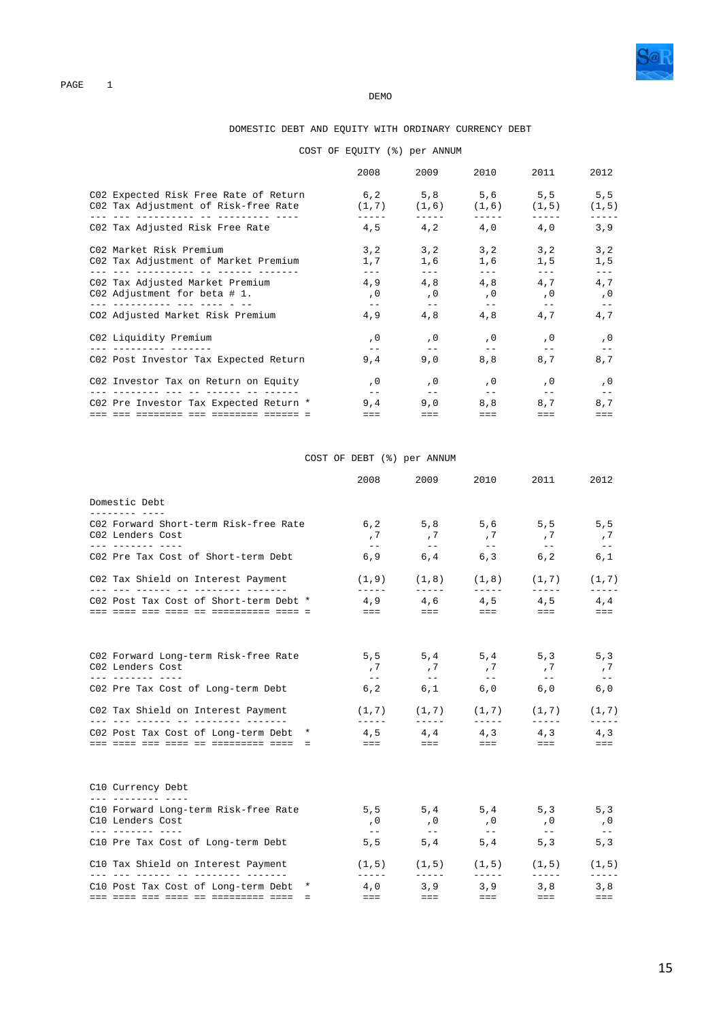

#### **DEMO**

### DOMESTIC DEBT AND EQUITY WITH ORDINARY CURRENCY DEBT

### COST OF EQUITY (%) per ANNUM

| 6,2 5,8 5,6 5,5 5,5<br>C02 Expected Risk Free Rate of Return<br>CO2 Tax Adjustment of Risk-free Rate<br>$(1,7)$ $(1,6)$ $(1,6)$ $(1,5)$<br>www.conconcepture.com/www.com/www.com/<br>$4,5$ $4,2$ $4,0$ $4,0$<br>C02 Tax Adjusted Risk Free Rate<br>C02 Market Risk Premium<br>3, 2<br>3, 2<br>3,2<br>3, 2<br>C02 Tax Adjustment of Market Premium<br>1,7<br>1,6<br>1,6<br>1, 5<br>___ ___ ___________ __ _____ _<br>4,8<br>4,9<br>4,8<br>4.7<br>C02 Tax Adjusted Market Premium<br>$C02$ Adjustment for beta # 1.<br>, 0<br>, 0<br>, 0<br>, 0<br>$- -$<br>$- -$<br>$- -$<br>$\qquad \qquad -$<br>4,8<br>4,8<br>CO2 Adjusted Market Risk Premium<br>4,9<br>4,7<br>C02 Liquidity Premium<br>, 0<br>, 0<br>, 0<br>, 0<br>9,0<br>8,8<br>8,7<br>C02 Post Investor Tax Expected Return<br>9,4<br>C02 Investor Tax on Return on Equity<br>, 0<br>, 0<br>, 0<br>, 0<br>, 0<br>Telephone and all population and provinci<br>$\qquad \qquad -$<br>$- -$<br>$\qquad \qquad -$<br>$- -$<br>$- -$<br>C02 Pre Investor Tax Expected Return *<br>9,0<br>8,8<br>8.7<br>9,4<br>$===$<br>$== =$<br>$=$ $=$ $=$<br>$=$ $=$ $=$<br>$=$ $=$ $=$ | 2008 | 2009 | 2010 | 2011 | 2012        |
|----------------------------------------------------------------------------------------------------------------------------------------------------------------------------------------------------------------------------------------------------------------------------------------------------------------------------------------------------------------------------------------------------------------------------------------------------------------------------------------------------------------------------------------------------------------------------------------------------------------------------------------------------------------------------------------------------------------------------------------------------------------------------------------------------------------------------------------------------------------------------------------------------------------------------------------------------------------------------------------------------------------------------------------------------------------------------------------------------------------------------|------|------|------|------|-------------|
|                                                                                                                                                                                                                                                                                                                                                                                                                                                                                                                                                                                                                                                                                                                                                                                                                                                                                                                                                                                                                                                                                                                            |      |      |      |      | (1, 5)      |
|                                                                                                                                                                                                                                                                                                                                                                                                                                                                                                                                                                                                                                                                                                                                                                                                                                                                                                                                                                                                                                                                                                                            |      |      |      |      | 3,9         |
|                                                                                                                                                                                                                                                                                                                                                                                                                                                                                                                                                                                                                                                                                                                                                                                                                                                                                                                                                                                                                                                                                                                            |      |      |      |      | 3, 2<br>1,5 |
|                                                                                                                                                                                                                                                                                                                                                                                                                                                                                                                                                                                                                                                                                                                                                                                                                                                                                                                                                                                                                                                                                                                            |      |      |      |      | 4,7<br>, 0  |
|                                                                                                                                                                                                                                                                                                                                                                                                                                                                                                                                                                                                                                                                                                                                                                                                                                                                                                                                                                                                                                                                                                                            |      |      |      |      | 4,7         |
|                                                                                                                                                                                                                                                                                                                                                                                                                                                                                                                                                                                                                                                                                                                                                                                                                                                                                                                                                                                                                                                                                                                            |      |      |      |      | , 0         |
|                                                                                                                                                                                                                                                                                                                                                                                                                                                                                                                                                                                                                                                                                                                                                                                                                                                                                                                                                                                                                                                                                                                            |      |      |      |      | 8,7         |
|                                                                                                                                                                                                                                                                                                                                                                                                                                                                                                                                                                                                                                                                                                                                                                                                                                                                                                                                                                                                                                                                                                                            |      |      |      |      |             |
|                                                                                                                                                                                                                                                                                                                                                                                                                                                                                                                                                                                                                                                                                                                                                                                                                                                                                                                                                                                                                                                                                                                            |      |      |      |      | 8,7         |

### COST OF DEBT (%) per ANNUM

|                                                                           | 2008                                                                                                                                                                                                                                                                                                                                                                                         | 2009                                                                                                                                                                                                                                                                                                                                                                                         | 2010                                                                                                                                                                                                                                                                                                                                                                                                                                                                       | 2011                                                                                                                                                                                                                                                                                                                                                                                                                            | 2012                      |
|---------------------------------------------------------------------------|----------------------------------------------------------------------------------------------------------------------------------------------------------------------------------------------------------------------------------------------------------------------------------------------------------------------------------------------------------------------------------------------|----------------------------------------------------------------------------------------------------------------------------------------------------------------------------------------------------------------------------------------------------------------------------------------------------------------------------------------------------------------------------------------------|----------------------------------------------------------------------------------------------------------------------------------------------------------------------------------------------------------------------------------------------------------------------------------------------------------------------------------------------------------------------------------------------------------------------------------------------------------------------------|---------------------------------------------------------------------------------------------------------------------------------------------------------------------------------------------------------------------------------------------------------------------------------------------------------------------------------------------------------------------------------------------------------------------------------|---------------------------|
| Domestic Debt<br>_________ ___                                            |                                                                                                                                                                                                                                                                                                                                                                                              |                                                                                                                                                                                                                                                                                                                                                                                              |                                                                                                                                                                                                                                                                                                                                                                                                                                                                            |                                                                                                                                                                                                                                                                                                                                                                                                                                 |                           |
| C02 Forward Short-term Risk-free Rate<br>C02 Lenders Cost                 | 6, 2<br>, 7                                                                                                                                                                                                                                                                                                                                                                                  | ,7                                                                                                                                                                                                                                                                                                                                                                                           | , 7                                                                                                                                                                                                                                                                                                                                                                                                                                                                        | 5,8 5,6 5,5 5,5<br>, 7                                                                                                                                                                                                                                                                                                                                                                                                          | , 7                       |
| C02 Pre Tax Cost of Short-term Debt                                       | $\equiv$ $\equiv$<br>6, 9                                                                                                                                                                                                                                                                                                                                                                    | $\sim$ $ -$<br>6, 4                                                                                                                                                                                                                                                                                                                                                                          | $\sim$ $ \sim$                                                                                                                                                                                                                                                                                                                                                                                                                                                             | $\sim$ $ -$<br>$6,3$ $6,2$                                                                                                                                                                                                                                                                                                                                                                                                      | $- - -$<br>6,1            |
| C02 Tax Shield on Interest Payment<br>___ ___ ______ __ __ _______ ______ | $\frac{1}{2} \frac{1}{2} \frac{1}{2} \frac{1}{2} \frac{1}{2} \frac{1}{2} \frac{1}{2} \frac{1}{2} \frac{1}{2} \frac{1}{2} \frac{1}{2} \frac{1}{2} \frac{1}{2} \frac{1}{2} \frac{1}{2} \frac{1}{2} \frac{1}{2} \frac{1}{2} \frac{1}{2} \frac{1}{2} \frac{1}{2} \frac{1}{2} \frac{1}{2} \frac{1}{2} \frac{1}{2} \frac{1}{2} \frac{1}{2} \frac{1}{2} \frac{1}{2} \frac{1}{2} \frac{1}{2} \frac{$ | $\frac{1}{2} \frac{1}{2} \frac{1}{2} \frac{1}{2} \frac{1}{2} \frac{1}{2} \frac{1}{2} \frac{1}{2} \frac{1}{2} \frac{1}{2} \frac{1}{2} \frac{1}{2} \frac{1}{2} \frac{1}{2} \frac{1}{2} \frac{1}{2} \frac{1}{2} \frac{1}{2} \frac{1}{2} \frac{1}{2} \frac{1}{2} \frac{1}{2} \frac{1}{2} \frac{1}{2} \frac{1}{2} \frac{1}{2} \frac{1}{2} \frac{1}{2} \frac{1}{2} \frac{1}{2} \frac{1}{2} \frac{$ | $\frac{1}{2} \left( \frac{1}{2} \right) \left( \frac{1}{2} \right) \left( \frac{1}{2} \right) \left( \frac{1}{2} \right) \left( \frac{1}{2} \right) \left( \frac{1}{2} \right) \left( \frac{1}{2} \right) \left( \frac{1}{2} \right) \left( \frac{1}{2} \right) \left( \frac{1}{2} \right) \left( \frac{1}{2} \right) \left( \frac{1}{2} \right) \left( \frac{1}{2} \right) \left( \frac{1}{2} \right) \left( \frac{1}{2} \right) \left( \frac{1}{2} \right) \left( \frac$ | $(1,9)$ $(1,8)$ $(1,8)$ $(1,7)$<br>$\frac{1}{2} \frac{1}{2} \frac{1}{2} \frac{1}{2} \frac{1}{2} \frac{1}{2} \frac{1}{2} \frac{1}{2} \frac{1}{2} \frac{1}{2} \frac{1}{2} \frac{1}{2} \frac{1}{2} \frac{1}{2} \frac{1}{2} \frac{1}{2} \frac{1}{2} \frac{1}{2} \frac{1}{2} \frac{1}{2} \frac{1}{2} \frac{1}{2} \frac{1}{2} \frac{1}{2} \frac{1}{2} \frac{1}{2} \frac{1}{2} \frac{1}{2} \frac{1}{2} \frac{1}{2} \frac{1}{2} \frac{$ | (1, 7)<br>$- - - - - -$   |
| C02 Post Tax Cost of Short-term Debt *                                    | $\frac{1}{2} \frac{1}{2} \frac{1}{2} \frac{1}{2} \frac{1}{2} \frac{1}{2} \frac{1}{2} \frac{1}{2} \frac{1}{2} \frac{1}{2} \frac{1}{2} \frac{1}{2} \frac{1}{2} \frac{1}{2} \frac{1}{2} \frac{1}{2} \frac{1}{2} \frac{1}{2} \frac{1}{2} \frac{1}{2} \frac{1}{2} \frac{1}{2} \frac{1}{2} \frac{1}{2} \frac{1}{2} \frac{1}{2} \frac{1}{2} \frac{1}{2} \frac{1}{2} \frac{1}{2} \frac{1}{2} \frac{$ | and the state of the                                                                                                                                                                                                                                                                                                                                                                         | and the state                                                                                                                                                                                                                                                                                                                                                                                                                                                              | $4,9$ $4,6$ $4,5$ $4,5$ $4,4$<br><b>EEE</b> And A                                                                                                                                                                                                                                                                                                                                                                               | $=$ $=$ $=$               |
| C02 Forward Long-term Risk-free Rate<br>C02 Lenders Cost                  | 5, 5<br>, 7                                                                                                                                                                                                                                                                                                                                                                                  | 5, 4<br>, 7                                                                                                                                                                                                                                                                                                                                                                                  | ,7                                                                                                                                                                                                                                                                                                                                                                                                                                                                         | $5, 4$ $5, 3$<br>,7                                                                                                                                                                                                                                                                                                                                                                                                             | 5, 3<br>,7                |
| <u>--- ------- ----</u><br>C02 Pre Tax Cost of Long-term Debt             | $\sim$ $ \sim$<br>6, 2                                                                                                                                                                                                                                                                                                                                                                       | $\sim$ $ -$<br>6,1                                                                                                                                                                                                                                                                                                                                                                           | $\sim$ $ -$                                                                                                                                                                                                                                                                                                                                                                                                                                                                | $ -$<br>$6,0$ $6,0$                                                                                                                                                                                                                                                                                                                                                                                                             | $\sim$ $ -$<br>6,0        |
| C02 Tax Shield on Interest Payment                                        | <b>LEELEN</b>                                                                                                                                                                                                                                                                                                                                                                                |                                                                                                                                                                                                                                                                                                                                                                                              |                                                                                                                                                                                                                                                                                                                                                                                                                                                                            | $(1,7)$ $(1,7)$ $(1,7)$ $(1,7)$<br><u> 11111 - 11111 - 11111 - 1</u>                                                                                                                                                                                                                                                                                                                                                            | (1, 7)<br>$- - - - - -$   |
| C02 Post Tax Cost of Long-term Debt * $4,5$ $4,4$ $4,3$ $4,3$ $4,3$       |                                                                                                                                                                                                                                                                                                                                                                                              |                                                                                                                                                                                                                                                                                                                                                                                              |                                                                                                                                                                                                                                                                                                                                                                                                                                                                            |                                                                                                                                                                                                                                                                                                                                                                                                                                 | $=$ $=$ $=$               |
| C10 Currency Debt                                                         |                                                                                                                                                                                                                                                                                                                                                                                              |                                                                                                                                                                                                                                                                                                                                                                                              |                                                                                                                                                                                                                                                                                                                                                                                                                                                                            |                                                                                                                                                                                                                                                                                                                                                                                                                                 |                           |
| C10 Forward Long-term Risk-free Rate<br>C10 Lenders Cost                  | 5, 5<br>, 0<br>$- -$                                                                                                                                                                                                                                                                                                                                                                         | 5, 4<br>, 0<br>$\sim$ $-$                                                                                                                                                                                                                                                                                                                                                                    | , 0                                                                                                                                                                                                                                                                                                                                                                                                                                                                        | $5, 4$ $5, 3$<br>, 0                                                                                                                                                                                                                                                                                                                                                                                                            | 5, 3<br>, 0<br>$\sim$ $-$ |
| C10 Pre Tax Cost of Long-term Debt                                        | 5, 5                                                                                                                                                                                                                                                                                                                                                                                         | 5, 4                                                                                                                                                                                                                                                                                                                                                                                         |                                                                                                                                                                                                                                                                                                                                                                                                                                                                            | $5, 4$ $5, 3$                                                                                                                                                                                                                                                                                                                                                                                                                   | 5, 3                      |
| C10 Tax Shield on Interest Payment<br>___ ___ ______ __ ________ ______   | $- - - - - -$                                                                                                                                                                                                                                                                                                                                                                                | $\frac{1}{2} \frac{1}{2} \frac{1}{2} \frac{1}{2} \frac{1}{2} \frac{1}{2} \frac{1}{2} \frac{1}{2} \frac{1}{2} \frac{1}{2} \frac{1}{2} \frac{1}{2} \frac{1}{2} \frac{1}{2} \frac{1}{2} \frac{1}{2} \frac{1}{2} \frac{1}{2} \frac{1}{2} \frac{1}{2} \frac{1}{2} \frac{1}{2} \frac{1}{2} \frac{1}{2} \frac{1}{2} \frac{1}{2} \frac{1}{2} \frac{1}{2} \frac{1}{2} \frac{1}{2} \frac{1}{2} \frac{$ | $\frac{1}{2} \frac{1}{2} \frac{1}{2} \frac{1}{2} \frac{1}{2} \frac{1}{2} \frac{1}{2} \frac{1}{2} \frac{1}{2} \frac{1}{2} \frac{1}{2} \frac{1}{2} \frac{1}{2} \frac{1}{2} \frac{1}{2} \frac{1}{2} \frac{1}{2} \frac{1}{2} \frac{1}{2} \frac{1}{2} \frac{1}{2} \frac{1}{2} \frac{1}{2} \frac{1}{2} \frac{1}{2} \frac{1}{2} \frac{1}{2} \frac{1}{2} \frac{1}{2} \frac{1}{2} \frac{1}{2} \frac{$                                                                               | $(1,5)$ $(1,5)$ $(1,5)$ $(1,5)$<br>$\frac{1}{2} \frac{1}{2} \frac{1}{2} \frac{1}{2} \frac{1}{2} \frac{1}{2} \frac{1}{2} \frac{1}{2} \frac{1}{2} \frac{1}{2} \frac{1}{2} \frac{1}{2} \frac{1}{2} \frac{1}{2} \frac{1}{2} \frac{1}{2} \frac{1}{2} \frac{1}{2} \frac{1}{2} \frac{1}{2} \frac{1}{2} \frac{1}{2} \frac{1}{2} \frac{1}{2} \frac{1}{2} \frac{1}{2} \frac{1}{2} \frac{1}{2} \frac{1}{2} \frac{1}{2} \frac{1}{2} \frac{$ | (1, 5)<br>$- - - - - -$   |
| C10 Post Tax Cost of Long-term Debt *                                     | 4,0<br>$=$ $=$ $=$                                                                                                                                                                                                                                                                                                                                                                           | 3,9<br>$=$ $=$ $=$                                                                                                                                                                                                                                                                                                                                                                           | 3, 9<br>$=$ $=$ $-$                                                                                                                                                                                                                                                                                                                                                                                                                                                        | 3,8<br>$=$ $=$ $-$                                                                                                                                                                                                                                                                                                                                                                                                              | 3,8<br>$=$ $=$ $=$        |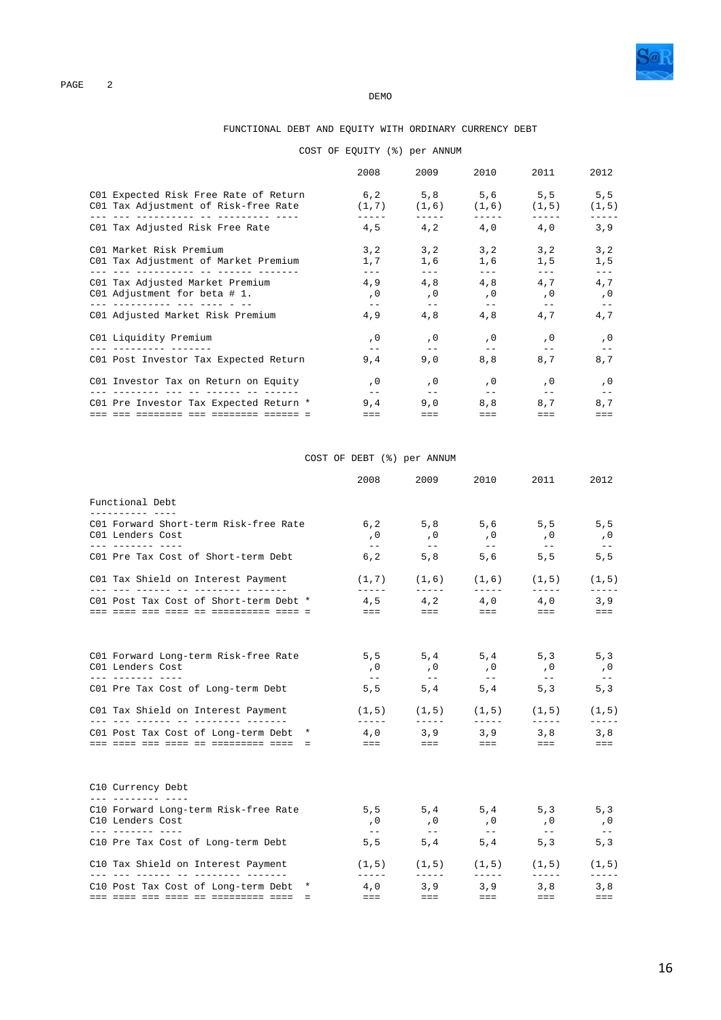

#### **DEMO**

#### FUNCTIONAL DEBT AND EQUITY WITH ORDINARY CURRENCY DEBT

### COST OF EQUITY (%) per ANNUM

|                                                                                                    | 2008                        | 2009                        | 2010                   | 2011                                                             | 2012                        |
|----------------------------------------------------------------------------------------------------|-----------------------------|-----------------------------|------------------------|------------------------------------------------------------------|-----------------------------|
| C01 Expected Risk Free Rate of Return<br>CO1 Tax Adjustment of Risk-free Rate                      |                             |                             |                        | $6,2$ $5,8$ $5,6$ $5,5$ $5,5$<br>$(1,7)$ $(1,6)$ $(1,6)$ $(1,5)$ | (1, 5)                      |
| C01 Tax Adjusted Risk Free Rate                                                                    | 4.5                         |                             |                        | $4,2$ $4,0$ $4,0$                                                | 3,9                         |
| C01 Market Risk Premium<br>C01 Tax Adjustment of Market Premium<br>___ ___ ___________ __ _____ _. | 3, 2<br>1,7<br>$- - -$      | 3, 2<br>1,6                 | 3, 2<br>1,6            | 3, 2<br>1,5                                                      | 3, 2<br>1, 5                |
| C01 Tax Adjusted Market Premium<br>C01 Adjustment for beta # 1.                                    | 4,9<br>, 0<br>$- -$         | 4,8<br>, 0                  | 4,8<br>, 0<br>$- -$    | 4,7<br>, 0                                                       | 4,7<br>, 0                  |
| C01 Adjusted Market Risk Premium                                                                   | 4,9                         | $- -$<br>4,8                | 4,8                    | $- -$<br>4,7                                                     | 4,7                         |
| C01 Liquidity Premium                                                                              | , 0                         | , 0                         | , 0                    | , 0                                                              | , 0                         |
| C01 Post Investor Tax Expected Return                                                              | 9,4                         | 9,0                         | 8,8                    | 8.7                                                              | 8,7                         |
| C01 Investor Tax on Return on Equity<br><u> dadaadaan dad da dadaada da dadaad</u>                 | . 0                         | , 0                         | , 0                    | , 0                                                              | , 0                         |
| C01 Pre Investor Tax Expected Return *                                                             | $- -$<br>9,4<br>$=$ $=$ $=$ | $- -$<br>9,0<br>$=$ $=$ $=$ | $- -$<br>8,8<br>$== =$ | $- -$<br>8,7<br>$=$ $=$ $=$                                      | $- -$<br>8,7<br>$=$ $=$ $=$ |

### COST OF DEBT (%) per ANNUM

|                                                                                      | 2008                                                                                                                                                                                                                                                                                                                                                                                                                                                                       | 2009                                                                                                                                                                                                                                                                                                                                                                                         | 2010                                                                                                                                                                                                                                                                                                                                                                                         | 2011                                                                                                                                                                                                                                                                                                                                                                                                                            | 2012                                     |
|--------------------------------------------------------------------------------------|----------------------------------------------------------------------------------------------------------------------------------------------------------------------------------------------------------------------------------------------------------------------------------------------------------------------------------------------------------------------------------------------------------------------------------------------------------------------------|----------------------------------------------------------------------------------------------------------------------------------------------------------------------------------------------------------------------------------------------------------------------------------------------------------------------------------------------------------------------------------------------|----------------------------------------------------------------------------------------------------------------------------------------------------------------------------------------------------------------------------------------------------------------------------------------------------------------------------------------------------------------------------------------------|---------------------------------------------------------------------------------------------------------------------------------------------------------------------------------------------------------------------------------------------------------------------------------------------------------------------------------------------------------------------------------------------------------------------------------|------------------------------------------|
| Functional Debt                                                                      |                                                                                                                                                                                                                                                                                                                                                                                                                                                                            |                                                                                                                                                                                                                                                                                                                                                                                              |                                                                                                                                                                                                                                                                                                                                                                                              |                                                                                                                                                                                                                                                                                                                                                                                                                                 |                                          |
| C01 Forward Short-term Risk-free Rate<br>C01 Lenders Cost<br><u>--- ------- ----</u> | 6, 2<br>, 0                                                                                                                                                                                                                                                                                                                                                                                                                                                                | , 0                                                                                                                                                                                                                                                                                                                                                                                          | , 0                                                                                                                                                                                                                                                                                                                                                                                          | 5,8 5,6 5,5 5,5<br>, 0                                                                                                                                                                                                                                                                                                                                                                                                          | , 0                                      |
| C01 Pre Tax Cost of Short-term Debt                                                  | $\sim$ $-$<br>6, 2                                                                                                                                                                                                                                                                                                                                                                                                                                                         | $\sim$ $ -$<br>5, 8                                                                                                                                                                                                                                                                                                                                                                          | $ -$                                                                                                                                                                                                                                                                                                                                                                                         | $\sim$ $ -$<br>$5,6$ $5,5$                                                                                                                                                                                                                                                                                                                                                                                                      | $- - -$<br>5, 5                          |
| C01 Tax Shield on Interest Payment<br>___ ___ ______ __ __ _______ ______            | $\frac{1}{2} \frac{1}{2} \frac{1}{2} \frac{1}{2} \frac{1}{2} \frac{1}{2} \frac{1}{2} \frac{1}{2} \frac{1}{2} \frac{1}{2} \frac{1}{2} \frac{1}{2} \frac{1}{2} \frac{1}{2} \frac{1}{2} \frac{1}{2} \frac{1}{2} \frac{1}{2} \frac{1}{2} \frac{1}{2} \frac{1}{2} \frac{1}{2} \frac{1}{2} \frac{1}{2} \frac{1}{2} \frac{1}{2} \frac{1}{2} \frac{1}{2} \frac{1}{2} \frac{1}{2} \frac{1}{2} \frac{$                                                                               | $\frac{1}{2} \frac{1}{2} \frac{1}{2} \frac{1}{2} \frac{1}{2} \frac{1}{2} \frac{1}{2} \frac{1}{2} \frac{1}{2} \frac{1}{2} \frac{1}{2} \frac{1}{2} \frac{1}{2} \frac{1}{2} \frac{1}{2} \frac{1}{2} \frac{1}{2} \frac{1}{2} \frac{1}{2} \frac{1}{2} \frac{1}{2} \frac{1}{2} \frac{1}{2} \frac{1}{2} \frac{1}{2} \frac{1}{2} \frac{1}{2} \frac{1}{2} \frac{1}{2} \frac{1}{2} \frac{1}{2} \frac{$ | $\frac{1}{2} \frac{1}{2} \frac{1}{2} \frac{1}{2} \frac{1}{2} \frac{1}{2} \frac{1}{2} \frac{1}{2} \frac{1}{2} \frac{1}{2} \frac{1}{2} \frac{1}{2} \frac{1}{2} \frac{1}{2} \frac{1}{2} \frac{1}{2} \frac{1}{2} \frac{1}{2} \frac{1}{2} \frac{1}{2} \frac{1}{2} \frac{1}{2} \frac{1}{2} \frac{1}{2} \frac{1}{2} \frac{1}{2} \frac{1}{2} \frac{1}{2} \frac{1}{2} \frac{1}{2} \frac{1}{2} \frac{$ | $(1,7)$ $(1,6)$ $(1,6)$ $(1,5)$<br>$\frac{1}{2} \frac{1}{2} \frac{1}{2} \frac{1}{2} \frac{1}{2} \frac{1}{2} \frac{1}{2} \frac{1}{2} \frac{1}{2} \frac{1}{2} \frac{1}{2} \frac{1}{2} \frac{1}{2} \frac{1}{2} \frac{1}{2} \frac{1}{2} \frac{1}{2} \frac{1}{2} \frac{1}{2} \frac{1}{2} \frac{1}{2} \frac{1}{2} \frac{1}{2} \frac{1}{2} \frac{1}{2} \frac{1}{2} \frac{1}{2} \frac{1}{2} \frac{1}{2} \frac{1}{2} \frac{1}{2} \frac{$ | (1, 5)<br>$\frac{1}{2}$                  |
| C01 Post Tax Cost of Short-term Debt *                                               | $\frac{1}{2} \frac{1}{2} \frac{1}{2} \frac{1}{2} \frac{1}{2} \frac{1}{2} \frac{1}{2} \frac{1}{2} \frac{1}{2} \frac{1}{2} \frac{1}{2} \frac{1}{2} \frac{1}{2} \frac{1}{2} \frac{1}{2} \frac{1}{2} \frac{1}{2} \frac{1}{2} \frac{1}{2} \frac{1}{2} \frac{1}{2} \frac{1}{2} \frac{1}{2} \frac{1}{2} \frac{1}{2} \frac{1}{2} \frac{1}{2} \frac{1}{2} \frac{1}{2} \frac{1}{2} \frac{1}{2} \frac{$                                                                               | and the state of the                                                                                                                                                                                                                                                                                                                                                                         | $4,5$ $4,2$ $4,0$ $4,0$<br><b>EEE</b> And A                                                                                                                                                                                                                                                                                                                                                  | and the state of the                                                                                                                                                                                                                                                                                                                                                                                                            | 3, 9<br>$=$ $=$ $=$                      |
| C01 Forward Long-term Risk-free Rate<br>C01 Lenders Cost                             | 5, 5<br>, 0                                                                                                                                                                                                                                                                                                                                                                                                                                                                | 5, 4<br>, 0                                                                                                                                                                                                                                                                                                                                                                                  | , 0                                                                                                                                                                                                                                                                                                                                                                                          | $5, 4$ $5, 3$<br>, 0                                                                                                                                                                                                                                                                                                                                                                                                            | 5, 3<br>, 0                              |
| <u>--- ------- ----</u><br>C01 Pre Tax Cost of Long-term Debt                        | $\sim$ $ -$<br>5, 5                                                                                                                                                                                                                                                                                                                                                                                                                                                        | $\sim$ $ -$<br>5, 4                                                                                                                                                                                                                                                                                                                                                                          | $- -$<br>5, 4                                                                                                                                                                                                                                                                                                                                                                                | $\sim$ $ \sim$<br>5, 3                                                                                                                                                                                                                                                                                                                                                                                                          | $- - -$<br>5, 3                          |
| C01 Tax Shield on Interest Payment                                                   |                                                                                                                                                                                                                                                                                                                                                                                                                                                                            |                                                                                                                                                                                                                                                                                                                                                                                              |                                                                                                                                                                                                                                                                                                                                                                                              | $(1,5)$ $(1,5)$ $(1,5)$ $(1,5)$                                                                                                                                                                                                                                                                                                                                                                                                 | (1, 5)                                   |
| C01 Post Tax Cost of Long-term Debt *                                                | $\frac{1}{2} \left( \frac{1}{2} \right) \left( \frac{1}{2} \right) \left( \frac{1}{2} \right) \left( \frac{1}{2} \right) \left( \frac{1}{2} \right) \left( \frac{1}{2} \right) \left( \frac{1}{2} \right) \left( \frac{1}{2} \right) \left( \frac{1}{2} \right) \left( \frac{1}{2} \right) \left( \frac{1}{2} \right) \left( \frac{1}{2} \right) \left( \frac{1}{2} \right) \left( \frac{1}{2} \right) \left( \frac{1}{2} \right) \left( \frac{1}{2} \right) \left( \frac$ |                                                                                                                                                                                                                                                                                                                                                                                              |                                                                                                                                                                                                                                                                                                                                                                                              | -------<br>4,0 3,9 3,9 3,8 3,8                                                                                                                                                                                                                                                                                                                                                                                                  | $\cdots \cdots \cdots \cdots$<br>$= = =$ |
| C10 Currency Debt                                                                    |                                                                                                                                                                                                                                                                                                                                                                                                                                                                            |                                                                                                                                                                                                                                                                                                                                                                                              |                                                                                                                                                                                                                                                                                                                                                                                              |                                                                                                                                                                                                                                                                                                                                                                                                                                 |                                          |
| C10 Forward Long-term Risk-free Rate<br>C10 Lenders Cost                             | 5, 5<br>, 0<br>$- - -$                                                                                                                                                                                                                                                                                                                                                                                                                                                     | 5, 4<br>, 0<br>$\sim$ $-$                                                                                                                                                                                                                                                                                                                                                                    | , 0                                                                                                                                                                                                                                                                                                                                                                                          | $5, 4$ $5, 3$ $5, 3$<br>, 0<br>$\sim$ $-$                                                                                                                                                                                                                                                                                                                                                                                       | , 0<br>$\sim$ $-$                        |
| C10 Pre Tax Cost of Long-term Debt                                                   | 5, 5                                                                                                                                                                                                                                                                                                                                                                                                                                                                       | 5, 4                                                                                                                                                                                                                                                                                                                                                                                         |                                                                                                                                                                                                                                                                                                                                                                                              | $5, 4$ $5, 3$                                                                                                                                                                                                                                                                                                                                                                                                                   | 5, 3                                     |
| C10 Tax Shield on Interest Payment<br>___ ___ ______ __ ________ ______              | $- - - - - -$                                                                                                                                                                                                                                                                                                                                                                                                                                                              | $\frac{1}{2} \frac{1}{2} \frac{1}{2} \frac{1}{2} \frac{1}{2} \frac{1}{2} \frac{1}{2} \frac{1}{2} \frac{1}{2} \frac{1}{2} \frac{1}{2} \frac{1}{2} \frac{1}{2} \frac{1}{2} \frac{1}{2} \frac{1}{2} \frac{1}{2} \frac{1}{2} \frac{1}{2} \frac{1}{2} \frac{1}{2} \frac{1}{2} \frac{1}{2} \frac{1}{2} \frac{1}{2} \frac{1}{2} \frac{1}{2} \frac{1}{2} \frac{1}{2} \frac{1}{2} \frac{1}{2} \frac{$ | $\frac{1}{2} \frac{1}{2} \frac{1}{2} \frac{1}{2} \frac{1}{2} \frac{1}{2} \frac{1}{2} \frac{1}{2} \frac{1}{2} \frac{1}{2} \frac{1}{2} \frac{1}{2} \frac{1}{2} \frac{1}{2} \frac{1}{2} \frac{1}{2} \frac{1}{2} \frac{1}{2} \frac{1}{2} \frac{1}{2} \frac{1}{2} \frac{1}{2} \frac{1}{2} \frac{1}{2} \frac{1}{2} \frac{1}{2} \frac{1}{2} \frac{1}{2} \frac{1}{2} \frac{1}{2} \frac{1}{2} \frac{$ | $(1,5)$ $(1,5)$ $(1,5)$ $(1,5)$<br>$\frac{1}{2} \frac{1}{2} \frac{1}{2} \frac{1}{2} \frac{1}{2} \frac{1}{2} \frac{1}{2} \frac{1}{2} \frac{1}{2} \frac{1}{2} \frac{1}{2} \frac{1}{2} \frac{1}{2} \frac{1}{2} \frac{1}{2} \frac{1}{2} \frac{1}{2} \frac{1}{2} \frac{1}{2} \frac{1}{2} \frac{1}{2} \frac{1}{2} \frac{1}{2} \frac{1}{2} \frac{1}{2} \frac{1}{2} \frac{1}{2} \frac{1}{2} \frac{1}{2} \frac{1}{2} \frac{1}{2} \frac{$ | (1, 5)<br>$- - - - - -$                  |
| C10 Post Tax Cost of Long-term Debt *                                                | 4,0<br>$=$ $=$ $=$                                                                                                                                                                                                                                                                                                                                                                                                                                                         | 3,9<br>$=$ $=$ $=$                                                                                                                                                                                                                                                                                                                                                                           | 3, 9<br>$=$ $=$ $-$                                                                                                                                                                                                                                                                                                                                                                          | 3,8<br>$=$ $=$ $-$                                                                                                                                                                                                                                                                                                                                                                                                              | 3,8<br>$=$ $=$ $=$                       |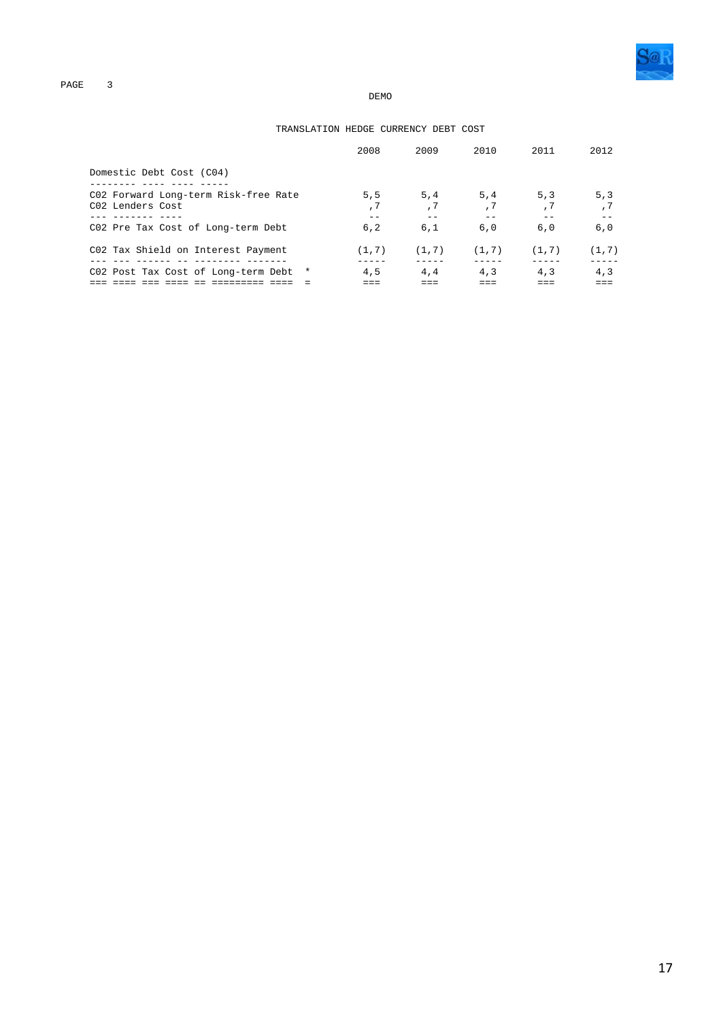#### TRANSLATION HEDGE CURRENCY DEBT COST

|                                                                      | 2008   | 2009        | 2010   | 2011       | 2012   |
|----------------------------------------------------------------------|--------|-------------|--------|------------|--------|
| Domestic Debt Cost (C04)                                             |        |             |        |            |        |
| C02 Forward Long-term Risk-free Rate<br>C02 Lenders Cost             | 5.5    | 5, 4<br>, 7 | 5,4    | 5.3<br>, 7 | 5.3    |
| -------- ---<br>C02 Pre Tax Cost of Long-term Debt                   | 6.2    | 6,1         | 6,0    | 6,0        | 6,0    |
| C02 Tax Shield on Interest Payment<br>______________________________ | (1, 7) | (1, 7)      | (1, 7) | (1, 7)     | (1, 7) |
| C02 Post Tax Cost of Long-term Debt *                                | 4,5    | 4,4         | 4,3    | 4,3        | 4,3    |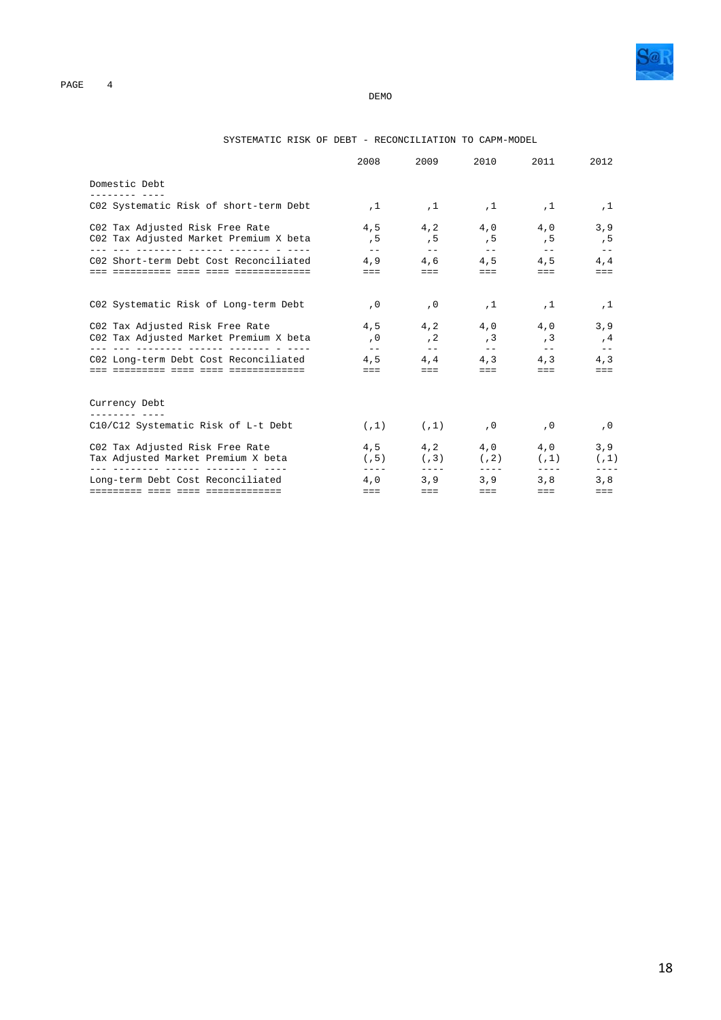

|  | SYSTEMATIC RISK OF DEBT |  |  |  | $\overline{\phantom{0}}$ | RECONCILIATION TO CAPM-MODEL |  |  |
|--|-------------------------|--|--|--|--------------------------|------------------------------|--|--|
|--|-------------------------|--|--|--|--------------------------|------------------------------|--|--|

|                                                                                                                             | 2008                                                   | 2009                                                                                                                                                                                                                                                                                                                                                                                                                                    | 2010                                                                                                                                                                                                                                                                                                                                                                                                 | 2011                                                      | 2012                        |
|-----------------------------------------------------------------------------------------------------------------------------|--------------------------------------------------------|-----------------------------------------------------------------------------------------------------------------------------------------------------------------------------------------------------------------------------------------------------------------------------------------------------------------------------------------------------------------------------------------------------------------------------------------|------------------------------------------------------------------------------------------------------------------------------------------------------------------------------------------------------------------------------------------------------------------------------------------------------------------------------------------------------------------------------------------------------|-----------------------------------------------------------|-----------------------------|
| Domestic Debt<br>--------- ----                                                                                             |                                                        |                                                                                                                                                                                                                                                                                                                                                                                                                                         |                                                                                                                                                                                                                                                                                                                                                                                                      |                                                           |                             |
| C02 Systematic Risk of short-term Debt                                                                                      | ,1                                                     |                                                                                                                                                                                                                                                                                                                                                                                                                                         | $,1$ , $,1$ , $,1$ , $,1$                                                                                                                                                                                                                                                                                                                                                                            |                                                           | ,1                          |
| C02 Tax Adjusted Risk Free Rate<br>C02 Tax Adjusted Market Premium X beta                                                   | 4,5<br>, 5                                             | 4,2<br>, 5                                                                                                                                                                                                                                                                                                                                                                                                                              |                                                                                                                                                                                                                                                                                                                                                                                                      | $4,0$ $4,0$<br>$,5$ , 5                                   | 3,9<br>, 5                  |
| C02 Short-term Debt Cost Reconciliated                                                                                      | $  \,$<br>4,9<br>man and the state of the state of the | $- -$<br>4.6<br>$\frac{1}{2} \frac{1}{2} \frac{1}{2} \frac{1}{2} \frac{1}{2} \frac{1}{2} \frac{1}{2} \frac{1}{2} \frac{1}{2} \frac{1}{2} \frac{1}{2} \frac{1}{2} \frac{1}{2} \frac{1}{2} \frac{1}{2} \frac{1}{2} \frac{1}{2} \frac{1}{2} \frac{1}{2} \frac{1}{2} \frac{1}{2} \frac{1}{2} \frac{1}{2} \frac{1}{2} \frac{1}{2} \frac{1}{2} \frac{1}{2} \frac{1}{2} \frac{1}{2} \frac{1}{2} \frac{1}{2} \frac{$                            | $ -$<br>4,5<br>asset the control                                                                                                                                                                                                                                                                                                                                                                     | $\sim$ $ -$<br>4,5<br>$\equiv \equiv \equiv \quad \cdots$ | $- -$<br>4,4<br>$=$ $=$ $=$ |
| C02 Systematic Risk of Long-term Debt                                                                                       | , 0                                                    | , 0                                                                                                                                                                                                                                                                                                                                                                                                                                     | ,1                                                                                                                                                                                                                                                                                                                                                                                                   | ,1                                                        | ,1                          |
| C02 Tax Adjusted Risk Free Rate<br>C02 Tax Adjusted Market Premium X beta<br><u> --- --- -------- ------ ------- - ----</u> | , 0                                                    | $4.5$ $4.2$<br>, 2                                                                                                                                                                                                                                                                                                                                                                                                                      | , 3                                                                                                                                                                                                                                                                                                                                                                                                  | $4,0$ $4,0$<br>, 3                                        | 3, 9<br>,4                  |
| C02 Long-term Debt Cost Reconciliated                                                                                       | $\frac{1}{2}$<br>4,5<br>$=$ $=$ $-$                    | $\frac{1}{2}$ and $\frac{1}{2}$<br>4, 4<br>$\frac{1}{2} \frac{1}{2} \frac{1}{2} \frac{1}{2} \frac{1}{2} \frac{1}{2} \frac{1}{2} \frac{1}{2} \frac{1}{2} \frac{1}{2} \frac{1}{2} \frac{1}{2} \frac{1}{2} \frac{1}{2} \frac{1}{2} \frac{1}{2} \frac{1}{2} \frac{1}{2} \frac{1}{2} \frac{1}{2} \frac{1}{2} \frac{1}{2} \frac{1}{2} \frac{1}{2} \frac{1}{2} \frac{1}{2} \frac{1}{2} \frac{1}{2} \frac{1}{2} \frac{1}{2} \frac{1}{2} \frac{$ | $ -$<br>$\frac{1}{2} \frac{1}{2} \frac{1}{2} \frac{1}{2} \frac{1}{2} \frac{1}{2} \frac{1}{2} \frac{1}{2} \frac{1}{2} \frac{1}{2} \frac{1}{2} \frac{1}{2} \frac{1}{2} \frac{1}{2} \frac{1}{2} \frac{1}{2} \frac{1}{2} \frac{1}{2} \frac{1}{2} \frac{1}{2} \frac{1}{2} \frac{1}{2} \frac{1}{2} \frac{1}{2} \frac{1}{2} \frac{1}{2} \frac{1}{2} \frac{1}{2} \frac{1}{2} \frac{1}{2} \frac{1}{2} \frac{$ | $ -$<br>$4,3$ $4,3$<br>$=$ $=$ $-$                        | $- -$<br>4,3<br>$==$        |
| Currency Debt                                                                                                               |                                                        |                                                                                                                                                                                                                                                                                                                                                                                                                                         |                                                                                                                                                                                                                                                                                                                                                                                                      |                                                           |                             |
| C10/C12 Systematic Risk of L-t Debt                                                                                         |                                                        | $(1)$ $(0, 1)$ $(0, 0)$                                                                                                                                                                                                                                                                                                                                                                                                                 |                                                                                                                                                                                                                                                                                                                                                                                                      |                                                           | , 0                         |
| C02 Tax Adjusted Risk Free Rate<br>Tax Adjusted Market Premium X beta<br>___ ________ ______ ______ _____                   | 4, 5<br>(7.5)<br>$- - - -$                             | $- - - -$                                                                                                                                                                                                                                                                                                                                                                                                                               | $(7,3)$ $(7,2)$<br>$---$                                                                                                                                                                                                                                                                                                                                                                             | $4, 2$ $4, 0$ $4, 0$<br>(1)<br>$- - - -$                  | 3,9<br>(7.1)                |
| Long-term Debt Cost Reconciliated                                                                                           | 4.0<br>$=$ $=$ $=$                                     | 3.9<br>$=$ $=$ $-$                                                                                                                                                                                                                                                                                                                                                                                                                      | 3, 9<br>$=$ $=$ $-$                                                                                                                                                                                                                                                                                                                                                                                  | 3.8<br>$=$ $=$ $=$                                        | 3,8<br>$=$ $=$ $=$          |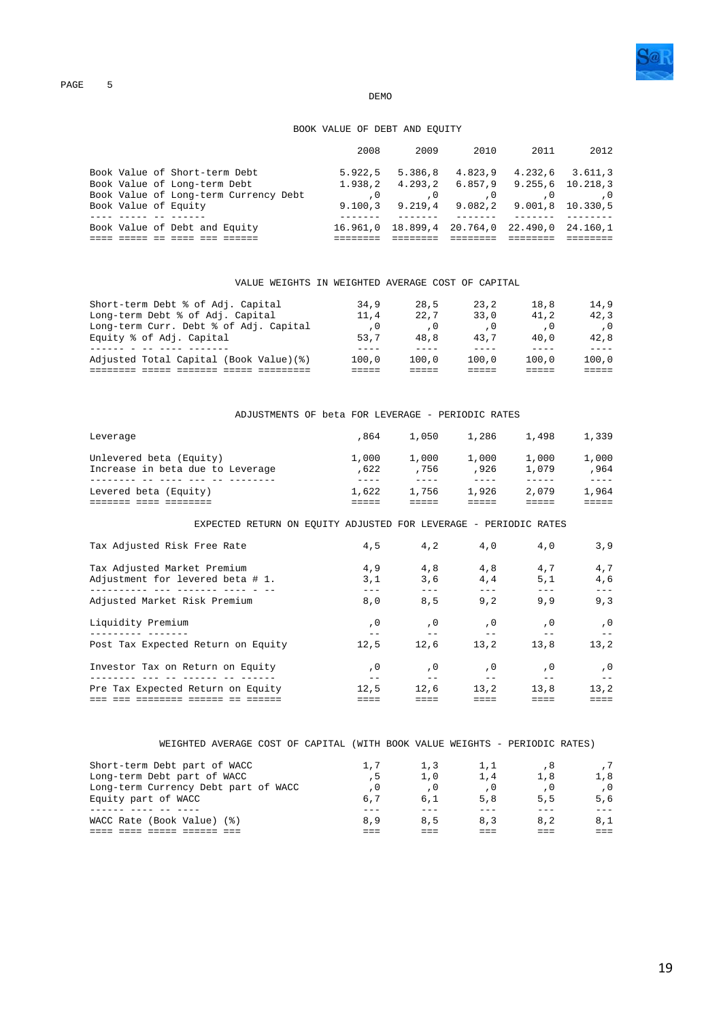

### BOOK VALUE OF DEBT AND EQUITY

|                                       | 2008     | 2009     | 2010                | 2011                             | 2012    |
|---------------------------------------|----------|----------|---------------------|----------------------------------|---------|
| Book Value of Short-term Debt         | 5.922.5  | 5.386.8  | 4.823.9             | 4.232.6                          | 3.611.3 |
| Book Value of Long-term Debt          | 1.938.2  |          |                     | 4.293.2 6.857.9 9.255.6 10.218.3 |         |
| Book Value of Long-term Currency Debt |          |          |                     |                                  |         |
| Book Value of Equity                  | 9.100.3  |          | $9.219.4$ $9.082.2$ | 9.001.8 10.330.5                 |         |
|                                       |          |          |                     |                                  |         |
| Book Value of Debt and Equity         | 16.961.0 | 18.899.4 |                     | 20.764,0 22.490,0 24.160,1       |         |
|                                       |          |          |                     |                                  |         |

VALUE WEIGHTS IN WEIGHTED AVERAGE COST OF CAPITAL

| Short-term Debt % of Adj. Capital<br>Long-term Debt % of Adj. Capital | 34.9<br>11,4 | 28,5<br>22.7 | 23.2<br>33.0 | 18,8<br>41.2 | 14.9<br>42.3 |
|-----------------------------------------------------------------------|--------------|--------------|--------------|--------------|--------------|
| Long-term Curr. Debt % of Adj. Capital                                | . 0          | . 0          |              |              |              |
| Equity % of Adj. Capital                                              | 53.7         | 48.8         | 43.7         | 40.0         | 42.8         |
|                                                                       | ----         |              |              |              |              |
| Adjusted Total Capital (Book Value)(%)                                | 100.0        | 100.0        | 100.0        | 100.0        | 100.0        |
|                                                                       |              |              |              |              |              |

|          | ADJUSTMENTS OF beta FOR LEVERAGE - PERIODIC RATES |  |  |  |                              |  |
|----------|---------------------------------------------------|--|--|--|------------------------------|--|
| Leverage |                                                   |  |  |  | ,864 1,050 1,286 1,498 1,339 |  |

| Levered beta (Equity)            | 1,622 | 1,756 | 1.926 | 2,079 | 1,964 |
|----------------------------------|-------|-------|-------|-------|-------|
|                                  |       |       |       |       |       |
| Increase in beta due to Leverage | .622  | . 756 | .926  | 1.079 | .964  |
| Unlevered beta (Equity)          | 1,000 | 1,000 | 1,000 | 1,000 | 1,000 |
|                                  |       |       |       |       |       |

EXPECTED RETURN ON EQUITY ADJUSTED FOR LEVERAGE - PERIODIC RATES

| Tax Adjusted Risk Free Rate                                     | 4,5        | 4,2        | 4,0         | 4,0        | 3,9        |
|-----------------------------------------------------------------|------------|------------|-------------|------------|------------|
| Tax Adjusted Market Premium<br>Adjustment for levered beta # 1. | 4,9<br>3,1 | 4,8<br>3,6 | 4,8<br>4, 4 | 4,7<br>5,1 | 4,7<br>4,6 |
| Adjusted Market Risk Premium                                    | 8,0        | 8,5        | 9,2         | 9,9        | 9,3        |
| Liquidity Premium                                               | , 0        | , 0        | , 0         | , 0        | , 0        |
| Post Tax Expected Return on Equity                              | 12.5       | 12.6       | 13.2        | 13.8       | 13.2       |
| Investor Tax on Return on Equity                                | , 0        | , 0        | , 0         | . 0        | . 0        |
| Pre Tax Expected Return on Equity                               | 12.5       | 12.6       | 13.2        | 13.8       | 13.2       |
|                                                                 |            |            |             |            |            |

|  | WEIGHTED AVERAGE COST OF CAPITAL (WITH BOOK VALUE WEIGHTS - I |  |  |  |  |  | PERIODIC RATES |
|--|---------------------------------------------------------------|--|--|--|--|--|----------------|
|--|---------------------------------------------------------------|--|--|--|--|--|----------------|

| Short-term Debt part of WACC<br>Long-term Debt part of WACC<br>Long-term Currency Debt part of WACC | 1.7<br>6.7 | 1,3<br>1.0 | 1.1<br>1,4 | 1.8 | 1.8 |
|-----------------------------------------------------------------------------------------------------|------------|------------|------------|-----|-----|
| Equity part of WACC                                                                                 | 8.9        | 6.1        | 5,8        | 5,5 | 5.6 |
| WACC Rate (Book Value) (%)                                                                          |            | 8.5        | 8,3        | 8.2 | 8,1 |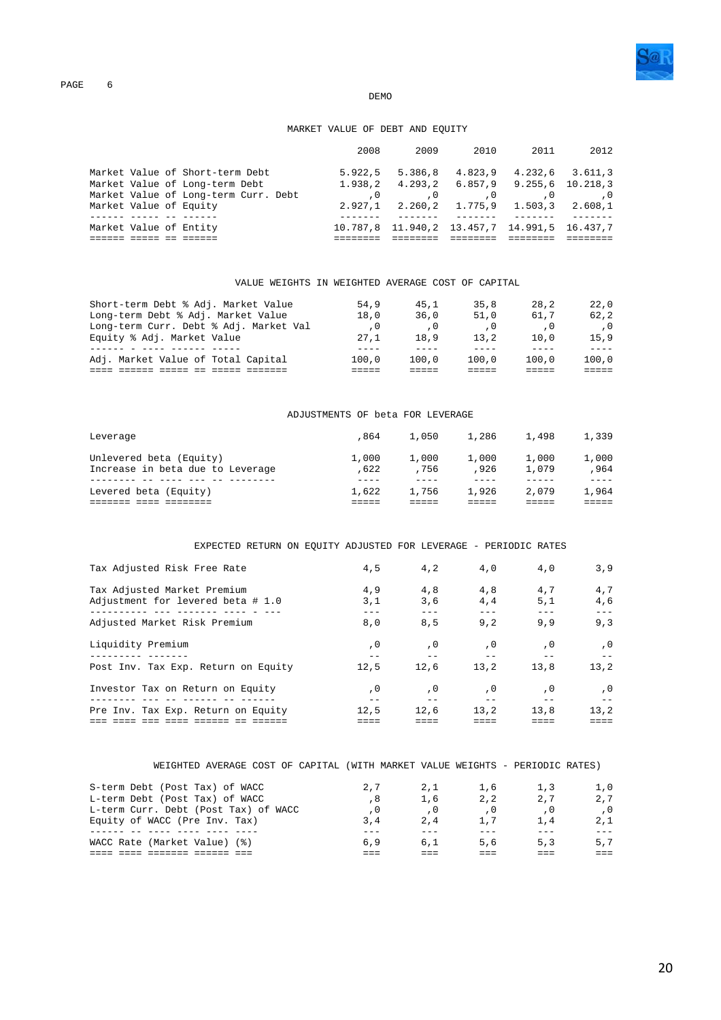

#### **DEMO**

### MARKET VALUE OF DEBT AND EQUITY

|                                |                                      | 2008    | 2009                                                    | 2010 | 2011                            | 2012 |
|--------------------------------|--------------------------------------|---------|---------------------------------------------------------|------|---------------------------------|------|
|                                | Market Value of Short-term Debt      |         | $5.922.5$ $5.386.8$                                     |      | 4.823.9 4.232.6 3.611.3         |      |
| Market Value of Long-term Debt |                                      |         | $1.938, 2$ $4.293, 2$ $6.857, 9$ $9.255, 6$ $10.218, 3$ |      |                                 |      |
|                                | Market Value of Long-term Curr. Debt |         |                                                         | . 0  |                                 |      |
| Market Value of Equity         |                                      | 2.927.1 |                                                         |      | 2.260,2 1.775,9 1.503,3 2.608,1 |      |
|                                |                                      |         |                                                         |      |                                 |      |
| Market Value of Entity         |                                      |         | 10.787,8 11.940,2 13.457,7 14.991,5 16.437,7            |      |                                 |      |
|                                |                                      |         |                                                         |      |                                 |      |

VALUE WEIGHTS IN WEIGHTED AVERAGE COST OF CAPITAL

| Short-term Debt % Adj. Market Value<br>Long-term Debt % Adj. Market Value | 54.9<br>18,0 | 45.1<br>36.0 | 35.8<br>51.0 | 28.2<br>61.7 | 22.0<br>62.2 |
|---------------------------------------------------------------------------|--------------|--------------|--------------|--------------|--------------|
| Long-term Curr. Debt % Adj. Market Val                                    | . 0          | . 0          |              |              |              |
| Equity % Adj. Market Value                                                | 27.1         | 18.9         | 13.2         | 10.0         | 15.9         |
| Adj. Market Value of Total Capital                                        | 100.0        | 100.0        | 100.0        | 100.0        | 100.0        |
|                                                                           |              |              |              |              |              |

#### ADJUSTMENTS OF beta FOR LEVERAGE

| Leverage                                                    | .864          | 1,050         | 1,286         | 1,498          | 1,339         |
|-------------------------------------------------------------|---------------|---------------|---------------|----------------|---------------|
| Unlevered beta (Equity)<br>Increase in beta due to Leverage | 1,000<br>.622 | 1,000<br>.756 | 1,000<br>.926 | 1,000<br>1,079 | 1,000<br>.964 |
| Levered beta (Equity)                                       | 1,622         | 1,756         | 1,926         | 2,079          | 1,964         |

EXPECTED RETURN ON EQUITY ADJUSTED FOR LEVERAGE - PERIODIC RATES

| Tax Adjusted Risk Free Rate                                      | 4,5        | 4,2        | 4,0        | 4,0        | 3.9        |
|------------------------------------------------------------------|------------|------------|------------|------------|------------|
| Tax Adjusted Market Premium<br>Adjustment for levered beta # 1.0 | 4,9<br>3,1 | 4.8<br>3,6 | 4,8<br>4,4 | 4,7<br>5,1 | 4,7<br>4,6 |
| Adjusted Market Risk Premium                                     | 8,0        | 8,5        | 9,2        | 9,9        | 9,3        |
| Liquidity Premium                                                | , 0        | , 0        | , 0        | . 0        | . 0        |
| Post Inv. Tax Exp. Return on Equity                              | 12,5       | 12.6       | 13.2       | 13.8       | 13.2       |
| Investor Tax on Return on Equity                                 | . 0        | , 0        | , 0        | , 0        | . 0        |
| Pre Inv. Tax Exp. Return on Equity                               | 12,5       | 12,6       | 13.2       | 13,8       | 13.2       |

| WEIGHTED AVERAGE COST OF CAPITAL (WITH MARKET VALUE WEIGHTS - PERIODIC RATES) |     |     |     |     |     |
|-------------------------------------------------------------------------------|-----|-----|-----|-----|-----|
| S-term Debt (Post Tax) of WACC                                                | 2.7 | 2.1 | 1,6 | 1,3 | 1.0 |
| L-term Debt (Post Tax) of WACC                                                | . 8 | 1,6 | 2.2 | 2.7 | 2.7 |
| L-term Curr. Debt (Post Tax) of WACC                                          | . 0 | . 0 | . 0 | . 0 | . 0 |
| Equity of WACC (Pre Inv. Tax)                                                 | 3,4 | 2.4 | 1,7 | 1.4 | 2.1 |
|                                                                               |     |     |     |     |     |
| WACC Rate (Market Value) (%)                                                  | 6.9 | 6.1 | 5,6 | 5.3 | 5.7 |
|                                                                               |     |     |     |     |     |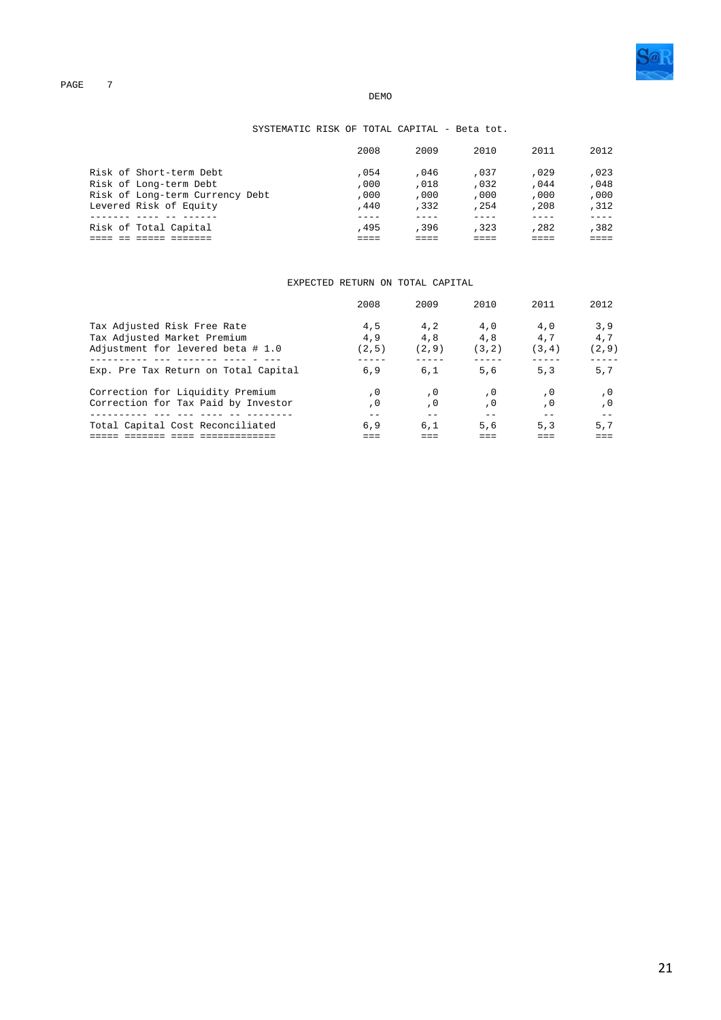

### SYSTEMATIC RISK OF TOTAL CAPITAL - Beta tot.

|                                 | 2008 | 2009 | 2010 | 2011 | 2012 |
|---------------------------------|------|------|------|------|------|
| Risk of Short-term Debt         | .054 | .046 | ,037 | ,029 | ,023 |
| Risk of Long-term Debt          | .000 | ,018 | .032 | .044 | ,048 |
| Risk of Long-term Currency Debt | ,000 | ,000 | ,000 | .000 | .000 |
| Levered Risk of Equity          | .440 | .332 | .254 | ,208 | .312 |
|                                 |      |      |      |      |      |
| Risk of Total Capital           | .495 | .396 | .323 | ,282 | ,382 |
|                                 |      |      |      |      |      |

#### EXPECTED RETURN ON TOTAL CAPITAL

|                                                                                                 | 2008                | 2009                | 2010                 | 2011                 | 2012                 |
|-------------------------------------------------------------------------------------------------|---------------------|---------------------|----------------------|----------------------|----------------------|
| Tax Adjusted Risk Free Rate<br>Tax Adjusted Market Premium<br>Adjustment for levered beta # 1.0 | 4,5<br>4.9<br>(2.5) | 4.2<br>4,8<br>(2.9) | 4,0<br>4,8<br>(3, 2) | 4,0<br>4.7<br>(3, 4) | 3,9<br>4.7<br>(2, 9) |
| Exp. Pre Tax Return on Total Capital                                                            | 6.9                 | 6.1                 | 5,6                  | 5.3                  | 5.7                  |
| Correction for Liquidity Premium<br>Correction for Tax Paid by Investor                         | . 0<br>. 0          | . 0<br>, 0          | . 0<br>. 0           | . 0<br>. 0           | . 0                  |
| Total Capital Cost Reconciliated                                                                | 6.9                 | 6.1                 | 5,6                  | 5.3                  | 5.7                  |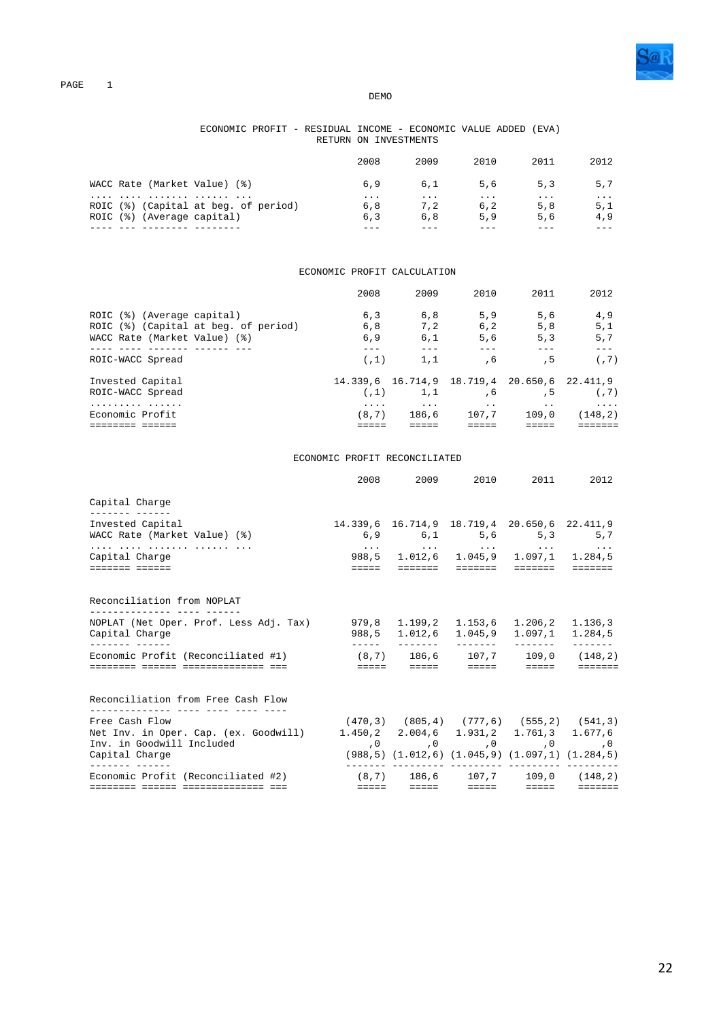

#### ECONOMIC PROFIT - RESIDUAL INCOME - ECONOMIC VALUE ADDED (EVA) RETURN ON INVESTMENTS

|                                                                           | 2008                   | 2009            | 2010                   | 2011                   | 2012            |
|---------------------------------------------------------------------------|------------------------|-----------------|------------------------|------------------------|-----------------|
| WACC Rate (Market Value) (%)                                              | 6,9                    | 6,1             | 5,6                    | 5.3                    | 5.7             |
| ROIC (%) (Capital at beg. of period)<br>(Average capital)<br>$ROIC$ $(%)$ | $\cdots$<br>6.8<br>6.3 | .<br>7.2<br>6.8 | $\cdots$<br>6.2<br>5.9 | $\cdots$<br>5,8<br>5,6 | .<br>5.1<br>4,9 |
|                                                                           |                        |                 |                        |                        |                 |

### ECONOMIC PROFIT CALCULATION

|                                      | 2008       | 2009              | 2010                                                | 2011                     | 2012                |
|--------------------------------------|------------|-------------------|-----------------------------------------------------|--------------------------|---------------------|
| (Average capital)<br>ROIC (%)        | 6,3        | 6,8               | 5.9                                                 | 5,6                      | 4,9                 |
| ROIC (%) (Capital at beg. of period) | 6, 8       | 7.2               | 6, 2                                                | 5.8                      | 5,1                 |
| WACC Rate (Market Value) (%)         | 6.9        | 6.1               | 5,6                                                 | 5.3                      | 5,7                 |
|                                      |            |                   |                                                     |                          |                     |
| ROIC-WACC Spread                     | (7.1)      | 1,1               | . 6                                                 | , 5                      | (7)                 |
| Invested Capital<br>ROIC-WACC Spread | (7.1)      | 1,1               | 14.339,6 16.714,9 18.719,4 20.650,6 22.411,9<br>, 6 | . 5                      | (7)                 |
|                                      |            |                   |                                                     |                          |                     |
| .<br>Economic Profit                 | .<br>(8.7) | $\cdots$<br>186.6 | $\cdot$ $\cdot$<br>107.7                            | $\cdot$ $\cdot$<br>109.0 | $\cdots$<br>(148.2) |
|                                      |            |                   |                                                     |                          |                     |

#### ECONOMIC PROFIT RECONCILIATED

|                                                                                                                                                |  | 2008 2009 2010 2011                                                                                                                      |                                                                                                                                                                                                                                                                                                                                                                                                                                                                                        | 2012            |
|------------------------------------------------------------------------------------------------------------------------------------------------|--|------------------------------------------------------------------------------------------------------------------------------------------|----------------------------------------------------------------------------------------------------------------------------------------------------------------------------------------------------------------------------------------------------------------------------------------------------------------------------------------------------------------------------------------------------------------------------------------------------------------------------------------|-----------------|
| Capital Charge                                                                                                                                 |  |                                                                                                                                          |                                                                                                                                                                                                                                                                                                                                                                                                                                                                                        |                 |
| ________ _____<br>Invested Capital<br>WACC Rate (Market Value) (%)                                                                             |  | 14.339,6 16.714,9 18.719,4 20.650,6 22.411,9<br>6,9 6,1 5,6 5,3 5,7                                                                      |                                                                                                                                                                                                                                                                                                                                                                                                                                                                                        |                 |
| Capital Charge<br>eessess eesses                                                                                                               |  | وكوارث المتوارث والمتحدث والمتوارث والمتوارث والمتحدث<br>988,5 1.012,6 1.045,9 1.097,1 1.284,5                                           |                                                                                                                                                                                                                                                                                                                                                                                                                                                                                        |                 |
| Reconciliation from NOPLAT<br>____________ ____ _____                                                                                          |  |                                                                                                                                          |                                                                                                                                                                                                                                                                                                                                                                                                                                                                                        |                 |
| NOPLAT (Net Oper. Prof. Less Adj. Tax) 979,8 1.199,2 1.153,6 1.206,2 1.136,3<br>Capital Charge                                                 |  | 988.5 1.012.6 1.045.9                                                                                                                    | 1.097.1                                                                                                                                                                                                                                                                                                                                                                                                                                                                                | 1.284,5         |
| ------- ------<br>Economic Profit (Reconciliated #1)<br>======== ====== =============== ===                                                    |  | $(8,7)$ 186,6 107,7 109,0 (148,2)                                                                                                        | $\begin{array}{cccccccccccccc} \multicolumn{2}{c}{} & \multicolumn{2}{c}{} & \multicolumn{2}{c}{} & \multicolumn{2}{c}{} & \multicolumn{2}{c}{} & \multicolumn{2}{c}{} & \multicolumn{2}{c}{} & \multicolumn{2}{c}{} & \multicolumn{2}{c}{} & \multicolumn{2}{c}{} & \multicolumn{2}{c}{} & \multicolumn{2}{c}{} & \multicolumn{2}{c}{} & \multicolumn{2}{c}{} & \multicolumn{2}{c}{} & \multicolumn{2}{c}{} & \multicolumn{2}{c}{} & \multicolumn{2}{c}{} & \multicolumn{2}{c}{} & \$ | $- - - - - - -$ |
| Reconciliation from Free Cash Flow                                                                                                             |  |                                                                                                                                          |                                                                                                                                                                                                                                                                                                                                                                                                                                                                                        |                 |
| Free Cash Flow<br>Net Inv. in Oper. Cap. (ex. Goodwill) 1.450,2 2.004,6 1.931,2 1.761,3 1.677,6<br>Inv. in Goodwill Included<br>Capital Charge |  | $(470,3)$ $(805,4)$ $(777,6)$ $(555,2)$ $(541,3)$<br>0, 0, 0, 0, 0, 0,<br>$(988, 5)$ $(1.012, 6)$ $(1.045, 9)$ $(1.097, 1)$ $(1.284, 5)$ |                                                                                                                                                                                                                                                                                                                                                                                                                                                                                        |                 |
| Economic Profit (Reconciliated #2)<br>======== ====== =============== ===                                                                      |  | $(8.7)$ 186.6 107.7 109.0 (148.2)<br>eesse seese seese i                                                                                 | eeee a                                                                                                                                                                                                                                                                                                                                                                                                                                                                                 | eeeeee          |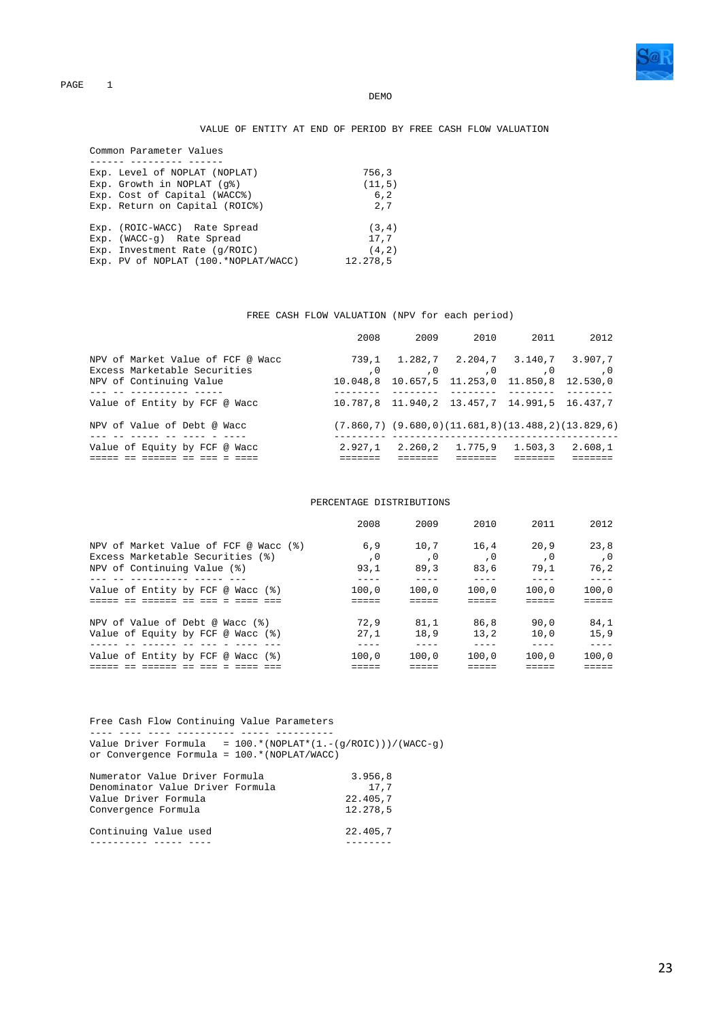

#### VALUE OF ENTITY AT END OF PERIOD BY FREE CASH FLOW VALUATION

| Common Parameter Values              |          |
|--------------------------------------|----------|
|                                      |          |
| Exp. Level of NOPLAT (NOPLAT)        | 756,3    |
| $Exp.$ Growth in NOPLAT $(q2)$       | (11, 5)  |
| Exp. Cost of Capital (WACC%)         | 6, 2     |
| Exp. Return on Capital (ROIC%)       | 2.7      |
|                                      |          |
| Exp. (ROIC-WACC) Rate Spread         | (3, 4)   |
| Exp. (WACC-q) Rate Spread            | 17,7     |
| Exp. Investment Rate (g/ROIC)        | (4.2)    |
| Exp. PV of NOPLAT (100.*NOPLAT/WACC) | 12.278,5 |

#### FREE CASH FLOW VALUATION (NPV for each period)

|                                                                                              | 2008              | 2009 | 2010                                                                | 2011             | 2012                |
|----------------------------------------------------------------------------------------------|-------------------|------|---------------------------------------------------------------------|------------------|---------------------|
| NPV of Market Value of FCF @ Wacc<br>Excess Marketable Securities<br>NPV of Continuing Value | 739.1<br>10.048.8 |      | 1.282,7 2.204,7 3.140,7<br>$\sim 0$<br>10.657,5 11.253,0 11.850,8   | $\cdot$ 0<br>, 0 | 3.907.7<br>12.530.0 |
| Value of Entity by FCF @ Wacc                                                                |                   |      | 10.787,8 11.940,2 13.457,7 14.991,5 16.437,7                        |                  |                     |
| NPV of Value of Debt @ Wacc                                                                  |                   |      | $(7.860, 7)$ $(9.680, 0)$ $(11.681, 8)$ $(13.488, 2)$ $(13.829, 6)$ |                  |                     |
| Value of Equity by FCF @ Wacc                                                                | 2.927.1           |      | 2.260,2 1.775,9                                                     | 1.503,3          | 2.608,1             |

#### PERCENTAGE DISTRIBUTIONS

|                                       | 2008  | 2009  | 2010  | 2011  | 2012  |
|---------------------------------------|-------|-------|-------|-------|-------|
| NPV of Market Value of FCF @ Wacc (%) | 6.9   | 10.7  | 16.4  | 20.9  | 23.8  |
| Excess Marketable Securities (%)      | . 0   | . 0   | . 0   | . 0   | . 0   |
| NPV of Continuing Value (%)           | 93.1  | 89.3  | 83.6  | 79.1  | 76.2  |
| Value of Entity by FCF @ Wacc (%)     | 100.0 | 100.0 | 100.0 | 100.0 | 100.0 |
|                                       |       |       |       |       |       |
| NPV of Value of Debt @ Wacc (%)       | 72.9  | 81.1  | 86.8  | 90.0  | 84.1  |
| Value of Equity by FCF @ Wacc (%)     | 27.1  | 18.9  | 13.2  | 10.0  | 15.9  |
|                                       |       |       |       |       |       |
| Value of Entity by FCF @ Wacc (%)     | 100.0 | 100.0 | 100.0 | 100.0 | 100.0 |
|                                       |       |       |       |       |       |

 Free Cash Flow Continuing Value Parameters ---- ---- ---- ---------- ----- ----------

 Value Driver Formula = 100.\*(NOPLAT\*(1.-(g/ROIC)))/(WACC-g) or Convergence Formula = 100.\*(NOPLAT/WACC)

| Numerator Value Driver Formula   | 3.956,8  |
|----------------------------------|----------|
| Denominator Value Driver Formula | 17.7     |
| Value Driver Formula             | 22.405,7 |
| Convergence Formula              | 12.278.5 |
| Continuing Value used            | 22.405.7 |
|                                  |          |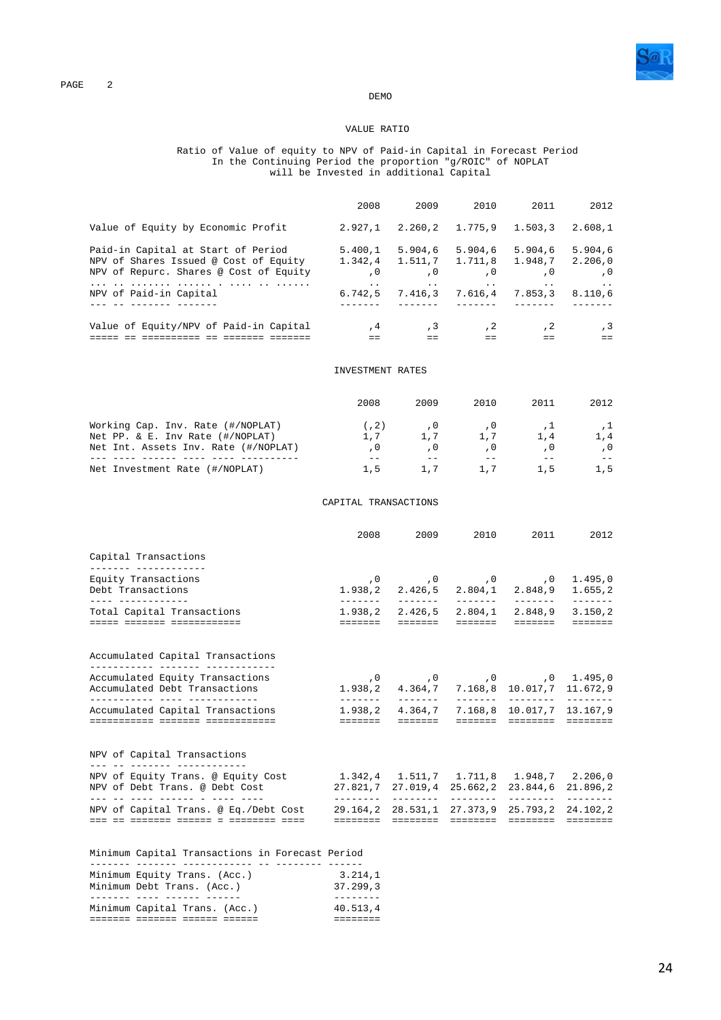

#### VALUE RATIO

#### Ratio of Value of equity to NPV of Paid-in Capital in Forecast Period In the Continuing Period the proportion "g/ROIC" of NOPLAT will be Invested in additional Capital

|                                                                                                                                                                                                                                                     | 2008                                              |                              |                                                    | 2009 2010 2011                                                                                                                                                            | 2012              |
|-----------------------------------------------------------------------------------------------------------------------------------------------------------------------------------------------------------------------------------------------------|---------------------------------------------------|------------------------------|----------------------------------------------------|---------------------------------------------------------------------------------------------------------------------------------------------------------------------------|-------------------|
| Value of Equity by Economic Profit                                                                                                                                                                                                                  | $2.927,1$ $2.260,2$ $1.775,9$ $1.503,3$ $2.608,1$ |                              |                                                    |                                                                                                                                                                           |                   |
| Paid-in Capital at Start of Period 5.400,1 5.904,6 5.904,6 5.904,6 5.904,6<br>NPV of Shares Issued @ Cost of Equity 1.342,4 1.511,7 1.711,8 1.948,7 2.206,0<br>NPV of Repurc. Shares @ Cost of Equity $0$ , $0$ , $0$ , $0$ , $0$ , $0$ , $0$ , $0$ |                                                   |                              |                                                    |                                                                                                                                                                           |                   |
| NPV of Paid-in Capital                                                                                                                                                                                                                              |                                                   |                              |                                                    | the contract of the contract of the contract of the contract of the contract of the contract of the contract of<br>$6.742, 5$ $7.416, 3$ $7.616, 4$ $7.853, 3$ $8.110, 6$ |                   |
| <u>o cooccocco do coocco cooccoc</u>                                                                                                                                                                                                                | $=$ $=$ $-$                                       | and the second second second | $=$ $=$ $-$                                        | $=$                                                                                                                                                                       | , 3<br>$=$ $=$    |
|                                                                                                                                                                                                                                                     | INVESTMENT RATES                                  |                              |                                                    |                                                                                                                                                                           |                   |
|                                                                                                                                                                                                                                                     | 2008                                              | 2009                         | 2010                                               | 2011                                                                                                                                                                      | 2012              |
| Working Cap. Inv. Rate (#/NOPLAT)<br>Net PP. & E. Inv Rate (#/NOPLAT)<br>Net Int. Assets Inv. Rate (#/NOPLAT)                                                                                                                                       | , 0                                               | $\sim$ 0                     | $(7,2)$ , 0, 0, 0<br>$1,7$ $1,7$ $1,7$<br>$\,$ , 0 | , 1<br>1,4<br>, 0                                                                                                                                                         | , 1<br>1,4<br>, 0 |
|                                                                                                                                                                                                                                                     |                                                   |                              |                                                    |                                                                                                                                                                           |                   |

Net Investment Rate (#/NOPLAT) 1,5 1,7 1,7 1,5 1,5

CAPITAL TRANSACTIONS

|                                                                                                              | 2008                                                    | 2009     | 2010     | 2011 \,                                                | 2012                       |
|--------------------------------------------------------------------------------------------------------------|---------------------------------------------------------|----------|----------|--------------------------------------------------------|----------------------------|
| Capital Transactions<br>------ ------------                                                                  |                                                         |          |          |                                                        |                            |
| Equity Transactions<br>Debt Transactions<br>. _ _ _     _ _ _ _ _ _ _ _ _ _ _ _                              |                                                         | -------- | -------- | $1.938, 2$ $2.426, 5$ $2.804, 1$ $2.848, 9$            | 1.655,2<br>$- - - - - - -$ |
| Total Capital Transactions<br>anada abadaan abadaanadaan                                                     |                                                         |          |          | $1.938, 2$ $2.426, 5$ $2.804, 1$ $2.848, 9$ $3.150, 2$ |                            |
| Accumulated Capital Transactions<br>___________ _______ ______________                                       |                                                         |          |          |                                                        |                            |
| Accumulated Equity Transactions<br>Accumulated Debt Transactions                                             |                                                         |          |          | 1.938,2 4.364,7 7.168,8 10.017,7 11.672,9              |                            |
| Accumulated Capital Transactions                                                                             | 1.938,2 4.364,7 7.168,8 10.017,7 13.167,9<br>eessess () | -------- |          |                                                        |                            |
| NPV of Capital Transactions                                                                                  |                                                         |          |          |                                                        |                            |
| NPV of Equity Trans. @ Equity Cost 1.342,4 1.511,7 1.711,8 1.948,7 2.206,0<br>NPV of Debt Trans, @ Debt Cost |                                                         |          |          | 27.821,7 27.019,4 25.662,2 23.844,6                    | 21.896,2                   |
| NPV of Capital Trans. @ Eq./Debt Cost                                                                        | --------                                                |          |          | 29.164.2 28.531.1 27.373.9 25.793.2 24.102.2           |                            |

| Minimum Capital Transactions in Forecast Period |          |
|-------------------------------------------------|----------|
|                                                 |          |
| Minimum Equity Trans. (Acc.)                    | 3.214.1  |
| Minimum Debt Trans. (Acc.)                      | 37.299.3 |
|                                                 |          |
| Minimum Capital Trans. (Acc.)                   | 40.513.4 |
|                                                 |          |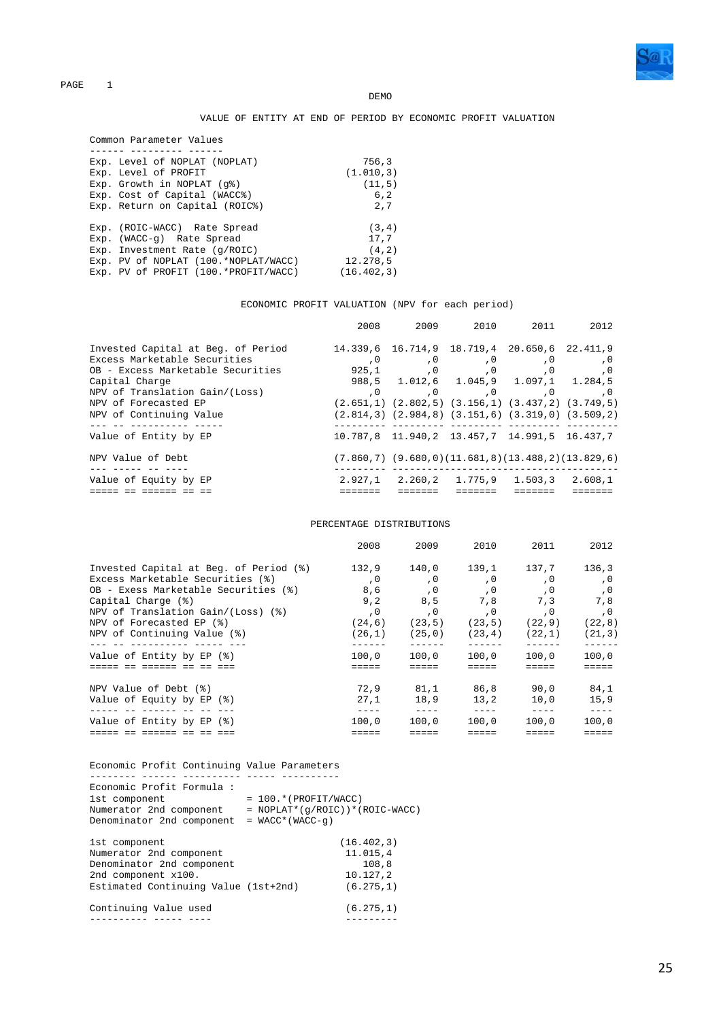

**DEMO** 

### VALUE OF ENTITY AT END OF PERIOD BY ECONOMIC PROFIT VALUATION

| Common Parameter Values              |             |
|--------------------------------------|-------------|
|                                      |             |
| Exp. Level of NOPLAT (NOPLAT)        | 756,3       |
| Exp. Level of PROFIT                 | (1.010, 3)  |
| $Exp.$ Growth in NOPLAT $(q\})$      | (11, 5)     |
| Exp. Cost of Capital (WACC%)         | 6, 2        |
| Exp. Return on Capital (ROIC%)       | 2.7         |
| Exp. (ROIC-WACC) Rate Spread         | (3, 4)      |
| Exp. (WACC-q) Rate Spread            | 17,7        |
| Exp. Investment Rate $(g/ROIC)$      | (4, 2)      |
| Exp. PV of NOPLAT (100.*NOPLAT/WACC) | 12.278,5    |
| Exp. PV of PROFIT (100.*PROFIT/WACC) | (16.402, 3) |

### ECONOMIC PROFIT VALUATION (NPV for each period)

|                                     |         |                 | 2008 2009 2010 2011                                                 |                | 2012    |
|-------------------------------------|---------|-----------------|---------------------------------------------------------------------|----------------|---------|
| Invested Capital at Beg. of Period  |         |                 | 14.339,6 16.714,9 18.719,4 20.650,6 22.411,9                        |                |         |
| Excess Marketable Securities        | $\,$ ,0 | , 0             | , 0                                                                 | , 0            | , 0     |
| OB - Excess Marketable Securities   |         | 925,1,0         | $\overline{\phantom{0}}$ , 0                                        | $\overline{0}$ | , 0     |
| Capital Charge                      |         |                 | 988,5 1.012,6 1.045,9 1.097,1 1.284,5                               |                |         |
| NPV of Translation Gain/(Loss)      |         |                 | 0, 0, 0,                                                            |                | , 0     |
| NPV of Forecasted EP                |         |                 | $(2.651,1)$ $(2.802,5)$ $(3.156,1)$ $(3.437,2)$ $(3.749,5)$         |                |         |
| NPV of Continuing Value             |         |                 | $(2.814,3)$ $(2.984,8)$ $(3.151,6)$ $(3.319,0)$ $(3.509,2)$         |                |         |
| ----------<br>Value of Entity by EP |         |                 | 10.787,8 11.940,2 13.457,7 14.991,5 16.437,7                        |                |         |
| NPV Value of Debt.                  |         |                 | $(7.860, 7)$ $(9.680, 0)$ $(11.681, 8)$ $(13.488, 2)$ $(13.829, 6)$ |                |         |
| Value of Equity by EP               | 2.927.1 | 2.260.2 1.775.9 |                                                                     | 1.503.3        | 2.608.1 |
|                                     |         |                 |                                                                     |                |         |

#### PERCENTAGE DISTRIBUTIONS

|                                        | 2008    | 2009    | 2010    | 2011    | 2012    |
|----------------------------------------|---------|---------|---------|---------|---------|
| Invested Capital at Beg. of Period (%) | 132.9   | 140,0   | 139.1   | 137.7   | 136.3   |
| Excess Marketable Securities (%)       | , 0     | , 0     | , 0     | , 0     | , 0     |
| OB - Exess Marketable Securities (%)   | 8,6     | , 0     | ,0      | , 0     | , 0     |
| Capital Charge (%)                     | 9, 2    | 8,5     | 7,8     | 7,3     | 7,8     |
| NPV of Translation Gain/(Loss) (%)     | , 0     | , 0     | , 0     | , 0     | , 0     |
| NPV of Forecasted EP (%)               | (24, 6) | (23, 5) | (23, 5) | (22, 9) | (22, 8) |
| NPV of Continuing Value (%)            | (26,1)  | (25, 0) | (23, 4) | (22,1)  | (21, 3) |
| Value of Entity by EP (%)              | 100.0   | 100.0   | 100.0   | 100.0   | 100.0   |
|                                        |         |         |         |         |         |
| NPV Value of Debt (%)                  | 72.9    | 81,1    | 86,8    | 90,0    | 84,1    |
| Value of Equity by EP (%)              | 27.1    | 18,9    | 13.2    | 10.0    | 15.9    |
| Value of Entity by EP (%)              | 100.0   | 100.0   | 100.0   | 100.0   | 100.0   |
|                                        |         |         |         |         |         |

| Economic Profit Continuing Value Parameters                                                                                          |                                                                                                 |
|--------------------------------------------------------------------------------------------------------------------------------------|-------------------------------------------------------------------------------------------------|
| Economic Profit Formula:<br>1st component<br>Numerator 2nd component<br>Denominator 2nd component                                    | $= 100.*$ (PROFIT/WACC)<br>$= \text{NOPLAT*}(\text{q/ROIC})$ * (ROIC-WACC)<br>$= WACC*(WACC-q)$ |
| 1st component<br>Numerator 2nd component<br>Denominator 2nd component<br>2nd component x100.<br>Estimated Continuing Value (1st+2nd) | (16.402.3)<br>11.015,4<br>108,8<br>10.127,2<br>(6.275, 1)                                       |
| Continuing Value used                                                                                                                | (6.275, 1)                                                                                      |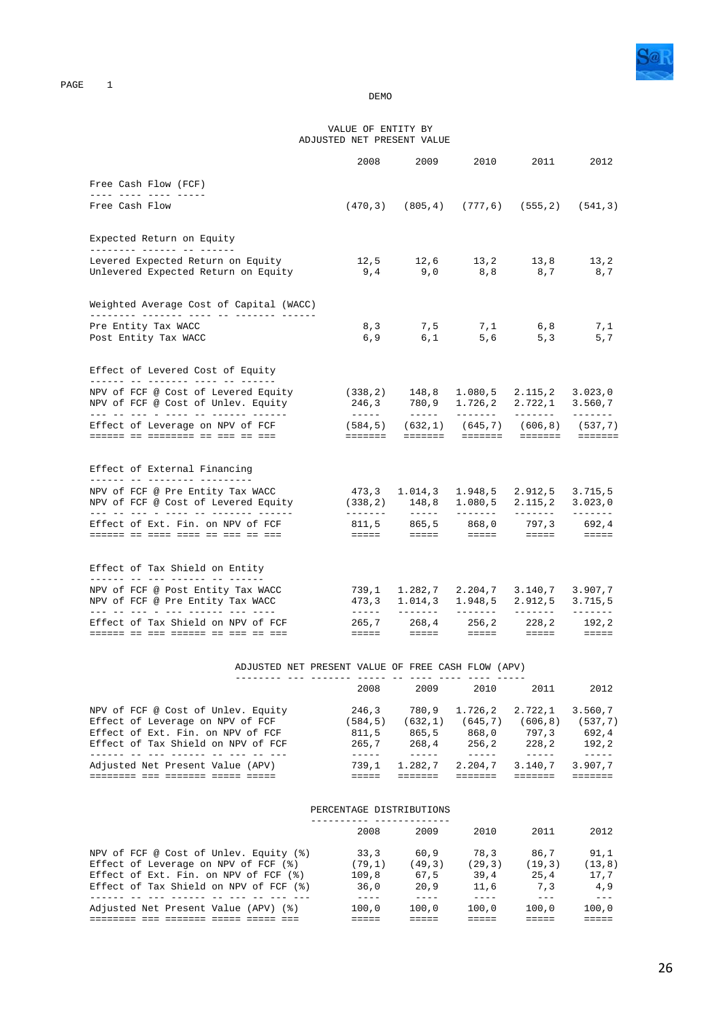

#### VALUE OF ENTITY BY ADJUSTED NET PRESENT VALUE

|                                                                                                                                                       | 2008                                                                                                                                                                                                                                                                                                                                                                                         | 2009                                                                    | 2010               | 2011                           | 2012                                                                                                                                                                                                                                                                                                                                                                                                                                                                                                          |
|-------------------------------------------------------------------------------------------------------------------------------------------------------|----------------------------------------------------------------------------------------------------------------------------------------------------------------------------------------------------------------------------------------------------------------------------------------------------------------------------------------------------------------------------------------------|-------------------------------------------------------------------------|--------------------|--------------------------------|---------------------------------------------------------------------------------------------------------------------------------------------------------------------------------------------------------------------------------------------------------------------------------------------------------------------------------------------------------------------------------------------------------------------------------------------------------------------------------------------------------------|
| Free Cash Flow (FCF)                                                                                                                                  |                                                                                                                                                                                                                                                                                                                                                                                              |                                                                         |                    |                                |                                                                                                                                                                                                                                                                                                                                                                                                                                                                                                               |
| Free Cash Flow                                                                                                                                        |                                                                                                                                                                                                                                                                                                                                                                                              | $(470, 3)$ $(805, 4)$ $(777, 6)$ $(555, 2)$ $(541, 3)$                  |                    |                                |                                                                                                                                                                                                                                                                                                                                                                                                                                                                                                               |
| Expected Return on Equity<br>-------- ------ -- ------                                                                                                |                                                                                                                                                                                                                                                                                                                                                                                              |                                                                         |                    |                                |                                                                                                                                                                                                                                                                                                                                                                                                                                                                                                               |
| Levered Expected Return on Equity<br>Unlevered Expected Return on Equity                                                                              | 9,4                                                                                                                                                                                                                                                                                                                                                                                          | $12,5$ $12,6$ $13,2$ $13,8$<br>9,0                                      | 8,8                | 8,7                            | 13,2<br>8,7                                                                                                                                                                                                                                                                                                                                                                                                                                                                                                   |
| Weighted Average Cost of Capital (WACC)                                                                                                               |                                                                                                                                                                                                                                                                                                                                                                                              |                                                                         |                    |                                |                                                                                                                                                                                                                                                                                                                                                                                                                                                                                                               |
| Pre Entity Tax WACC<br>Post Entity Tax WACC                                                                                                           | 8, 3<br>6,9                                                                                                                                                                                                                                                                                                                                                                                  | 7,5<br>6,1                                                              | 5,6                | $7,1$ 6,8<br>5, 3              | 7,1<br>5,7                                                                                                                                                                                                                                                                                                                                                                                                                                                                                                    |
| Effect of Levered Cost of Equity<br>______ __ _______ ____ __ __ ____                                                                                 |                                                                                                                                                                                                                                                                                                                                                                                              |                                                                         |                    |                                |                                                                                                                                                                                                                                                                                                                                                                                                                                                                                                               |
| NPV of FCF @ Cost of Levered Equity<br>NPV of FCF @ Cost of Unlev. Equity<br><u> --- -- --- - ---- -- ------- ------ </u>                             | $(338,2)$ 148,8 1.080,5 2.115,2<br>a de de decembre                                                                                                                                                                                                                                                                                                                                          | 246,3 780,9 1.726,2 2.722,1                                             |                    | <u> Liberato</u>               | 3.023,0<br>3.560,7<br><u>_______</u>                                                                                                                                                                                                                                                                                                                                                                                                                                                                          |
| Effect of Leverage on NPV of FCF                                                                                                                      | $(584, 5)$ $(632, 1)$ $(645, 7)$ $(606, 8)$ $(537, 7)$<br>=======                                                                                                                                                                                                                                                                                                                            |                                                                         | ======= =======    |                                |                                                                                                                                                                                                                                                                                                                                                                                                                                                                                                               |
| Effect of External Financing                                                                                                                          |                                                                                                                                                                                                                                                                                                                                                                                              |                                                                         |                    |                                |                                                                                                                                                                                                                                                                                                                                                                                                                                                                                                               |
| ______ __ ________ _______<br>NPV of FCF @ Pre Entity Tax WACC<br>NPV of FCF @ Cost of Levered Equity<br><u> --- -- --- - ---- -- -------- ------</u> | -------                                                                                                                                                                                                                                                                                                                                                                                      | 473,3 1.014,3 1.948,5 2.912,5<br>$(338,2)$ 148,8 1.080,5<br>$- - - - -$ | -------            | 2.115.2<br>-------             | 3.715,5<br>3.023,0<br>$- - - - - - -$                                                                                                                                                                                                                                                                                                                                                                                                                                                                         |
| Effect of Ext. Fin. on NPV of FCF<br><u> 222222 22 2222 2222 22 222 223 224</u>                                                                       | and the second company of the second of the second of the second of the second of the second of the second of                                                                                                                                                                                                                                                                                | 811,5 865,5 868,0 797,3 692,4                                           |                    |                                | $\equiv \equiv \equiv \equiv \equiv$                                                                                                                                                                                                                                                                                                                                                                                                                                                                          |
| Effect of Tax Shield on Entity<br>______ __ ___ _______ __ ______                                                                                     |                                                                                                                                                                                                                                                                                                                                                                                              |                                                                         |                    |                                |                                                                                                                                                                                                                                                                                                                                                                                                                                                                                                               |
| NPV of FCF @ Post Entity Tax WACC<br>NPV of FCF @ Pre Entity Tax WACC<br><u>ada da ada a ada addisin ada adas</u>                                     | $\frac{1}{2} \frac{1}{2} \frac{1}{2} \frac{1}{2} \frac{1}{2} \frac{1}{2} \frac{1}{2} \frac{1}{2} \frac{1}{2} \frac{1}{2} \frac{1}{2} \frac{1}{2} \frac{1}{2} \frac{1}{2} \frac{1}{2} \frac{1}{2} \frac{1}{2} \frac{1}{2} \frac{1}{2} \frac{1}{2} \frac{1}{2} \frac{1}{2} \frac{1}{2} \frac{1}{2} \frac{1}{2} \frac{1}{2} \frac{1}{2} \frac{1}{2} \frac{1}{2} \frac{1}{2} \frac{1}{2} \frac{$ | 739,1 1.282,7 2.204,7<br>473, 3 1.014, 3 1.948, 5<br><u>_______</u>     | <b>DESCRIPTION</b> | 3.140,7<br>2.912,5<br>-------- | 3.907,7<br>3.715, 5<br>$\begin{array}{cccccccccc} \multicolumn{2}{c}{} & \multicolumn{2}{c}{} & \multicolumn{2}{c}{} & \multicolumn{2}{c}{} & \multicolumn{2}{c}{} & \multicolumn{2}{c}{} & \multicolumn{2}{c}{} & \multicolumn{2}{c}{} & \multicolumn{2}{c}{} & \multicolumn{2}{c}{} & \multicolumn{2}{c}{} & \multicolumn{2}{c}{} & \multicolumn{2}{c}{} & \multicolumn{2}{c}{} & \multicolumn{2}{c}{} & \multicolumn{2}{c}{} & \multicolumn{2}{c}{} & \multicolumn{2}{c}{} & \multicolumn{2}{c}{} & \mult$ |
| Effect of Tax Shield on NPV of FCF                                                                                                                    | 265,7<br>$=$ $=$ $=$ $=$                                                                                                                                                                                                                                                                                                                                                                     | $=$ $=$ $=$ $=$                                                         |                    | $228, 2$<br>=====              | 192,2<br>$=$ $=$ $=$ $=$                                                                                                                                                                                                                                                                                                                                                                                                                                                                                      |

### ADJUSTED NET PRESENT VALUE OF FREE CASH FLOW (APV)

|                                    | 2008    | 2009    | 2010    | 2011     | 2012    |
|------------------------------------|---------|---------|---------|----------|---------|
| NPV of FCF @ Cost of Unlev. Equity | 246.3   | 780.9   | 1.726.2 | 2.722.1  | 3.560.7 |
| Effect of Leverage on NPV of FCF   | (584.5) | (632.1) | (645.7) | (606, 8) | (537.7) |
| Effect of Ext. Fin. on NPV of FCF  | 811.5   | 865.5   | 868.0   | 797.3    | 692.4   |
| Effect of Tax Shield on NPV of FCF | 265.7   | 268.4   | 256.2   | 228.2    | 192.2   |
| Adjusted Net Present Value (APV)   | 739.1   | 1.282.7 | 2.204.7 | 3.140.7  | 3.907.7 |
|                                    |         |         |         |          |         |

#### PERCENTAGE DISTRIBUTIONS ---------- -------------

|                                        | 2008   | 2009   | 2010   | 2011    | 2012   |
|----------------------------------------|--------|--------|--------|---------|--------|
| NPV of FCF @ Cost of Unlev. Equity (%) | 33.3   | 60.9   | 78.3   | 86.7    | 91.1   |
| Effect of Leverage on NPV of FCF (%)   | (79.1) | (49,3) | (29.3) | (19, 3) | (13.8) |
| Effect of Ext. Fin. on NPV of FCF (%)  | 109.8  | 67.5   | 39.4   | 25.4    | 17.7   |
| Effect of Tax Shield on NPV of FCF (%) | 36.0   | 20.9   | 11,6   | 7.3     | 4.9    |
|                                        |        |        |        |         |        |
| Adjusted Net Present Value (APV) (%)   | 100.0  | 100.0  | 100.0  | 100.0   | 100.0  |
|                                        |        |        |        |         |        |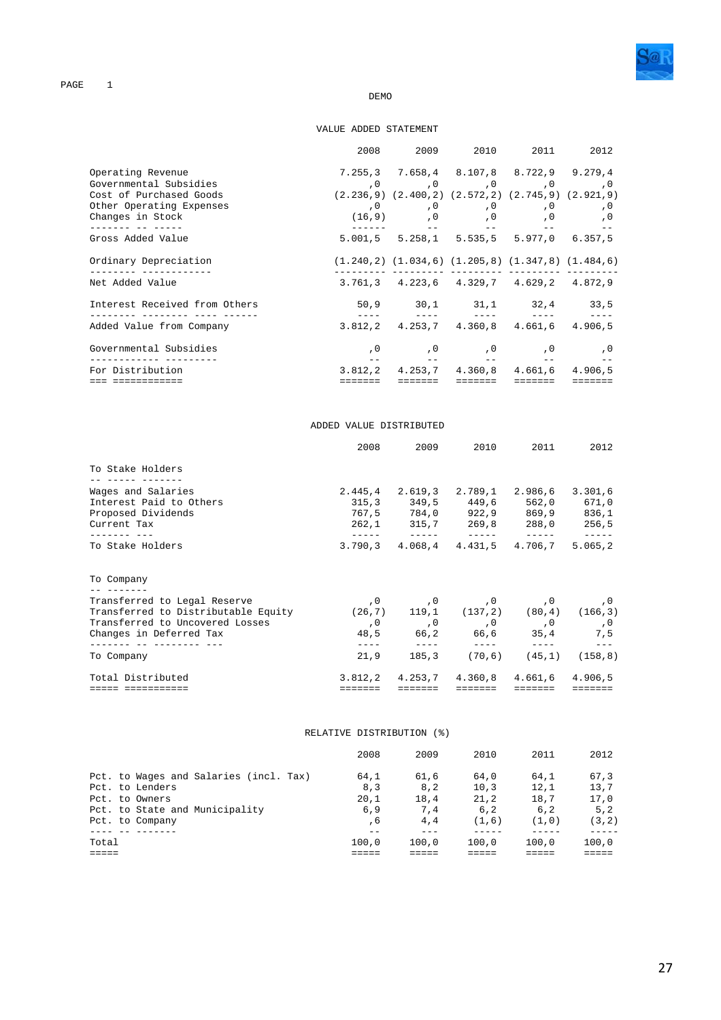

#### DEMO

### VALUE ADDED STATEMENT

|                               |                                                 | 2008 2009 2010 2011 2012                                                                  |  |
|-------------------------------|-------------------------------------------------|-------------------------------------------------------------------------------------------|--|
| Operating Revenue             |                                                 | 7.255.3 7.658.4 8.107.8 8.722.9 9.279.4                                                   |  |
| Governmental Subsidies        |                                                 |                                                                                           |  |
| Cost of Purchased Goods       |                                                 | $(2.236, 9)$ $(2.400, 2)$ $(2.572, 2)$ $(2.745, 9)$ $(2.921, 9)$                          |  |
| Other Operating Expenses      |                                                 | 0, 0, 0, 0, 0, 0,                                                                         |  |
| Changes in Stock              |                                                 |                                                                                           |  |
| Gross Added Value             |                                                 | <u> 1989년 - 대한민국의 대한민국의 대한민국의 대한민국의 대한민</u> 국의<br>5.001,5 5.258,1 5.535,5 5.977,0 6.357,5 |  |
| Ordinary Depreciation         |                                                 | $(1.240, 2)$ $(1.034, 6)$ $(1.205, 8)$ $(1.347, 8)$ $(1.484, 6)$                          |  |
| Net Added Value               |                                                 | $3.761, 3$ $4.223, 6$ $4.329, 7$ $4.629, 2$ $4.872, 9$                                    |  |
| Interest Received from Others |                                                 | 50,9 30,1 31,1 32,4 33,5                                                                  |  |
| Added Value from Company      |                                                 | 3.812.2 4.253.7 4.360.8 4.661.6 4.906.5                                                   |  |
| Governmental Subsidies        |                                                 | 0, 0, 0, 0, 0, 0,                                                                         |  |
| For Distribution              | the contract of the contract of the contract of | 3.812,2 4.253,7 4.360,8 4.661,6 4.906,5                                                   |  |
| ===========                   |                                                 |                                                                                           |  |

#### ADDED VALUE DISTRIBUTED

|                                                                         | 2008                            |               | 2009 2010                                                                                                                                                                                                                                                                                                                                                                                                               | 2011                                                                                                                                                                                                                                                                                                                                                                                                                                                               | 2012          |
|-------------------------------------------------------------------------|---------------------------------|---------------|-------------------------------------------------------------------------------------------------------------------------------------------------------------------------------------------------------------------------------------------------------------------------------------------------------------------------------------------------------------------------------------------------------------------------|--------------------------------------------------------------------------------------------------------------------------------------------------------------------------------------------------------------------------------------------------------------------------------------------------------------------------------------------------------------------------------------------------------------------------------------------------------------------|---------------|
| To Stake Holders                                                        |                                 |               |                                                                                                                                                                                                                                                                                                                                                                                                                         |                                                                                                                                                                                                                                                                                                                                                                                                                                                                    |               |
| Wages and Salaries                                                      |                                 |               | 2.445,4 2.619,3 2.789,1                                                                                                                                                                                                                                                                                                                                                                                                 | 2.986,6                                                                                                                                                                                                                                                                                                                                                                                                                                                            | 3.301,6       |
| Interest Paid to Others                                                 |                                 |               | 315,3 349,5 449,6 562,0 671,0                                                                                                                                                                                                                                                                                                                                                                                           |                                                                                                                                                                                                                                                                                                                                                                                                                                                                    |               |
| Proposed Dividends                                                      |                                 |               | 767,5 784,0 922,9 869,9 836,1                                                                                                                                                                                                                                                                                                                                                                                           |                                                                                                                                                                                                                                                                                                                                                                                                                                                                    |               |
| Current Tax<br>------ ---                                               |                                 |               | 262,1 315,7 269,8 288,0 256,5<br><u> 2000 - 2000 - 2000 - 2000 - 2000 - 2000 - 2000 - 2000 - 2000 - 2000 - 2000 - 2000 - 2000 - 2000 - 2000 - 2000 - 2000 - 2000 - 2000 - 2000 - 2000 - 2000 - 2000 - 2000 - 2000 - 2000 - 2000 - 2000 - 2000 - 2000 - 2000 - 200</u>                                                                                                                                                   | $\begin{tabular}{lllllllllllll} \toprule & $\mathcal{N}_1$ & $\mathcal{N}_2$ & $\mathcal{N}_3$ & $\mathcal{N}_4$ & $\mathcal{N}_5$ & $\mathcal{N}_6$ & $\mathcal{N}_7$ & $\mathcal{N}_8$ & $\mathcal{N}_9$ & $\mathcal{N}_9$ & $\mathcal{N}_9$ & $\mathcal{N}_9$ & $\mathcal{N}_9$ & $\mathcal{N}_9$ & $\mathcal{N}_9$ & $\mathcal{N}_9$ & $\mathcal{N}_9$ & $\mathcal{N}_9$ & $\mathcal{N}_9$ & $\mathcal{N}_9$ & $\mathcal{N}_9$ & $\mathcal{N}_9$ & $\mathcal{$ |               |
| To Stake Holders                                                        |                                 |               | $3.790, 3$ $4.068, 4$ $4.431, 5$ $4.706, 7$                                                                                                                                                                                                                                                                                                                                                                             |                                                                                                                                                                                                                                                                                                                                                                                                                                                                    | 5.065, 2      |
| To Company                                                              |                                 |               |                                                                                                                                                                                                                                                                                                                                                                                                                         |                                                                                                                                                                                                                                                                                                                                                                                                                                                                    |               |
| Transferred to Legal Reserve                                            | 0, 0, 0, 0, 0,                  |               |                                                                                                                                                                                                                                                                                                                                                                                                                         |                                                                                                                                                                                                                                                                                                                                                                                                                                                                    |               |
| Transferred to Distributable Equity (26,7) 119,1 (137,2) (80,4) (166,3) |                                 |               |                                                                                                                                                                                                                                                                                                                                                                                                                         |                                                                                                                                                                                                                                                                                                                                                                                                                                                                    |               |
| Transferred to Uncovered Losses                                         |                                 |               | 0, 0, 0, 0, 0, 0,                                                                                                                                                                                                                                                                                                                                                                                                       |                                                                                                                                                                                                                                                                                                                                                                                                                                                                    |               |
| Changes in Deferred Tax<br>_______ __ __ ________ __                    | $\frac{1}{2}$                   | $\frac{1}{2}$ | 48,5 66,2 66,6 35,4 7,5<br>$\frac{1}{2} \frac{1}{2} \frac{1}{2} \frac{1}{2} \frac{1}{2} \frac{1}{2} \frac{1}{2} \frac{1}{2} \frac{1}{2} \frac{1}{2} \frac{1}{2} \frac{1}{2} \frac{1}{2} \frac{1}{2} \frac{1}{2} \frac{1}{2} \frac{1}{2} \frac{1}{2} \frac{1}{2} \frac{1}{2} \frac{1}{2} \frac{1}{2} \frac{1}{2} \frac{1}{2} \frac{1}{2} \frac{1}{2} \frac{1}{2} \frac{1}{2} \frac{1}{2} \frac{1}{2} \frac{1}{2} \frac{$ | $- - - -$                                                                                                                                                                                                                                                                                                                                                                                                                                                          | $\frac{1}{2}$ |
| To Company                                                              | 21,9                            |               | $185,3$ (70,6) (45,1) (158,8)                                                                                                                                                                                                                                                                                                                                                                                           |                                                                                                                                                                                                                                                                                                                                                                                                                                                                    |               |
| Total Distributed                                                       |                                 |               |                                                                                                                                                                                                                                                                                                                                                                                                                         |                                                                                                                                                                                                                                                                                                                                                                                                                                                                    |               |
|                                                                         | 3.812.2 4.253.7 4.360.8 4.661.6 |               |                                                                                                                                                                                                                                                                                                                                                                                                                         |                                                                                                                                                                                                                                                                                                                                                                                                                                                                    | 4.906,5       |

### RELATIVE DISTRIBUTION (%)

|                                        | 2008  | 2009  | 2010  | 2011  | 2012   |
|----------------------------------------|-------|-------|-------|-------|--------|
| Pct. to Wages and Salaries (incl. Tax) | 64.1  | 61.6  | 64.0  | 64.1  | 67,3   |
| Pct. to Lenders                        | 8,3   | 8.2   | 10.3  | 12,1  | 13,7   |
| Pct. to Owners                         | 20.1  | 18.4  | 21.2  | 18.7  | 17,0   |
| Pct. to State and Municipality         | 6,9   | 7.4   | 6,2   | 6.2   | 5, 2   |
| Pct. to Company                        | . 6   | 4,4   | (1.6) | (1,0) | (3, 2) |
|                                        |       |       |       |       |        |
| Total                                  | 100.0 | 100.0 | 100.0 | 100.0 | 100.0  |
|                                        |       |       |       |       |        |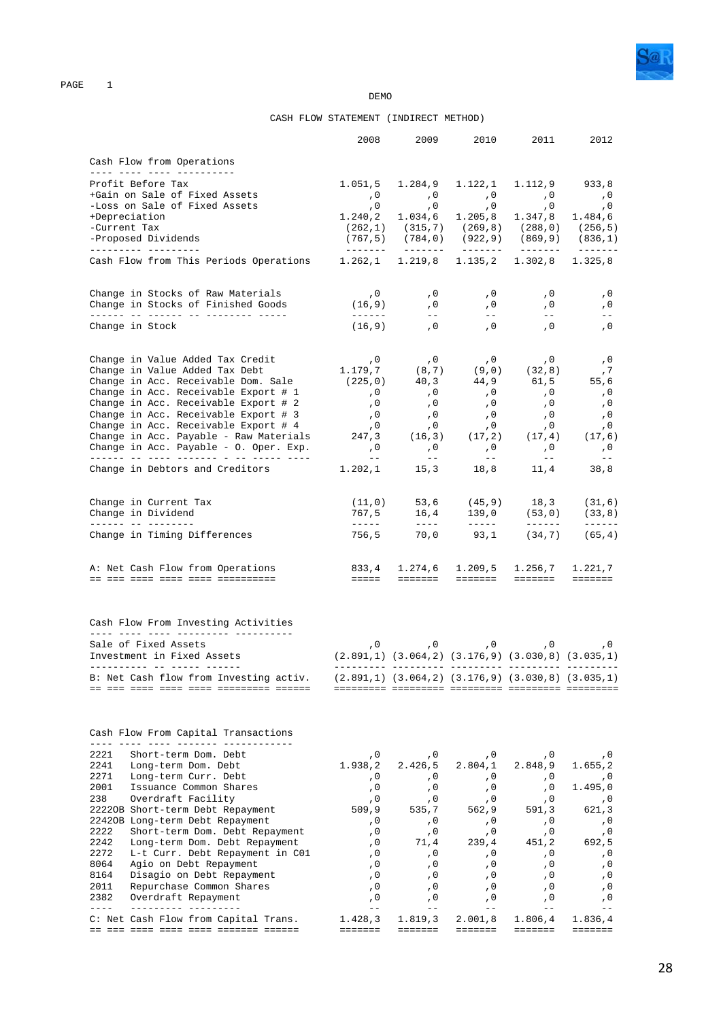

**DEMO** 

### CASH FLOW STATEMENT (INDIRECT METHOD)

|                   |                                                                                  | 2008                                                        | 2009                                                             | 2010                                                             | 2011                                                                                                                                                                                                                                                                                                                                                                                                                                    | 2012                                                                                                                                                                                                                                                                                                                                                                                                                                                                                 |
|-------------------|----------------------------------------------------------------------------------|-------------------------------------------------------------|------------------------------------------------------------------|------------------------------------------------------------------|-----------------------------------------------------------------------------------------------------------------------------------------------------------------------------------------------------------------------------------------------------------------------------------------------------------------------------------------------------------------------------------------------------------------------------------------|--------------------------------------------------------------------------------------------------------------------------------------------------------------------------------------------------------------------------------------------------------------------------------------------------------------------------------------------------------------------------------------------------------------------------------------------------------------------------------------|
|                   | Cash Flow from Operations                                                        |                                                             |                                                                  |                                                                  |                                                                                                                                                                                                                                                                                                                                                                                                                                         |                                                                                                                                                                                                                                                                                                                                                                                                                                                                                      |
|                   | ____ ____ ____ _____________<br>Profit Before Tax                                |                                                             |                                                                  |                                                                  | $1.051, 5$ $1.284, 9$ $1.122, 1$ $1.112, 9$ 933,8                                                                                                                                                                                                                                                                                                                                                                                       |                                                                                                                                                                                                                                                                                                                                                                                                                                                                                      |
|                   | +Gain on Sale of Fixed Assets                                                    |                                                             |                                                                  |                                                                  | 0, 0, 0, 0,                                                                                                                                                                                                                                                                                                                                                                                                                             | , 0                                                                                                                                                                                                                                                                                                                                                                                                                                                                                  |
|                   | -Loss on Sale of Fixed Assets                                                    |                                                             |                                                                  |                                                                  | 0, 0, 0, 0, 0,                                                                                                                                                                                                                                                                                                                                                                                                                          | , 0                                                                                                                                                                                                                                                                                                                                                                                                                                                                                  |
|                   | +Depreciation                                                                    |                                                             |                                                                  |                                                                  | $1.240, 2$ $1.034, 6$ $1.205, 8$ $1.347, 8$                                                                                                                                                                                                                                                                                                                                                                                             | 1.484, 6                                                                                                                                                                                                                                                                                                                                                                                                                                                                             |
|                   | -Current Tax                                                                     |                                                             |                                                                  |                                                                  | $(262,1)$ $(315,7)$ $(269,8)$ $(288,0)$ $(256,5)$                                                                                                                                                                                                                                                                                                                                                                                       |                                                                                                                                                                                                                                                                                                                                                                                                                                                                                      |
|                   | -Proposed Dividends                                                              |                                                             |                                                                  |                                                                  | $(767, 5)$ $(784, 0)$ $(922, 9)$ $(869, 9)$ $(836, 1)$                                                                                                                                                                                                                                                                                                                                                                                  |                                                                                                                                                                                                                                                                                                                                                                                                                                                                                      |
|                   | __________ __________<br>Cash Flow from This Periods Operations                  |                                                             |                                                                  |                                                                  | $1.262, 1$ $1.219, 8$ $1.135, 2$ $1.302, 8$                                                                                                                                                                                                                                                                                                                                                                                             | 1.325,8                                                                                                                                                                                                                                                                                                                                                                                                                                                                              |
|                   | Change in Stocks of Raw Materials                                                | , 0                                                         | , 0                                                              | , 0                                                              | , 0                                                                                                                                                                                                                                                                                                                                                                                                                                     | , 0                                                                                                                                                                                                                                                                                                                                                                                                                                                                                  |
|                   | Change in Stocks of Finished Goods<br>______ __ ______ __ ________ _____         | (16, 9)<br>------                                           | , 0<br>$\frac{1}{2}$ and $\frac{1}{2}$                           | , 0<br>$\frac{1}{2}$ and $\frac{1}{2}$                           | , 0<br>$  \,$                                                                                                                                                                                                                                                                                                                                                                                                                           | , 0                                                                                                                                                                                                                                                                                                                                                                                                                                                                                  |
|                   | Change in Stock                                                                  |                                                             | $(16, 9)$ , 0                                                    | $\overline{0}$                                                   | , 0                                                                                                                                                                                                                                                                                                                                                                                                                                     | , 0                                                                                                                                                                                                                                                                                                                                                                                                                                                                                  |
|                   | Change in Value Added Tax Credit                                                 |                                                             |                                                                  |                                                                  |                                                                                                                                                                                                                                                                                                                                                                                                                                         | , 0                                                                                                                                                                                                                                                                                                                                                                                                                                                                                  |
|                   | Change in Value Added Tax Debt                                                   |                                                             |                                                                  |                                                                  |                                                                                                                                                                                                                                                                                                                                                                                                                                         | , 7                                                                                                                                                                                                                                                                                                                                                                                                                                                                                  |
|                   | Change in Acc. Receivable Dom. Sale                                              |                                                             |                                                                  |                                                                  | $\begin{array}{cccc} 0 & 0 & 0 & 0 & 0 \\ 1.179,7 & (8,7) & (9,0) & (32,8) \\ (225,0) & 40,3 & 44,9 & 61,5 \\ 0 & 0 & 0 & 0 & 0 \end{array}$<br>$61,5$ $55,6$                                                                                                                                                                                                                                                                           |                                                                                                                                                                                                                                                                                                                                                                                                                                                                                      |
|                   | Change in Acc. Receivable Export # 1                                             | , 0                                                         | , 0                                                              | $, 0$                                                            | , 0                                                                                                                                                                                                                                                                                                                                                                                                                                     | , 0                                                                                                                                                                                                                                                                                                                                                                                                                                                                                  |
|                   | Change in Acc. Receivable Export # 2                                             | $\sqrt{0}$                                                  | $\begin{array}{c} \n \cdot & 0 \\  \cdot & 0\n \end{array}$      | , 0                                                              | $\sqrt{0}$                                                                                                                                                                                                                                                                                                                                                                                                                              | , 0                                                                                                                                                                                                                                                                                                                                                                                                                                                                                  |
|                   | Change in Acc. Receivable Export # 3                                             | , 0                                                         |                                                                  | $, 0$                                                            | , 0                                                                                                                                                                                                                                                                                                                                                                                                                                     | , 0                                                                                                                                                                                                                                                                                                                                                                                                                                                                                  |
|                   | Change in Acc. Receivable Export # 4                                             |                                                             |                                                                  |                                                                  | $\begin{matrix} ,0&\quad&0&\quad&0\\ 247,3&\quad&(16,3)&\quad&(17,2)&\quad&(17,4)&\quad&(17,6) \end{matrix}$                                                                                                                                                                                                                                                                                                                            |                                                                                                                                                                                                                                                                                                                                                                                                                                                                                      |
|                   | Change in Acc. Payable - Raw Materials<br>Change in Acc. Payable - O. Oper. Exp. | , 0                                                         | $\,$ , $0$                                                       | , 0                                                              | , 0                                                                                                                                                                                                                                                                                                                                                                                                                                     | , 0                                                                                                                                                                                                                                                                                                                                                                                                                                                                                  |
|                   | Change in Debtors and Creditors                                                  | $- -$                                                       | $\sim$ $ -$                                                      | $\alpha = -1$                                                    | $\sim$ $-$<br>$1.202, 1$ $15, 3$ $18, 8$ $11, 4$                                                                                                                                                                                                                                                                                                                                                                                        | $- -$<br>38,8                                                                                                                                                                                                                                                                                                                                                                                                                                                                        |
|                   | Change in Current Tax                                                            |                                                             |                                                                  |                                                                  | $(11,0)$ 53,6 $(45,9)$ 18,3 $(31,6)$                                                                                                                                                                                                                                                                                                                                                                                                    |                                                                                                                                                                                                                                                                                                                                                                                                                                                                                      |
|                   | Change in Dividend<br>------ -- -------- <b>-</b>                                |                                                             | $767,5$ $16,4$ $139,0$<br>----- ---- ----                        |                                                                  | $139,0$ $(53,0)$ $(33,8)$                                                                                                                                                                                                                                                                                                                                                                                                               |                                                                                                                                                                                                                                                                                                                                                                                                                                                                                      |
|                   | Change in Timing Differences                                                     |                                                             |                                                                  |                                                                  | $\frac{1}{2} \frac{1}{2} \frac{1}{2} \frac{1}{2} \frac{1}{2} \frac{1}{2} \frac{1}{2} \frac{1}{2} \frac{1}{2} \frac{1}{2} \frac{1}{2} \frac{1}{2} \frac{1}{2} \frac{1}{2} \frac{1}{2} \frac{1}{2} \frac{1}{2} \frac{1}{2} \frac{1}{2} \frac{1}{2} \frac{1}{2} \frac{1}{2} \frac{1}{2} \frac{1}{2} \frac{1}{2} \frac{1}{2} \frac{1}{2} \frac{1}{2} \frac{1}{2} \frac{1}{2} \frac{1}{2} \frac{$<br>$756,5$ $70,0$ $93,1$ $(34,7)$ $(65,4)$ | $\begin{tabular}{cccccc} \multicolumn{2}{c}{} & \multicolumn{2}{c}{} & \multicolumn{2}{c}{} & \multicolumn{2}{c}{} & \multicolumn{2}{c}{} & \multicolumn{2}{c}{} & \multicolumn{2}{c}{} & \multicolumn{2}{c}{} & \multicolumn{2}{c}{} & \multicolumn{2}{c}{} & \multicolumn{2}{c}{} & \multicolumn{2}{c}{} & \multicolumn{2}{c}{} & \multicolumn{2}{c}{} & \multicolumn{2}{c}{} & \multicolumn{2}{c}{} & \multicolumn{2}{c}{} & \multicolumn{2}{c}{} & \multicolumn{2}{c}{} & \mult$ |
|                   | A: Net Cash Flow from Operations                                                 |                                                             |                                                                  |                                                                  | 833,4 1.274,6 1.209,5 1.256,7                                                                                                                                                                                                                                                                                                                                                                                                           | 1.221,7                                                                                                                                                                                                                                                                                                                                                                                                                                                                              |
|                   | <u> de dos doso doso doso dosocococo</u>                                         |                                                             |                                                                  |                                                                  | titit inini inini inini                                                                                                                                                                                                                                                                                                                                                                                                                 | eeeeee.                                                                                                                                                                                                                                                                                                                                                                                                                                                                              |
|                   | Cash Flow From Investing Activities<br>____ ____ ____ _________ ________         |                                                             |                                                                  |                                                                  |                                                                                                                                                                                                                                                                                                                                                                                                                                         |                                                                                                                                                                                                                                                                                                                                                                                                                                                                                      |
|                   | Sale of Fixed Assets                                                             |                                                             |                                                                  |                                                                  | 0, 0, 0, 0, 0,                                                                                                                                                                                                                                                                                                                                                                                                                          |                                                                                                                                                                                                                                                                                                                                                                                                                                                                                      |
|                   | Investment in Fixed Assets                                                       | $(2.891,1)$ $(3.064,2)$ $(3.176,9)$ $(3.030,8)$ $(3.035,1)$ |                                                                  |                                                                  |                                                                                                                                                                                                                                                                                                                                                                                                                                         |                                                                                                                                                                                                                                                                                                                                                                                                                                                                                      |
|                   | B: Net Cash flow from Investing activ.                                           | $(2.891,1)$ $(3.064,2)$ $(3.176,9)$ $(3.030,8)$ $(3.035,1)$ |                                                                  |                                                                  |                                                                                                                                                                                                                                                                                                                                                                                                                                         |                                                                                                                                                                                                                                                                                                                                                                                                                                                                                      |
|                   |                                                                                  |                                                             |                                                                  |                                                                  |                                                                                                                                                                                                                                                                                                                                                                                                                                         |                                                                                                                                                                                                                                                                                                                                                                                                                                                                                      |
|                   | Cash Flow From Capital Transactions                                              |                                                             |                                                                  |                                                                  |                                                                                                                                                                                                                                                                                                                                                                                                                                         |                                                                                                                                                                                                                                                                                                                                                                                                                                                                                      |
| 2221              | Short-term Dom. Debt                                                             | , 0                                                         | , 0                                                              | , 0                                                              | , 0                                                                                                                                                                                                                                                                                                                                                                                                                                     |                                                                                                                                                                                                                                                                                                                                                                                                                                                                                      |
| 2241              | Long-term Dom. Debt                                                              | 1.938,2                                                     | 2.426,5                                                          | 2.804,1                                                          | 2.848,9                                                                                                                                                                                                                                                                                                                                                                                                                                 | 1.655, 2                                                                                                                                                                                                                                                                                                                                                                                                                                                                             |
| 2271              | Long-term Curr. Debt                                                             | , 0                                                         | , 0                                                              | , 0                                                              | , 0                                                                                                                                                                                                                                                                                                                                                                                                                                     |                                                                                                                                                                                                                                                                                                                                                                                                                                                                                      |
| 2001              | Issuance Common Shares                                                           | , 0                                                         | , 0                                                              | , 0                                                              | , 0                                                                                                                                                                                                                                                                                                                                                                                                                                     | 1.495,0                                                                                                                                                                                                                                                                                                                                                                                                                                                                              |
| 238               | Overdraft Facility                                                               | , 0                                                         | , 0                                                              | , 0                                                              | , 0                                                                                                                                                                                                                                                                                                                                                                                                                                     |                                                                                                                                                                                                                                                                                                                                                                                                                                                                                      |
|                   | 22220B Short-term Debt Repayment                                                 | 509, 9                                                      | 535,7                                                            | 562,9                                                            | 591, 3                                                                                                                                                                                                                                                                                                                                                                                                                                  | 621,3                                                                                                                                                                                                                                                                                                                                                                                                                                                                                |
|                   | 22420B Long-term Debt Repayment                                                  | , 0                                                         | , 0                                                              | , 0                                                              | , 0                                                                                                                                                                                                                                                                                                                                                                                                                                     |                                                                                                                                                                                                                                                                                                                                                                                                                                                                                      |
| 2222              | Short-term Dom. Debt Repayment                                                   | , 0                                                         | , 0                                                              | , $0$                                                            | , 0                                                                                                                                                                                                                                                                                                                                                                                                                                     |                                                                                                                                                                                                                                                                                                                                                                                                                                                                                      |
| 2242              | Long-term Dom. Debt Repayment                                                    | , 0                                                         | 71,4                                                             | 239,4                                                            | 451,2                                                                                                                                                                                                                                                                                                                                                                                                                                   | 692,5                                                                                                                                                                                                                                                                                                                                                                                                                                                                                |
| 2272              | L-t Curr. Debt Repayment in C01                                                  | , 0                                                         | , 0                                                              | , 0                                                              | , 0                                                                                                                                                                                                                                                                                                                                                                                                                                     |                                                                                                                                                                                                                                                                                                                                                                                                                                                                                      |
| 8064              | Agio on Debt Repayment                                                           | , 0                                                         | , 0                                                              | , 0                                                              | , 0                                                                                                                                                                                                                                                                                                                                                                                                                                     |                                                                                                                                                                                                                                                                                                                                                                                                                                                                                      |
| 8164              | Disagio on Debt Repayment                                                        | , 0                                                         | , 0                                                              | , 0                                                              | , 0                                                                                                                                                                                                                                                                                                                                                                                                                                     |                                                                                                                                                                                                                                                                                                                                                                                                                                                                                      |
| 2011              | Repurchase Common Shares                                                         | , 0                                                         | , 0                                                              | , 0                                                              | , 0                                                                                                                                                                                                                                                                                                                                                                                                                                     |                                                                                                                                                                                                                                                                                                                                                                                                                                                                                      |
| 2382<br>$- - - -$ | Overdraft Repayment                                                              | , 0<br>$=$ $=$                                              | , 0<br>$ -$                                                      | , 0<br>$ -$                                                      | , 0<br>$\qquad \qquad -$                                                                                                                                                                                                                                                                                                                                                                                                                |                                                                                                                                                                                                                                                                                                                                                                                                                                                                                      |
|                   | C: Net Cash Flow from Capital Trans.                                             | 1.428,3                                                     | 1.819, 3                                                         | 2.001,8                                                          | 1.806,4                                                                                                                                                                                                                                                                                                                                                                                                                                 | 1.836,4                                                                                                                                                                                                                                                                                                                                                                                                                                                                              |
|                   |                                                                                  | =======                                                     | $\qquad \qquad \equiv \equiv \equiv \equiv \equiv \equiv \equiv$ | $\qquad \qquad \equiv \equiv \equiv \equiv \equiv \equiv \equiv$ | <b>EEEEEEE</b>                                                                                                                                                                                                                                                                                                                                                                                                                          | =======                                                                                                                                                                                                                                                                                                                                                                                                                                                                              |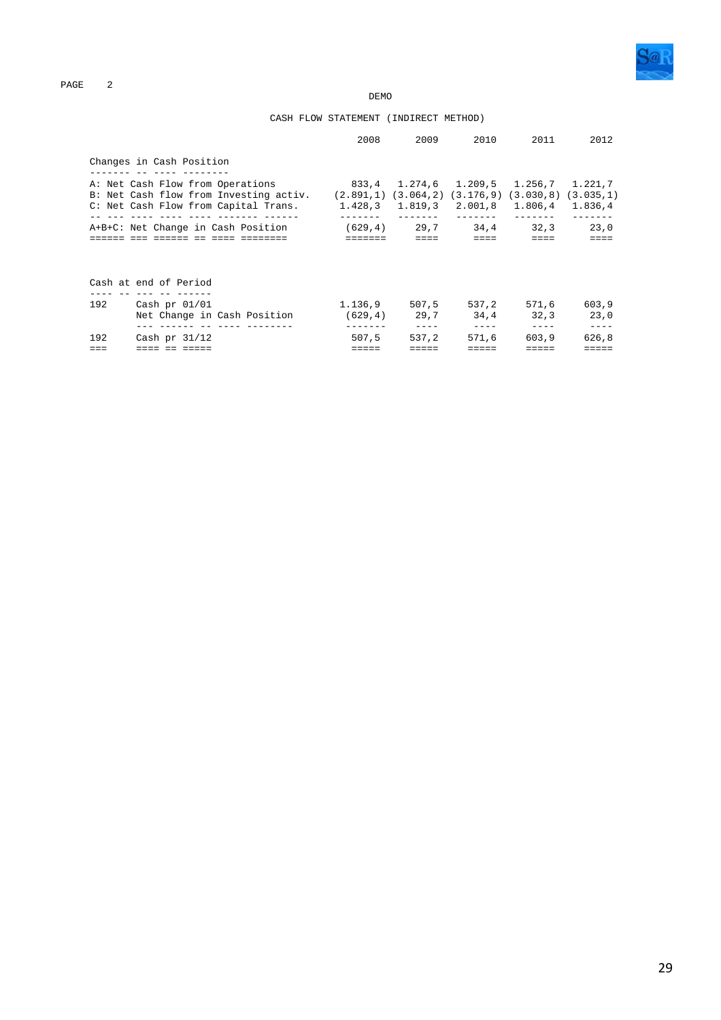**DEMO** 

### CASH FLOW STATEMENT (INDIRECT METHOD)

|                                    |                                                                                                                                                                                          | 2008                          | 2009            | 2010                                       | 2011                                 | 2012                       |
|------------------------------------|------------------------------------------------------------------------------------------------------------------------------------------------------------------------------------------|-------------------------------|-----------------|--------------------------------------------|--------------------------------------|----------------------------|
|                                    | Changes in Cash Position                                                                                                                                                                 |                               |                 |                                            |                                      |                            |
|                                    | A: Net Cash Flow from Operations<br>B: Net Cash flow from Investing activ. (2.891,1) (3.064,2) (3.176,9)<br>C: Net Cash Flow from Capital Trans. $1.428,3$ $1.819,3$ $2.001,8$ $1.806,4$ | 833,4 1.274,6 1.209,5 1.256,7 |                 |                                            | $(3.030, 8)$ $(3.035, 1)$            | 1.221,7<br>1.836,4         |
| A+B+C: Net Change in Cash Position |                                                                                                                                                                                          | =======                       | $=$ $=$ $=$ $=$ | $(629, 4)$ 29,7 34,4 32,3<br>$= = = = =$   | $\equiv \equiv \equiv \equiv \equiv$ | 23,0<br>$=$ $=$ $=$ $=$    |
|                                    | Cash at end of Period                                                                                                                                                                    |                               |                 |                                            |                                      |                            |
|                                    | 192 Cash pr 01/01<br>Net Change in Cash Position                                                                                                                                         |                               | $(629, 4)$ 29,7 | $1.136,9$ 507,5 537,2<br>34.4<br>$- - - -$ | 571,6<br>32.3<br>$- - - -$           | 603,9<br>23.0<br>$- - - -$ |
| 192                                | Cash pr $31/12$                                                                                                                                                                          | 507.5                         | 537.2           | 571.6                                      | 603.9                                | 626.8                      |
|                                    |                                                                                                                                                                                          |                               |                 |                                            |                                      |                            |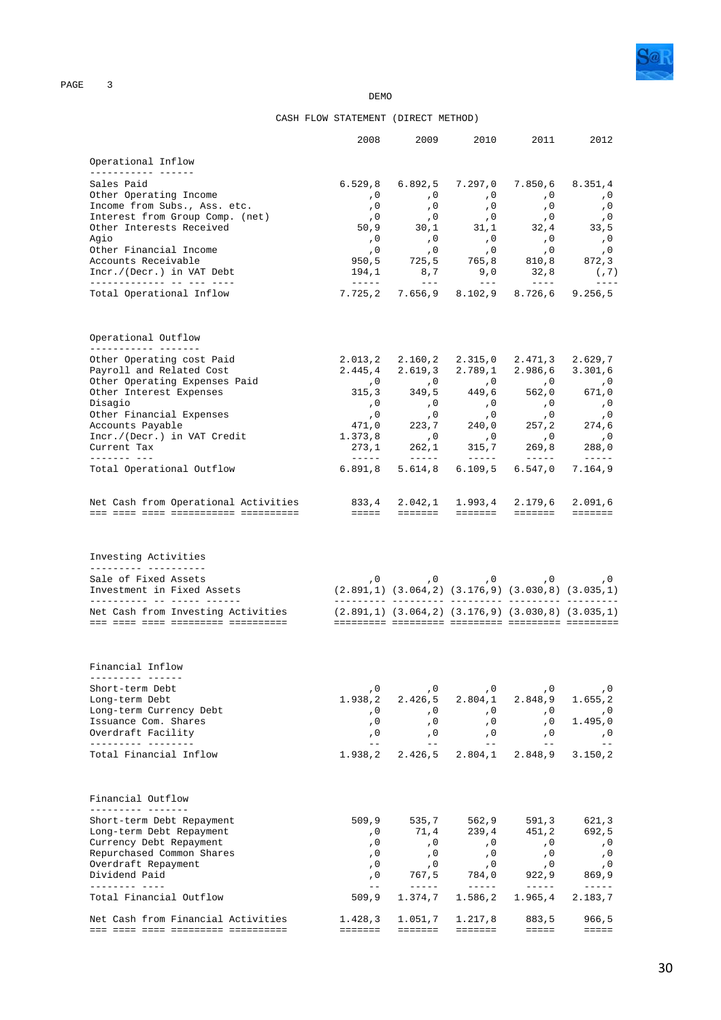

**DEMO** 

### CASH FLOW STATEMENT (DIRECT METHOD)

|                                                                            | 2008                                                                                                                                                                                                                                                                                                                                                                                                  | 2009                                                                                                                                                                                                                                                                                                                                                                                                    | 2010                                   | 2011                                                                                                                                                                                                                                                                                                                                                                                         | 2012                                                                   |
|----------------------------------------------------------------------------|-------------------------------------------------------------------------------------------------------------------------------------------------------------------------------------------------------------------------------------------------------------------------------------------------------------------------------------------------------------------------------------------------------|---------------------------------------------------------------------------------------------------------------------------------------------------------------------------------------------------------------------------------------------------------------------------------------------------------------------------------------------------------------------------------------------------------|----------------------------------------|----------------------------------------------------------------------------------------------------------------------------------------------------------------------------------------------------------------------------------------------------------------------------------------------------------------------------------------------------------------------------------------------|------------------------------------------------------------------------|
| Operational Inflow                                                         |                                                                                                                                                                                                                                                                                                                                                                                                       |                                                                                                                                                                                                                                                                                                                                                                                                         |                                        |                                                                                                                                                                                                                                                                                                                                                                                              |                                                                        |
| ______________________<br>Sales Paid                                       | 6.529, 8                                                                                                                                                                                                                                                                                                                                                                                              | 6.892, 5                                                                                                                                                                                                                                                                                                                                                                                                | 7.297,0                                | 7.850,6                                                                                                                                                                                                                                                                                                                                                                                      | 8.351,4                                                                |
| Other Operating Income                                                     | , 0                                                                                                                                                                                                                                                                                                                                                                                                   | , 0                                                                                                                                                                                                                                                                                                                                                                                                     | $\overline{0}$                         | , 0                                                                                                                                                                                                                                                                                                                                                                                          | , 0                                                                    |
| Income from Subs., Ass. etc.                                               | , 0                                                                                                                                                                                                                                                                                                                                                                                                   | , 0                                                                                                                                                                                                                                                                                                                                                                                                     | , 0                                    | , 0                                                                                                                                                                                                                                                                                                                                                                                          | , 0                                                                    |
| Interest from Group Comp. (net)                                            | , 0                                                                                                                                                                                                                                                                                                                                                                                                   | ,0                                                                                                                                                                                                                                                                                                                                                                                                      | , 0                                    | ,0                                                                                                                                                                                                                                                                                                                                                                                           | , 0                                                                    |
| Other Interests Received                                                   | 50,9                                                                                                                                                                                                                                                                                                                                                                                                  |                                                                                                                                                                                                                                                                                                                                                                                                         |                                        | $\begin{array}{cccccc} 30\,, 1 & & & 31\,, 1 & & & 32\,, 4 & & & 33\,, 5 \\ , & 0 & & \,, 0 & & \,, 0 & & & \,, 0 \\ , & 0 & & \,, 0 & & & \,, 0 & & & \,, 0 \\ \end{array}$                                                                                                                                                                                                                 |                                                                        |
| Agio                                                                       | , 0                                                                                                                                                                                                                                                                                                                                                                                                   |                                                                                                                                                                                                                                                                                                                                                                                                         |                                        |                                                                                                                                                                                                                                                                                                                                                                                              |                                                                        |
| Other Financial Income                                                     | , 0                                                                                                                                                                                                                                                                                                                                                                                                   |                                                                                                                                                                                                                                                                                                                                                                                                         |                                        | $725.5$ $765.8$ $810.8$                                                                                                                                                                                                                                                                                                                                                                      |                                                                        |
| Accounts Receivable<br>Incr./(Decr.) in VAT Debt                           | 950,5<br>194,1                                                                                                                                                                                                                                                                                                                                                                                        | 8,7                                                                                                                                                                                                                                                                                                                                                                                                     | 9,0                                    | 32,8                                                                                                                                                                                                                                                                                                                                                                                         | 872,3                                                                  |
| _____________ __ ___ ___                                                   |                                                                                                                                                                                                                                                                                                                                                                                                       | $   \,$                                                                                                                                                                                                                                                                                                                                                                                                 | $   \,$                                | $\frac{1}{2} \frac{1}{2} \frac{1}{2} \frac{1}{2} \frac{1}{2} \frac{1}{2} \frac{1}{2} \frac{1}{2} \frac{1}{2} \frac{1}{2} \frac{1}{2} \frac{1}{2} \frac{1}{2} \frac{1}{2} \frac{1}{2} \frac{1}{2} \frac{1}{2} \frac{1}{2} \frac{1}{2} \frac{1}{2} \frac{1}{2} \frac{1}{2} \frac{1}{2} \frac{1}{2} \frac{1}{2} \frac{1}{2} \frac{1}{2} \frac{1}{2} \frac{1}{2} \frac{1}{2} \frac{1}{2} \frac{$ | (7)<br>$\frac{1}{2}$                                                   |
| Total Operational Inflow                                                   |                                                                                                                                                                                                                                                                                                                                                                                                       |                                                                                                                                                                                                                                                                                                                                                                                                         |                                        | 7.725,2 7.656,9 8.102,9 8.726,6                                                                                                                                                                                                                                                                                                                                                              | 9.256, 5                                                               |
| Operational Outflow<br>------------ -------                                |                                                                                                                                                                                                                                                                                                                                                                                                       |                                                                                                                                                                                                                                                                                                                                                                                                         |                                        |                                                                                                                                                                                                                                                                                                                                                                                              |                                                                        |
| Other Operating cost Paid                                                  | 2.013, 2                                                                                                                                                                                                                                                                                                                                                                                              |                                                                                                                                                                                                                                                                                                                                                                                                         |                                        | 2.160,2 2.315,0 2.471,3                                                                                                                                                                                                                                                                                                                                                                      | 2.629,7                                                                |
| Payroll and Related Cost                                                   | 2.445,4                                                                                                                                                                                                                                                                                                                                                                                               | 2.619, 3                                                                                                                                                                                                                                                                                                                                                                                                |                                        | $2.789, 1$ $2.986, 6$                                                                                                                                                                                                                                                                                                                                                                        | 3.301,6                                                                |
| Other Operating Expenses Paid                                              |                                                                                                                                                                                                                                                                                                                                                                                                       | 0, 0, 0, 0, 0,<br>315,3 349,5 449,6 562,0                                                                                                                                                                                                                                                                                                                                                               |                                        | 562,0                                                                                                                                                                                                                                                                                                                                                                                        | $\,$ ,0                                                                |
| Other Interest Expenses<br>Disagio                                         |                                                                                                                                                                                                                                                                                                                                                                                                       |                                                                                                                                                                                                                                                                                                                                                                                                         |                                        |                                                                                                                                                                                                                                                                                                                                                                                              | 671,0<br>, 0                                                           |
| Other Financial Expenses                                                   |                                                                                                                                                                                                                                                                                                                                                                                                       | $\begin{array}{cccc} ,0 & ,0 & ,0 & ,0 \ ,0 & ,0 & ,0 \ ,0 & ,0 & ,0 \ 471 \, ,0 & 223 \, ,7 & 240 \, ,0 \ 1.373 \, ,8 & ,0 & ,0 & ,0 \end{array}$                                                                                                                                                                                                                                                      |                                        | $\begin{array}{c} \n 0 \\  0\n \end{array}$                                                                                                                                                                                                                                                                                                                                                  | , 0                                                                    |
| Accounts Payable                                                           |                                                                                                                                                                                                                                                                                                                                                                                                       |                                                                                                                                                                                                                                                                                                                                                                                                         |                                        | 257, 2                                                                                                                                                                                                                                                                                                                                                                                       | 274,6                                                                  |
| Incr./(Decr.) in VAT Credit                                                | 1.373,8                                                                                                                                                                                                                                                                                                                                                                                               |                                                                                                                                                                                                                                                                                                                                                                                                         |                                        | , 0                                                                                                                                                                                                                                                                                                                                                                                          | , 0                                                                    |
| Current Tax<br>-------- --- <b>-</b>                                       | 273,1<br>$\frac{1}{2} \frac{1}{2} \frac{1}{2} \frac{1}{2} \frac{1}{2} \frac{1}{2} \frac{1}{2} \frac{1}{2} \frac{1}{2} \frac{1}{2} \frac{1}{2} \frac{1}{2} \frac{1}{2} \frac{1}{2} \frac{1}{2} \frac{1}{2} \frac{1}{2} \frac{1}{2} \frac{1}{2} \frac{1}{2} \frac{1}{2} \frac{1}{2} \frac{1}{2} \frac{1}{2} \frac{1}{2} \frac{1}{2} \frac{1}{2} \frac{1}{2} \frac{1}{2} \frac{1}{2} \frac{1}{2} \frac{$ | 262,1                                                                                                                                                                                                                                                                                                                                                                                                   | 315,7<br>_______                       | 269,8                                                                                                                                                                                                                                                                                                                                                                                        | 288,0                                                                  |
| Total Operational Outflow                                                  | 6.891, 8                                                                                                                                                                                                                                                                                                                                                                                              | 5.614,8                                                                                                                                                                                                                                                                                                                                                                                                 | 6.109, 5                               | 6.547,0                                                                                                                                                                                                                                                                                                                                                                                      | $- - - - - -$<br>7.164,9                                               |
| Net Cash from Operational Activities                                       | 833,4                                                                                                                                                                                                                                                                                                                                                                                                 |                                                                                                                                                                                                                                                                                                                                                                                                         | $2.042, 1$ $1.993, 4$                  | 2.179,6                                                                                                                                                                                                                                                                                                                                                                                      | 2.091,6                                                                |
|                                                                            |                                                                                                                                                                                                                                                                                                                                                                                                       |                                                                                                                                                                                                                                                                                                                                                                                                         |                                        |                                                                                                                                                                                                                                                                                                                                                                                              |                                                                        |
| Investing Activities<br>---------- -----------                             |                                                                                                                                                                                                                                                                                                                                                                                                       |                                                                                                                                                                                                                                                                                                                                                                                                         |                                        |                                                                                                                                                                                                                                                                                                                                                                                              |                                                                        |
| Sale of Fixed Assets                                                       |                                                                                                                                                                                                                                                                                                                                                                                                       |                                                                                                                                                                                                                                                                                                                                                                                                         |                                        | 0, 0, 0, 0, 0, 0,                                                                                                                                                                                                                                                                                                                                                                            |                                                                        |
| Investment in Fixed Assets<br>__________ __ __ ____ _____                  | $(2.891,1)$ $(3.064,2)$ $(3.176,9)$ $(3.030,8)$ $(3.035,1)$                                                                                                                                                                                                                                                                                                                                           |                                                                                                                                                                                                                                                                                                                                                                                                         |                                        |                                                                                                                                                                                                                                                                                                                                                                                              |                                                                        |
| Net Cash from Investing Activities<br>ood oodd oodd opdooddood obodooddood | $(2.891,1)$ $(3.064,2)$ $(3.176,9)$ $(3.030,8)$ $(3.035,1)$                                                                                                                                                                                                                                                                                                                                           |                                                                                                                                                                                                                                                                                                                                                                                                         |                                        |                                                                                                                                                                                                                                                                                                                                                                                              |                                                                        |
| Financial Inflow                                                           |                                                                                                                                                                                                                                                                                                                                                                                                       |                                                                                                                                                                                                                                                                                                                                                                                                         |                                        |                                                                                                                                                                                                                                                                                                                                                                                              |                                                                        |
| Short-term Debt                                                            | , 0                                                                                                                                                                                                                                                                                                                                                                                                   | , $0$                                                                                                                                                                                                                                                                                                                                                                                                   | , 0                                    | , 0                                                                                                                                                                                                                                                                                                                                                                                          | , 0                                                                    |
| Long-term Debt                                                             | 1.938,2                                                                                                                                                                                                                                                                                                                                                                                               | 2.426, 5                                                                                                                                                                                                                                                                                                                                                                                                | 2.804,1                                | 2.848,9                                                                                                                                                                                                                                                                                                                                                                                      | 1.655, 2                                                               |
| Long-term Currency Debt                                                    | , 0                                                                                                                                                                                                                                                                                                                                                                                                   | , 0                                                                                                                                                                                                                                                                                                                                                                                                     | , 0                                    | , 0                                                                                                                                                                                                                                                                                                                                                                                          | , 0                                                                    |
| Issuance Com. Shares                                                       | , 0                                                                                                                                                                                                                                                                                                                                                                                                   | , 0                                                                                                                                                                                                                                                                                                                                                                                                     | , 0                                    | , 0                                                                                                                                                                                                                                                                                                                                                                                          | 1.495,0                                                                |
| Overdraft Facility<br>__________ ________                                  | , 0<br>$- -$                                                                                                                                                                                                                                                                                                                                                                                          | , 0<br>$\perp$ $\perp$                                                                                                                                                                                                                                                                                                                                                                                  | , 0<br>$\perp$ $\perp$                 | , 0<br>$- -$                                                                                                                                                                                                                                                                                                                                                                                 |                                                                        |
| Total Financial Inflow                                                     | 1.938,2                                                                                                                                                                                                                                                                                                                                                                                               | 2.426, 5                                                                                                                                                                                                                                                                                                                                                                                                | 2.804,1                                | 2.848,9                                                                                                                                                                                                                                                                                                                                                                                      | 3.150, 2                                                               |
| Financial Outflow                                                          |                                                                                                                                                                                                                                                                                                                                                                                                       |                                                                                                                                                                                                                                                                                                                                                                                                         |                                        |                                                                                                                                                                                                                                                                                                                                                                                              |                                                                        |
| Short-term Debt Repayment                                                  | 509, 9                                                                                                                                                                                                                                                                                                                                                                                                | 535,7                                                                                                                                                                                                                                                                                                                                                                                                   | 562, 9                                 | 591,3                                                                                                                                                                                                                                                                                                                                                                                        | 621,3                                                                  |
| Long-term Debt Repayment                                                   | , 0                                                                                                                                                                                                                                                                                                                                                                                                   | 71,4                                                                                                                                                                                                                                                                                                                                                                                                    | 239, 4                                 | 451,2                                                                                                                                                                                                                                                                                                                                                                                        | 692,5                                                                  |
| Currency Debt Repayment                                                    | , 0                                                                                                                                                                                                                                                                                                                                                                                                   | , 0                                                                                                                                                                                                                                                                                                                                                                                                     | , 0                                    | , 0                                                                                                                                                                                                                                                                                                                                                                                          | , 0                                                                    |
| Repurchased Common Shares                                                  | , 0                                                                                                                                                                                                                                                                                                                                                                                                   | , 0                                                                                                                                                                                                                                                                                                                                                                                                     | , 0                                    | , 0                                                                                                                                                                                                                                                                                                                                                                                          | , 0                                                                    |
| Overdraft Repayment                                                        | , 0                                                                                                                                                                                                                                                                                                                                                                                                   | , 0                                                                                                                                                                                                                                                                                                                                                                                                     | , 0                                    | , 0                                                                                                                                                                                                                                                                                                                                                                                          | , 0                                                                    |
| Dividend Paid<br>--------- ----                                            |                                                                                                                                                                                                                                                                                                                                                                                                       |                                                                                                                                                                                                                                                                                                                                                                                                         |                                        |                                                                                                                                                                                                                                                                                                                                                                                              |                                                                        |
| Total Financial Outflow                                                    | , 0                                                                                                                                                                                                                                                                                                                                                                                                   | 767,5                                                                                                                                                                                                                                                                                                                                                                                                   | 784,0                                  | 922,9                                                                                                                                                                                                                                                                                                                                                                                        |                                                                        |
|                                                                            | $\equiv$ $\equiv$<br>509, 9                                                                                                                                                                                                                                                                                                                                                                           | $\frac{1}{2} \frac{1}{2} \frac{1}{2} \frac{1}{2} \frac{1}{2} \frac{1}{2} \frac{1}{2} \frac{1}{2} \frac{1}{2} \frac{1}{2} \frac{1}{2} \frac{1}{2} \frac{1}{2} \frac{1}{2} \frac{1}{2} \frac{1}{2} \frac{1}{2} \frac{1}{2} \frac{1}{2} \frac{1}{2} \frac{1}{2} \frac{1}{2} \frac{1}{2} \frac{1}{2} \frac{1}{2} \frac{1}{2} \frac{1}{2} \frac{1}{2} \frac{1}{2} \frac{1}{2} \frac{1}{2} \frac{$<br>1.374,7 | $- - - - - -$<br>1.586,2               | $\cdots \cdots \cdots \cdots$<br>1.965, 4                                                                                                                                                                                                                                                                                                                                                    |                                                                        |
| Net Cash from Financial Activities                                         | 1.428,3<br><b>EEEEEEE</b>                                                                                                                                                                                                                                                                                                                                                                             | 1.051,7<br>=======                                                                                                                                                                                                                                                                                                                                                                                      | 1.217,8<br>$\equiv$ = = = = = $\equiv$ | 883,5<br>$=$ $=$ $=$ $=$                                                                                                                                                                                                                                                                                                                                                                     | 869,9<br>$\cdots\cdots\cdots\cdots$<br>2.183,7<br>966,5<br>$= = = = =$ |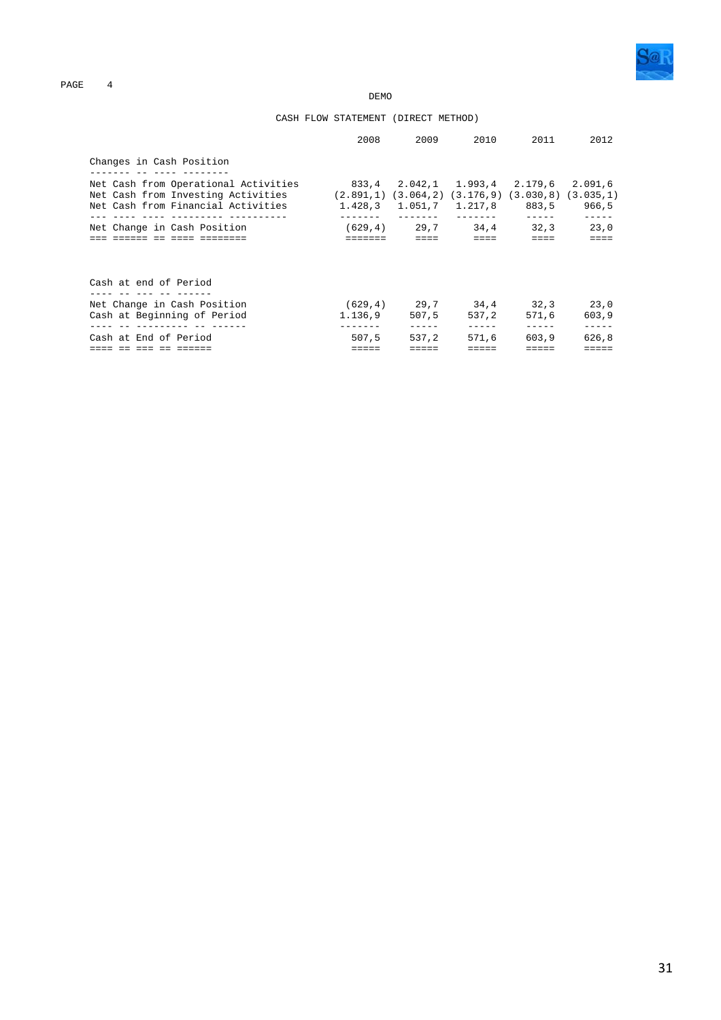

**DEMO** 

### CASH FLOW STATEMENT (DIRECT METHOD)

| 2008           |             |                                      | 2011                                                                                                                                  | 2012                                                                                                                                                                                                                                                      |
|----------------|-------------|--------------------------------------|---------------------------------------------------------------------------------------------------------------------------------------|-----------------------------------------------------------------------------------------------------------------------------------------------------------------------------------------------------------------------------------------------------------|
|                |             |                                      |                                                                                                                                       |                                                                                                                                                                                                                                                           |
|                |             |                                      |                                                                                                                                       | 2.091,6                                                                                                                                                                                                                                                   |
| <b>EEEEEEE</b> | $= = = = =$ | $\equiv \equiv \equiv \equiv \equiv$ | $=$                                                                                                                                   | $=$                                                                                                                                                                                                                                                       |
|                |             |                                      |                                                                                                                                       |                                                                                                                                                                                                                                                           |
|                |             |                                      | 571.6                                                                                                                                 | 603.9                                                                                                                                                                                                                                                     |
| 507.5          | 537.2       | 571.6                                | 603.9                                                                                                                                 | -----<br>626,8                                                                                                                                                                                                                                            |
|                |             | 1.136.9                              | 2009 — 2009 — 2009 — 2009 — 2009 — 2009 — 2009 — 2009 — 2009 — 2009 — 2009 — 2009 — 2009 — 2009 — 2009 — 2009 — 200<br>507.5<br>----- | 2010<br>833,4 2.042,1 1.993,4 2.179,6<br>Net Cash from Investing Activities (2.891,1) (3.064,2) (3.176,9) (3.030,8) (3.035,1)<br>1.428,3 1.051,7 1.217,8 883,5 966,5<br>$(629, 4)$ 29,7 34,4 32,3 23,0<br>$(629.4)$ 29.7 34.4 32.3 23.0<br>537.2<br>----- |